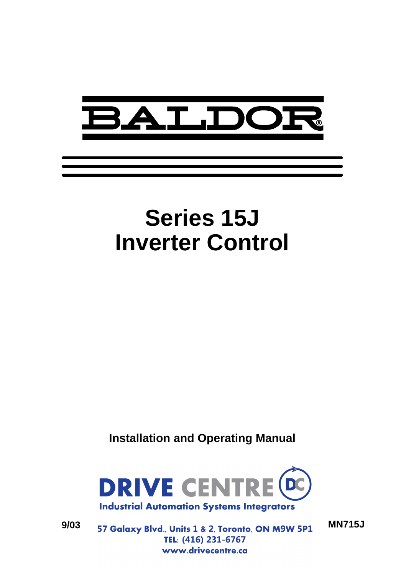

# **Series 15J Inverter Control**

**Installation and Operating Manual**



**9/03 MN715J** TEL: (416) 231-6767 www.drivecentre.ca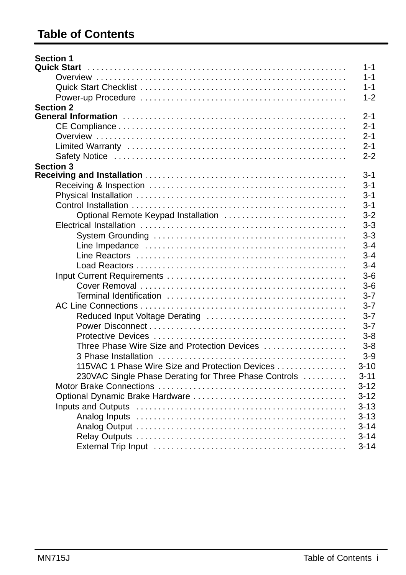# **Table of Contents**

| $1 - 1$<br><b>Quick Start</b><br>$1 - 1$<br><b>Section 2</b><br><b>Section 3</b><br>Optional Remote Keypad Installation<br>Reduced Input Voltage Derating |
|-----------------------------------------------------------------------------------------------------------------------------------------------------------|
| $1 - 1$<br>$2 - 1$<br>$3 - 1$                                                                                                                             |
| $1 - 2$<br>$2 - 1$<br>$3 - 1$                                                                                                                             |
| $2 - 1$<br>$2 - 1$<br>$2 - 2$<br>$3 - 1$<br>$3 - 1$<br>$3 - 2$<br>$3 - 3$<br>$3 - 3$<br>$3 - 4$                                                           |
|                                                                                                                                                           |
|                                                                                                                                                           |
|                                                                                                                                                           |
|                                                                                                                                                           |
|                                                                                                                                                           |
|                                                                                                                                                           |
|                                                                                                                                                           |
|                                                                                                                                                           |
|                                                                                                                                                           |
|                                                                                                                                                           |
|                                                                                                                                                           |
|                                                                                                                                                           |
|                                                                                                                                                           |
|                                                                                                                                                           |
| $3 - 4$<br>$3 - 4$                                                                                                                                        |
|                                                                                                                                                           |
| $3-6$<br>$3-6$<br>$3 - 7$<br>$3 - 7$<br>$3 - 7$<br>$3 - 7$                                                                                                |
|                                                                                                                                                           |
|                                                                                                                                                           |
|                                                                                                                                                           |
|                                                                                                                                                           |
|                                                                                                                                                           |
|                                                                                                                                                           |
|                                                                                                                                                           |
| $3 - 8$                                                                                                                                                   |
| $3 - 8$<br>Three Phase Wire Size and Protection Devices                                                                                                   |
| $3-9$                                                                                                                                                     |
| 115VAC 1 Phase Wire Size and Protection Devices<br>$3 - 10$                                                                                               |
| 230VAC Single Phase Derating for Three Phase Controls<br>$3 - 11$                                                                                         |
| $3 - 12$                                                                                                                                                  |
| $3 - 12$                                                                                                                                                  |
| $3 - 13$                                                                                                                                                  |
| $3 - 13$                                                                                                                                                  |
| $3 - 14$                                                                                                                                                  |
| $3 - 14$                                                                                                                                                  |
| $3 - 14$                                                                                                                                                  |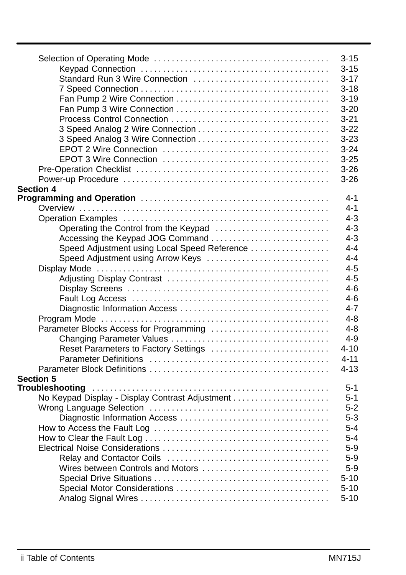|                                                 | $3 - 15$ |
|-------------------------------------------------|----------|
|                                                 | $3 - 15$ |
| Standard Run 3 Wire Connection                  | $3 - 17$ |
|                                                 | $3 - 18$ |
|                                                 | $3 - 19$ |
|                                                 | $3 - 20$ |
|                                                 | $3 - 21$ |
|                                                 | $3 - 22$ |
|                                                 | $3 - 23$ |
|                                                 | $3 - 24$ |
|                                                 | $3 - 25$ |
|                                                 | $3 - 26$ |
|                                                 | $3-26$   |
| <b>Section 4</b>                                |          |
|                                                 | 4-1      |
|                                                 | $4 - 1$  |
|                                                 | $4 - 3$  |
| Operating the Control from the Keypad           | $4 - 3$  |
| Accessing the Keypad JOG Command                | $4 - 3$  |
| Speed Adjustment using Local Speed Reference    | $4 - 4$  |
| Speed Adjustment using Arrow Keys               | $4 - 4$  |
|                                                 | $4 - 5$  |
|                                                 | $4 - 5$  |
|                                                 | $4 - 6$  |
|                                                 | $4 - 6$  |
|                                                 | $4 - 7$  |
|                                                 | 4-8      |
| Parameter Blocks Access for Programming         | $4 - 8$  |
|                                                 | $4 - 9$  |
| Reset Parameters to Factory Settings            | $4 - 10$ |
|                                                 | $4 - 11$ |
|                                                 | $4 - 13$ |
| Section 5                                       |          |
|                                                 | $5 - 1$  |
| No Keypad Display - Display Contrast Adjustment | $5 - 1$  |
|                                                 | $5-2$    |
|                                                 | $5 - 3$  |
|                                                 | $5 - 4$  |
|                                                 | $5 - 4$  |
|                                                 | $5-9$    |
|                                                 | $5-9$    |
| Wires between Controls and Motors               | $5-9$    |
|                                                 | $5 - 10$ |
|                                                 | $5 - 10$ |
|                                                 | $5 - 10$ |
|                                                 |          |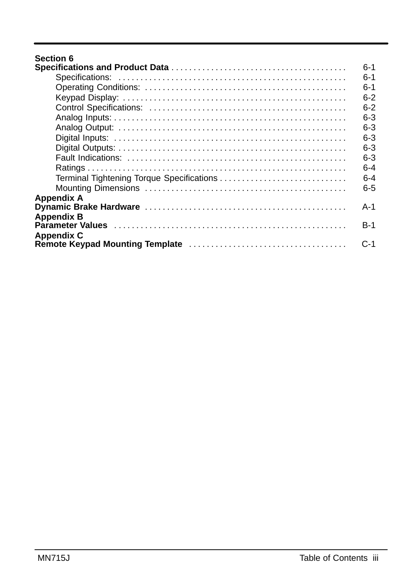# **Section 6**

|                                           | $6-1$   |
|-------------------------------------------|---------|
|                                           | $6-1$   |
|                                           | $6-1$   |
|                                           | $6-2$   |
|                                           | $6-2$   |
|                                           | $6-3$   |
|                                           | $6-3$   |
|                                           | $6 - 3$ |
|                                           | $6-3$   |
|                                           | $6-3$   |
|                                           | $6 - 4$ |
| Terminal Tightening Torque Specifications | $6 - 4$ |
|                                           | $6 - 5$ |
| <b>Appendix A</b>                         |         |
|                                           | A-1     |
| <b>Appendix B</b>                         |         |
|                                           | $B-1$   |
| <b>Appendix C</b>                         |         |
|                                           | $C-1$   |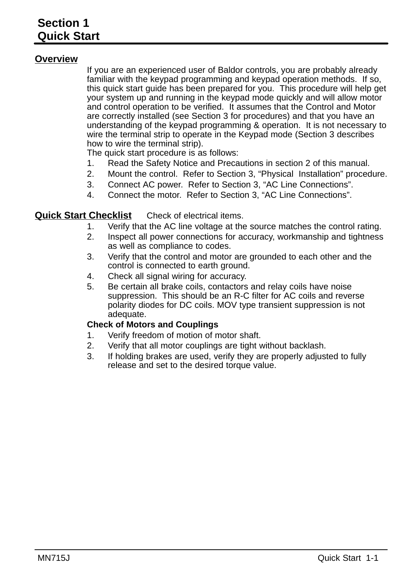## **Overview**

If you are an experienced user of Baldor controls, you are probably already familiar with the keypad programming and keypad operation methods. If so, this quick start guide has been prepared for you. This procedure will help get your system up and running in the keypad mode quickly and will allow motor and control operation to be verified. It assumes that the Control and Motor are correctly installed (see Section 3 for procedures) and that you have an understanding of the keypad programming & operation. It is not necessary to wire the terminal strip to operate in the Keypad mode (Section 3 describes how to wire the terminal strip).

The quick start procedure is as follows:

- 1. Read the Safety Notice and Precautions in section 2 of this manual.
- 2. Mount the control. Refer to Section 3, "Physical Installation" procedure.
- 3. Connect AC power. Refer to Section 3, "AC Line Connections".
- 4. Connect the motor. Refer to Section 3, "AC Line Connections".

#### **Quick Start Checklist** Check of electrical items.

- 1. Verify that the AC line voltage at the source matches the control rating.
- 2. Inspect all power connections for accuracy, workmanship and tightness as well as compliance to codes.
- 3. Verify that the control and motor are grounded to each other and the control is connected to earth ground.
- 4. Check all signal wiring for accuracy.
- 5. Be certain all brake coils, contactors and relay coils have noise suppression. This should be an R-C filter for AC coils and reverse polarity diodes for DC coils. MOV type transient suppression is not adequate.

#### **Check of Motors and Couplings**

- 1. Verify freedom of motion of motor shaft.
- 2. Verify that all motor couplings are tight without backlash.
- 3. If holding brakes are used, verify they are properly adjusted to fully release and set to the desired torque value.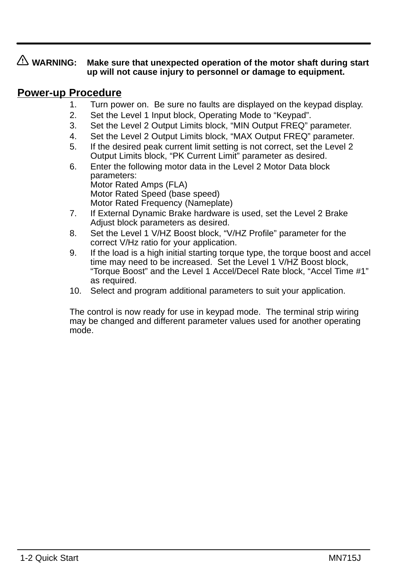# **WARNING: Make sure that unexpected operation of the motor shaft during start up will not cause injury to personnel or damage to equipment.**

# **Power-up Procedure**

- 1. Turn power on. Be sure no faults are displayed on the keypad display.
- 2. Set the Level 1 Input block, Operating Mode to "Keypad".
- 3. Set the Level 2 Output Limits block, "MIN Output FREQ" parameter.
- 4. Set the Level 2 Output Limits block, "MAX Output FREQ" parameter.
- 5. If the desired peak current limit setting is not correct, set the Level 2 Output Limits block, "PK Current Limit" parameter as desired.
- 6. Enter the following motor data in the Level 2 Motor Data block parameters: Motor Rated Amps (FLA) Motor Rated Speed (base speed) Motor Rated Frequency (Nameplate)
- 7. If External Dynamic Brake hardware is used, set the Level 2 Brake Adjust block parameters as desired.
- 8. Set the Level 1 V/HZ Boost block, "V/HZ Profile" parameter for the correct V/Hz ratio for your application.
- 9. If the load is a high initial starting torque type, the torque boost and accel time may need to be increased. Set the Level 1 V/HZ Boost block, "Torque Boost" and the Level 1 Accel/Decel Rate block, "Accel Time #1" as required.
- 10. Select and program additional parameters to suit your application.

The control is now ready for use in keypad mode. The terminal strip wiring may be changed and different parameter values used for another operating mode.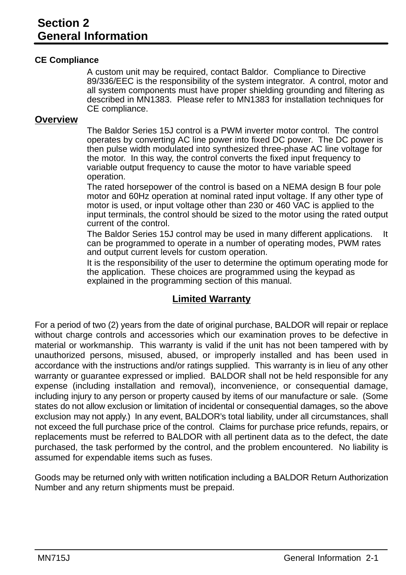#### **CE Compliance**

A custom unit may be required, contact Baldor. Compliance to Directive 89/336/EEC is the responsibility of the system integrator. A control, motor and all system components must have proper shielding grounding and filtering as described in MN1383. Please refer to MN1383 for installation techniques for CE compliance.

#### **Overview**

The Baldor Series 15J control is a PWM inverter motor control. The control operates by converting AC line power into fixed DC power. The DC power is then pulse width modulated into synthesized three-phase AC line voltage for the motor. In this way, the control converts the fixed input frequency to variable output frequency to cause the motor to have variable speed operation.

The rated horsepower of the control is based on a NEMA design B four pole motor and 60Hz operation at nominal rated input voltage. If any other type of motor is used, or input voltage other than 230 or 460 VAC is applied to the input terminals, the control should be sized to the motor using the rated output current of the control.

The Baldor Series 15J control may be used in many different applications. It can be programmed to operate in a number of operating modes, PWM rates and output current levels for custom operation.

It is the responsibility of the user to determine the optimum operating mode for the application. These choices are programmed using the keypad as explained in the programming section of this manual.

# **Limited Warranty**

For a period of two (2) years from the date of original purchase, BALDOR will repair or replace without charge controls and accessories which our examination proves to be defective in material or workmanship. This warranty is valid if the unit has not been tampered with by unauthorized persons, misused, abused, or improperly installed and has been used in accordance with the instructions and/or ratings supplied. This warranty is in lieu of any other warranty or guarantee expressed or implied. BALDOR shall not be held responsible for any expense (including installation and removal), inconvenience, or consequential damage, including injury to any person or property caused by items of our manufacture or sale. (Some states do not allow exclusion or limitation of incidental or consequential damages, so the above exclusion may not apply.) In any event, BALDOR's total liability, under all circumstances, shall not exceed the full purchase price of the control. Claims for purchase price refunds, repairs, or replacements must be referred to BALDOR with all pertinent data as to the defect, the date purchased, the task performed by the control, and the problem encountered. No liability is assumed for expendable items such as fuses.

Goods may be returned only with written notification including a BALDOR Return Authorization Number and any return shipments must be prepaid.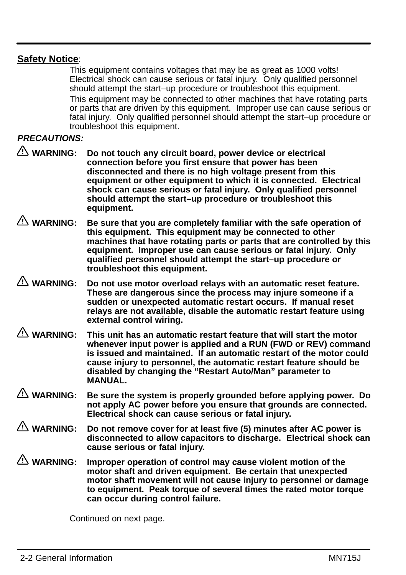# **Safety Notice**:

This equipment contains voltages that may be as great as 1000 volts! Electrical shock can cause serious or fatal injury. Only qualified personnel should attempt the start–up procedure or troubleshoot this equipment. This equipment may be connected to other machines that have rotating parts or parts that are driven by this equipment. Improper use can cause serious or fatal injury. Only qualified personnel should attempt the start–up procedure or troubleshoot this equipment.

#### **PRECAUTIONS:**

- **WARNING: Do not touch any circuit board, power device or electrical connection before you first ensure that power has been disconnected and there is no high voltage present from this equipment or other equipment to which it is connected. Electrical shock can cause serious or fatal injury. Only qualified personnel should attempt the start–up procedure or troubleshoot this equipment.**
- **WARNING: Be sure that you are completely familiar with the safe operation of this equipment. This equipment may be connected to other machines that have rotating parts or parts that are controlled by this equipment. Improper use can cause serious or fatal injury. Only qualified personnel should attempt the start–up procedure or troubleshoot this equipment.**
- **WARNING: Do not use motor overload relays with an automatic reset feature. These are dangerous since the process may injure someone if a sudden or unexpected automatic restart occurs. If manual reset relays are not available, disable the automatic restart feature using external control wiring.**
- **WARNING: This unit has an automatic restart feature that will start the motor whenever input power is applied and a RUN (FWD or REV) command is issued and maintained. If an automatic restart of the motor could cause injury to personnel, the automatic restart feature should be disabled by changing the "Restart Auto/Man" parameter to MANUAL.**
- **WARNING: Be sure the system is properly grounded before applying power. Do not apply AC power before you ensure that grounds are connected. Electrical shock can cause serious or fatal injury.**
- **WARNING: Do not remove cover for at least five (5) minutes after AC power is disconnected to allow capacitors to discharge. Electrical shock can cause serious or fatal injury.**
- **WARNING: Improper operation of control may cause violent motion of the motor shaft and driven equipment. Be certain that unexpected motor shaft movement will not cause injury to personnel or damage to equipment. Peak torque of several times the rated motor torque can occur during control failure.**

Continued on next page.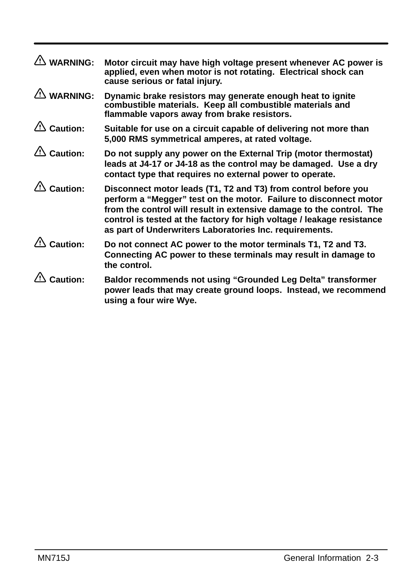| $\mathbb{A}$ WARNING:                                  | Motor circuit may have high voltage present whenever AC power is<br>applied, even when motor is not rotating. Electrical shock can<br>cause serious or fatal injury.                                                                                                                                                                             |
|--------------------------------------------------------|--------------------------------------------------------------------------------------------------------------------------------------------------------------------------------------------------------------------------------------------------------------------------------------------------------------------------------------------------|
| <b>WARNING:</b>                                        | Dynamic brake resistors may generate enough heat to ignite<br>combustible materials. Keep all combustible materials and<br>flammable vapors away from brake resistors.                                                                                                                                                                           |
| $\triangle$ Caution:                                   | Suitable for use on a circuit capable of delivering not more than<br>5,000 RMS symmetrical amperes, at rated voltage.                                                                                                                                                                                                                            |
| $\triangle$ Caution:                                   | Do not supply any power on the External Trip (motor thermostat)<br>leads at J4-17 or J4-18 as the control may be damaged. Use a dry<br>contact type that requires no external power to operate.                                                                                                                                                  |
| $\mathbf{\hat{\triangle}}$ Caution:                    | Disconnect motor leads (T1, T2 and T3) from control before you<br>perform a "Megger" test on the motor. Failure to disconnect motor<br>from the control will result in extensive damage to the control. The<br>control is tested at the factory for high voltage / leakage resistance<br>as part of Underwriters Laboratories Inc. requirements. |
| $\mathbf{\mathfrak{\textcolor{red}{\Delta}}}$ Caution: | Do not connect AC power to the motor terminals T1, T2 and T3.<br>Connecting AC power to these terminals may result in damage to<br>the control.                                                                                                                                                                                                  |
| Caution:                                               | Baldor recommends not using "Grounded Leg Delta" transformer<br>power leads that may create ground loops. Instead, we recommend<br>using a four wire Wye.                                                                                                                                                                                        |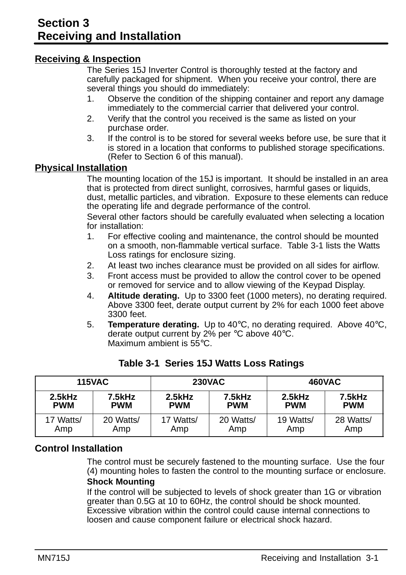#### **Receiving & Inspection**

The Series 15J Inverter Control is thoroughly tested at the factory and carefully packaged for shipment. When you receive your control, there are several things you should do immediately:

- 1. Observe the condition of the shipping container and report any damage immediately to the commercial carrier that delivered your control.
- 2. Verify that the control you received is the same as listed on your purchase order.
- 3. If the control is to be stored for several weeks before use, be sure that it is stored in a location that conforms to published storage specifications. (Refer to Section 6 of this manual).

#### **Physical Installation**

The mounting location of the 15J is important. It should be installed in an area that is protected from direct sunlight, corrosives, harmful gases or liquids, dust, metallic particles, and vibration. Exposure to these elements can reduce the operating life and degrade performance of the control.

Several other factors should be carefully evaluated when selecting a location for installation:

- 1. For effective cooling and maintenance, the control should be mounted on a smooth, non-flammable vertical surface. Table 3-1 lists the Watts Loss ratings for enclosure sizing.
- 2. At least two inches clearance must be provided on all sides for airflow.
- 3. Front access must be provided to allow the control cover to be opened or removed for service and to allow viewing of the Keypad Display.
- 4. **Altitude derating.** Up to 3300 feet (1000 meters), no derating required. Above 3300 feet, derate output current by 2% for each 1000 feet above 3300 feet.
- 5. **Temperature derating.** Up to 40°C, no derating required. Above 40°C, derate output current by 2% per °C above 40°C. Maximum ambient is 55°C.

| <b>115VAC</b> |            | <b>230VAC</b> |            | 460VAC     |            |
|---------------|------------|---------------|------------|------------|------------|
| $2.5$ kHz     | 7.5kHz     | 2.5kHz        | 7.5kHz     | $2.5$ kHz  | 7.5kHz     |
| <b>PWM</b>    | <b>PWM</b> | <b>PWM</b>    | <b>PWM</b> | <b>PWM</b> | <b>PWM</b> |
| 17 Watts/     | 20 Watts/  | 17 Watts/     | 20 Watts/  | 19 Watts/  | 28 Watts/  |
| Amp           | Amp        | Amp           | Amp        | Amp        | Amp        |

#### **Table 3-1 Series 15J Watts Loss Ratings**

# **Control Installation**

The control must be securely fastened to the mounting surface. Use the four (4) mounting holes to fasten the control to the mounting surface or enclosure. **Shock Mounting**

If the control will be subjected to levels of shock greater than 1G or vibration greater than 0.5G at 10 to 60Hz, the control should be shock mounted. Excessive vibration within the control could cause internal connections to loosen and cause component failure or electrical shock hazard.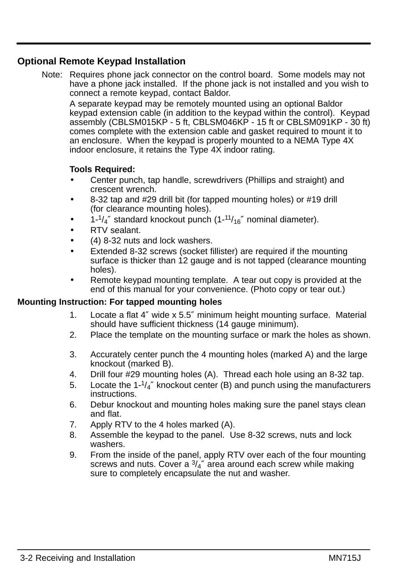# **Optional Remote Keypad Installation**

Note: Requires phone jack connector on the control board. Some models may not have a phone jack installed. If the phone jack is not installed and you wish to connect a remote keypad, contact Baldor.

A separate keypad may be remotely mounted using an optional Baldor keypad extension cable (in addition to the keypad within the control). Keypad assembly (CBLSM015KP - 5 ft, CBLSM046KP - 15 ft or CBLSM091KP - 30 ft) comes complete with the extension cable and gasket required to mount it to an enclosure. When the keypad is properly mounted to a NEMA Type 4X indoor enclosure, it retains the Type 4X indoor rating.

#### **Tools Required:**

- Center punch, tap handle, screwdrivers (Phillips and straight) and crescent wrench.
- 8-32 tap and #29 drill bit (for tapped mounting holes) or #19 drill (for clearance mounting holes).
- $1-\frac{1}{4}$  standard knockout punch  $(1-\frac{11}{16})$  nominal diameter).
- RTV sealant.
- (4) 8-32 nuts and lock washers.
- Extended 8-32 screws (socket fillister) are required if the mounting surface is thicker than 12 gauge and is not tapped (clearance mounting holes).
- Remote keypad mounting template. A tear out copy is provided at the end of this manual for your convenience. (Photo copy or tear out.)

#### **Mounting Instruction: For tapped mounting holes**

- 1. Locate a flat 4″ wide x 5.5″ minimum height mounting surface. Material should have sufficient thickness (14 gauge minimum).
- 2. Place the template on the mounting surface or mark the holes as shown.
- 3. Accurately center punch the 4 mounting holes (marked A) and the large knockout (marked B).
- 4. Drill four #29 mounting holes (A). Thread each hole using an 8-32 tap.
- 5. Locate the 1-1/4″ knockout center (B) and punch using the manufacturers instructions.
- 6. Debur knockout and mounting holes making sure the panel stays clean and flat.
- 7. Apply RTV to the 4 holes marked (A).
- 8. Assemble the keypad to the panel. Use 8-32 screws, nuts and lock washers.
- 9. From the inside of the panel, apply RTV over each of the four mounting screws and nuts. Cover a  $\frac{3}{4}$  area around each screw while making sure to completely encapsulate the nut and washer.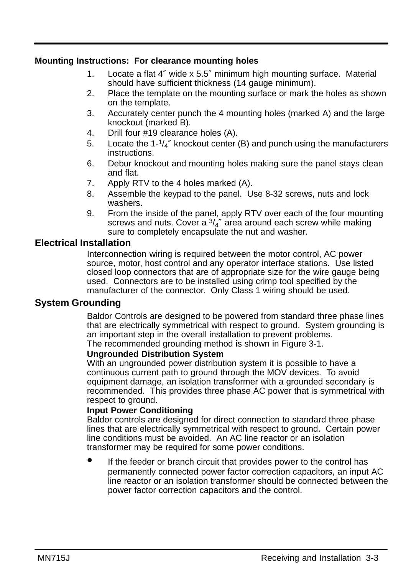#### **Mounting Instructions: For clearance mounting holes**

- 1. Locate a flat 4″ wide x 5.5″ minimum high mounting surface. Material should have sufficient thickness (14 gauge minimum).
- 2. Place the template on the mounting surface or mark the holes as shown on the template.
- 3. Accurately center punch the 4 mounting holes (marked A) and the large knockout (marked B).
- 4. Drill four #19 clearance holes (A).
- 5. Locate the  $1\frac{1}{4}$ " knockout center (B) and punch using the manufacturers instructions.
- 6. Debur knockout and mounting holes making sure the panel stays clean and flat.
- 7. Apply RTV to the 4 holes marked (A).
- 8. Assemble the keypad to the panel. Use 8-32 screws, nuts and lock washers.
- 9. From the inside of the panel, apply RTV over each of the four mounting screws and nuts. Cover a  $\frac{3}{4}$ " area around each screw while making sure to completely encapsulate the nut and washer.

# **Electrical Installation**

Interconnection wiring is required between the motor control, AC power source, motor, host control and any operator interface stations. Use listed closed loop connectors that are of appropriate size for the wire gauge being used. Connectors are to be installed using crimp tool specified by the manufacturer of the connector. Only Class 1 wiring should be used.

#### **System Grounding**

Baldor Controls are designed to be powered from standard three phase lines that are electrically symmetrical with respect to ground. System grounding is an important step in the overall installation to prevent problems. The recommended grounding method is shown in Figure 3-1.

#### **Ungrounded Distribution System**

With an ungrounded power distribution system it is possible to have a continuous current path to ground through the MOV devices. To avoid equipment damage, an isolation transformer with a grounded secondary is recommended. This provides three phase AC power that is symmetrical with respect to ground.

#### **Input Power Conditioning**

Baldor controls are designed for direct connection to standard three phase lines that are electrically symmetrical with respect to ground. Certain power line conditions must be avoided. An AC line reactor or an isolation transformer may be required for some power conditions.

 If the feeder or branch circuit that provides power to the control has permanently connected power factor correction capacitors, an input AC line reactor or an isolation transformer should be connected between the power factor correction capacitors and the control.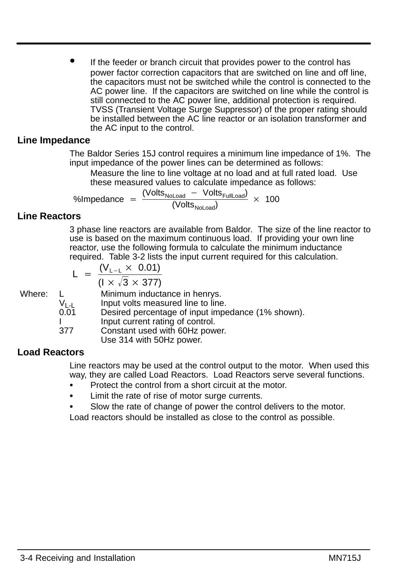If the feeder or branch circuit that provides power to the control has power factor correction capacitors that are switched on line and off line, the capacitors must not be switched while the control is connected to the AC power line. If the capacitors are switched on line while the control is still connected to the AC power line, additional protection is required. TVSS (Transient Voltage Surge Suppressor) of the proper rating should be installed between the AC line reactor or an isolation transformer and the AC input to the control.

#### **Line Impedance**

The Baldor Series 15J control requires a minimum line impedance of 1%. The input impedance of the power lines can be determined as follows:

Measure the line to line voltage at no load and at full rated load. Use these measured values to calculate impedance as follows:

%Impedance =  $\frac{\text{(Volts}_{\text{Noload}} - \text{Volts}_{\text{FullLoad}})}{\text{(Volts}_{\text{Noload}})} \times 100$ 

#### **Line Reactors**

3 phase line reactors are available from Baldor. The size of the line reactor to use is based on the maximum continuous load. If providing your own line reactor, use the following formula to calculate the minimum inductance required. Table 3-2 lists the input current required for this calculation.

$$
L = \frac{(V_{L-L} \times 0.01)}{(1 \times \sqrt{3} \times 377)}
$$

Where: L Minimum inductance in henrys.

 $V_{L-L}$  Input volts measured line to line.<br>0.01 Desired percentage of input imper

Desired percentage of input impedance (1% shown).

I Input current rating of control.<br>377 Constant used with 60Hz pow

Constant used with 60Hz power.

Use 314 with 50Hz power.

# **Load Reactors**

Line reactors may be used at the control output to the motor. When used this way, they are called Load Reactors. Load Reactors serve several functions.

- Protect the control from a short circuit at the motor.
- Limit the rate of rise of motor surge currents.
- Slow the rate of change of power the control delivers to the motor.

Load reactors should be installed as close to the control as possible.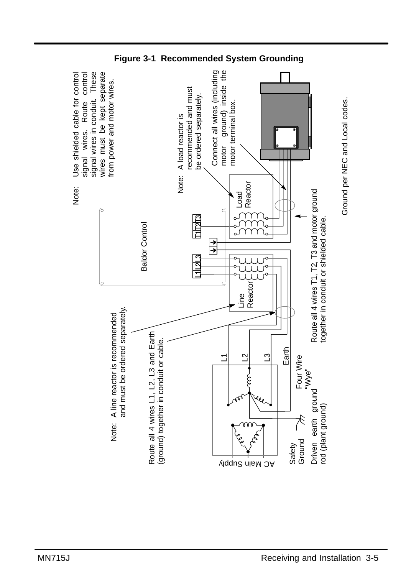

**Figure 3-1 Recommended System Grounding** 

Ground per NEC and Local codes.

Ground per NEC and Local codes.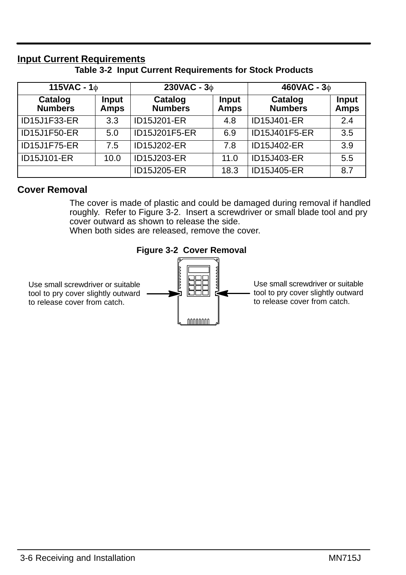# **Input Current Requirements**

**Table 3-2 Input Current Requirements for Stock Products**

| 115VAC - $1\phi$          |               | 230VAC - $3\phi$          |               | 460VAC - $3\phi$          |                      |
|---------------------------|---------------|---------------------------|---------------|---------------------------|----------------------|
| Catalog<br><b>Numbers</b> | Input<br>Amps | Catalog<br><b>Numbers</b> | Input<br>Amps | Catalog<br><b>Numbers</b> | Input<br><b>Amps</b> |
| ID15J1F33-ER              | 3.3           | ID15J201-ER               | 4.8           | ID15J401-ER               | 2.4                  |
| ID15J1F50-ER              | 5.0           | ID15J201F5-ER             | 6.9           | ID15J401F5-ER             | 3.5                  |
| ID15J1F75-ER              | 7.5           | ID15J202-ER               | 7.8           | ID15J402-ER               | 3.9                  |
| ID15J101-ER               | 10.0          | ID15J203-ER               | 11.0          | ID15J403-ER               | 5.5                  |
|                           |               | ID15J205-ER               | 18.3          | ID15J405-ER               | 8.7                  |

#### **Cover Removal**

The cover is made of plastic and could be damaged during removal if handled roughly. Refer to Figure 3-2. Insert a screwdriver or small blade tool and pry cover outward as shown to release the side. When both sides are released, remove the cover.

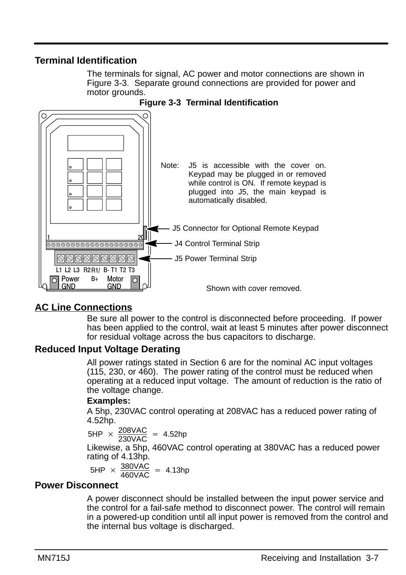# **Terminal Identification**

The terminals for signal, AC power and motor connections are shown in Figure 3-3. Separate ground connections are provided for power and motor grounds.



#### **Figure 3-3 Terminal Identification**

# **AC Line Connections**

Be sure all power to the control is disconnected before proceeding. If power has been applied to the control, wait at least 5 minutes after power disconnect for residual voltage across the bus capacitors to discharge.

# **Reduced Input Voltage Derating**

All power ratings stated in Section 6 are for the nominal AC input voltages (115, 230, or 460). The power rating of the control must be reduced when operating at a reduced input voltage. The amount of reduction is the ratio of the voltage change.

#### **Examples:**

A 5hp, 230VAC control operating at 208VAC has a reduced power rating of 4.52hp.

 $5HP \times \frac{208\text{VAC}}{230\text{VAC}} = 4.52\text{hp}$ Likewise, a 5hp, 460VAC control operating at 380VAC has a reduced power rating of 4.13hp.

$$
5HP \times \frac{380\text{VAC}}{460\text{VAC}} = 4.13\text{hp}
$$

#### **Power Disconnect**

A power disconnect should be installed between the input power service and the control for a fail-safe method to disconnect power. The control will remain in a powered-up condition until all input power is removed from the control and the internal bus voltage is discharged.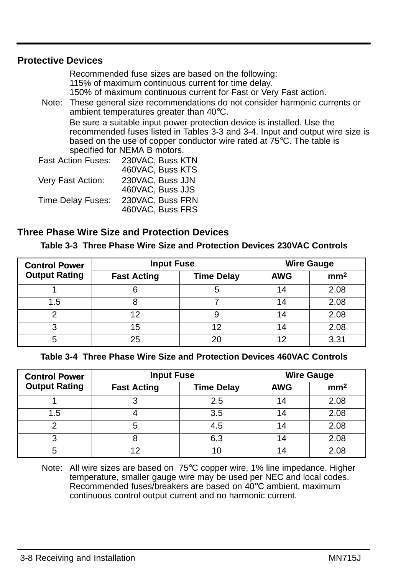#### **Protective Devices**

Recommended fuse sizes are based on the following: 115% of maximum continuous current for time delay. 150% of maximum continuous current for Fast or Very Fast action.

Note: These general size recommendations do not consider harmonic currents or ambient temperatures greater than 40°C. Be sure a suitable input power protection device is installed. Use the recommended fuses listed in Tables 3-3 and 3-4. Input and output wire size is based on the use of copper conductor wire rated at 75°C. The table is specified for NEMA B motors.

| <b>Fast Action Fuses:</b> | 230VAC, Buss KTN |
|---------------------------|------------------|
|                           | 460VAC, Buss KTS |
| Very Fast Action:         | 230VAC, Buss JJN |
|                           | 460VAC, Buss JJS |
| Time Delay Fuses:         | 230VAC, Buss FRN |
|                           | 460VAC, Buss FRS |

#### **Three Phase Wire Size and Protection Devices**

| Table 3-3 Three Phase Wire Size and Protection Devices 230VAC Controls |  |  |  |  |  |  |
|------------------------------------------------------------------------|--|--|--|--|--|--|
|------------------------------------------------------------------------|--|--|--|--|--|--|

| <b>Control Power</b> | <b>Input Fuse</b>  | <b>Wire Gauge</b> |            |                 |
|----------------------|--------------------|-------------------|------------|-----------------|
| <b>Output Rating</b> | <b>Fast Acting</b> | <b>Time Delay</b> | <b>AWG</b> | mm <sup>2</sup> |
|                      |                    | 5                 | 14         | 2.08            |
| 1.5                  |                    |                   | 14         | 2.08            |
|                      | 1つ                 | 9                 | 14         | 2.08            |
| ◠                    | 15                 | 12                | 14         | 2.08            |
|                      | 25                 | 20                | 12         | 3.31            |

**Table 3-4 Three Phase Wire Size and Protection Devices 460VAC Controls**

| <b>Control Power</b> | <b>Input Fuse</b>  | <b>Wire Gauge</b> |            |                 |
|----------------------|--------------------|-------------------|------------|-----------------|
| <b>Output Rating</b> | <b>Fast Acting</b> | <b>Time Delay</b> | <b>AWG</b> | mm <sup>2</sup> |
|                      |                    | 2.5               | 14         | 2.08            |
| 1.5                  |                    | 3.5               | 14         | 2.08            |
|                      | 5                  | 4.5               | 14         | 2.08            |
| 3                    |                    | 6.3               | 14         | 2.08            |
| 5                    |                    | 10                | 14         | 2.08            |

Note: All wire sizes are based on 75°C copper wire, 1% line impedance. Higher temperature, smaller gauge wire may be used per NEC and local codes. Recommended fuses/breakers are based on 40°C ambient, maximum continuous control output current and no harmonic current.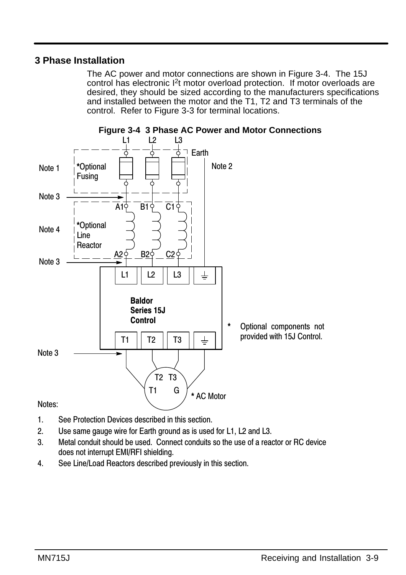# **3 Phase Installation**

The AC power and motor connections are shown in Figure 3-4. The 15J control has electronic I2t motor overload protection. If motor overloads are desired, they should be sized according to the manufacturers specifications and installed between the motor and the T1, T2 and T3 terminals of the control. Refer to Figure 3-3 for terminal locations.



**Figure 3-4 3 Phase AC Power and Motor Connections** 

- $1.$ . See Protection Devices described in this section.
- 2. Use same gauge wire for Earth ground as is used for L1, L2 and L3.
- 3. Metal conduit should be used. Connect conduits so the use of a reactor or RC device does not interrupt EMI/RFI shielding.
- 4. See Line/Load Reactors described previously in this section.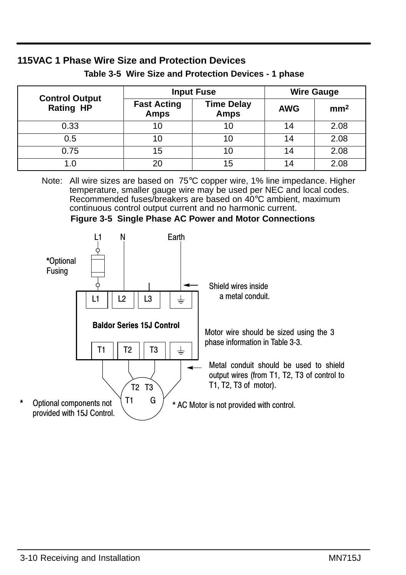|                                           | <b>Input Fuse</b>                 | <b>Wire Gauge</b>                |            |                 |
|-------------------------------------------|-----------------------------------|----------------------------------|------------|-----------------|
| <b>Control Output</b><br><b>Rating HP</b> | <b>Fast Acting</b><br><b>Amps</b> | <b>Time Delay</b><br><b>Amps</b> | <b>AWG</b> | mm <sup>2</sup> |
| 0.33                                      | 10                                | 10                               | 14         | 2.08            |
| 0.5                                       | 10                                |                                  | 14         | 2.08            |
| 0.75                                      | 15                                | 10                               | 14         | 2.08            |
|                                           | 20                                | 15                               | 14         | 2.08            |

# **Table 3-5 Wire Size and Protection Devices - 1 phase**

**115VAC 1 Phase Wire Size and Protection Devices**

Note: All wire sizes are based on 75°C copper wire, 1% line impedance. Higher temperature, smaller gauge wire may be used per NEC and local codes. Recommended fuses/breakers are based on 40°C ambient, maximum continuous control output current and no harmonic current.



**Figure 3-5 Single Phase AC Power and Motor Connections**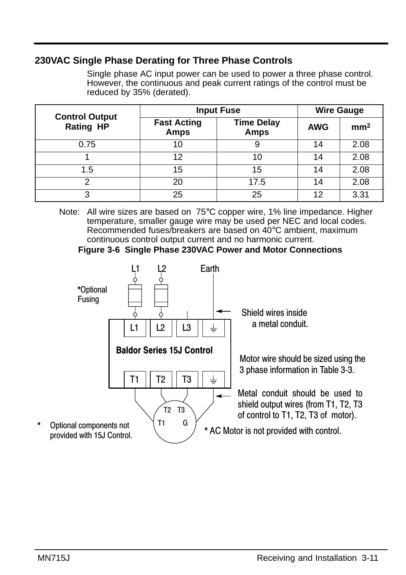# **230VAC Single Phase Derating for Three Phase Controls**

Single phase AC input power can be used to power a three phase control. However, the continuous and peak current ratings of the control must be reduced by 35% (derated).

|                                           | <b>Input Fuse</b>                 | <b>Wire Gauge</b>                |            |                 |
|-------------------------------------------|-----------------------------------|----------------------------------|------------|-----------------|
| <b>Control Output</b><br><b>Rating HP</b> | <b>Fast Acting</b><br><b>Amps</b> | <b>Time Delay</b><br><b>Amps</b> | <b>AWG</b> | mm <sup>2</sup> |
| 0.75                                      | 10                                | 9                                | 14         | 2.08            |
|                                           | 12                                | 10                               | 14         | 2.08            |
| 1.5                                       | 15                                | 15                               | 14         | 2.08            |
| າ                                         | 20                                | 17.5                             | 14         | 2.08            |
| っ                                         | 25                                | 25                               | 12         | 3.31            |

Note: All wire sizes are based on 75°C copper wire, 1% line impedance. Higher temperature, smaller gauge wire may be used per NEC and local codes. Recommended fuses/breakers are based on 40°C ambient, maximum continuous control output current and no harmonic current.

#### **Figure 3-6 Single Phase 230VAC Power and Motor Connections**

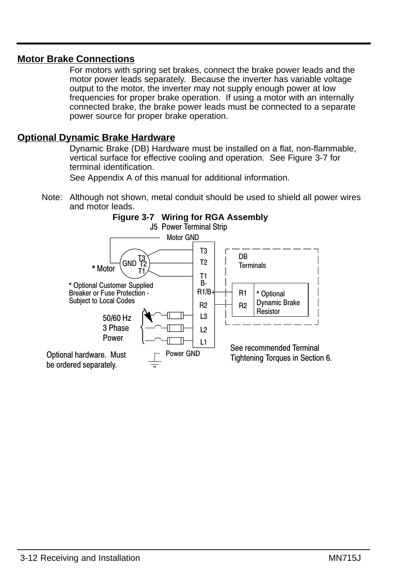## **Motor Brake Connections**

For motors with spring set brakes, connect the brake power leads and the motor power leads separately. Because the inverter has variable voltage output to the motor, the inverter may not supply enough power at low frequencies for proper brake operation. If using a motor with an internally connected brake, the brake power leads must be connected to a separate power source for proper brake operation.

#### **Optional Dynamic Brake Hardware**

Dynamic Brake (DB) Hardware must be installed on a flat, non-flammable, vertical surface for effective cooling and operation. See Figure 3-7 for terminal identification.

See Appendix A of this manual for additional information.

Note: Although not shown, metal conduit should be used to shield all power wires and motor leads.

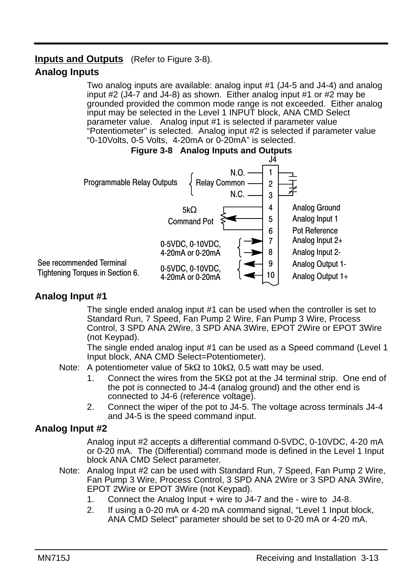# **Inputs and Outputs** (Refer to Figure 3-8). **Analog Inputs**

Two analog inputs are available: analog input #1 (J4-5 and J4-4) and analog input #2 (J4-7 and J4-8) as shown. Either analog input #1 or #2 may be grounded provided the common mode range is not exceeded. Either analog input may be selected in the Level 1 INPUT block, ANA CMD Select parameter value. Analog input #1 is selected if parameter value "Potentiometer" is selected. Analog input #2 is selected if parameter value "0-10Volts, 0-5 Volts, 4-20mA or 0-20mA" is selected.





# **Analog Input #1**

The single ended analog input #1 can be used when the controller is set to Standard Run, 7 Speed, Fan Pump 2 Wire, Fan Pump 3 Wire, Process Control, 3 SPD ANA 2Wire, 3 SPD ANA 3Wire, EPOT 2Wire or EPOT 3Wire (not Keypad).

The single ended analog input #1 can be used as a Speed command (Level 1 Input block, ANA CMD Select=Potentiometer).

- Note: A potentiometer value of  $5k\Omega$  to 10k $\Omega$ , 0.5 watt may be used.
	- 1. Connect the wires from the  $5K\Omega$  pot at the J4 terminal strip. One end of the pot is connected to J4-4 (analog ground) and the other end is connected to J4-6 (reference voltage).
	- 2. Connect the wiper of the pot to J4-5. The voltage across terminals J4-4 and J4-5 is the speed command input.

# **Analog Input #2**

Analog input #2 accepts a differential command 0-5VDC, 0-10VDC, 4-20 mA or 0-20 mA. The (Differential) command mode is defined in the Level 1 Input block ANA CMD Select parameter.

- Note: Analog Input #2 can be used with Standard Run, 7 Speed, Fan Pump 2 Wire, Fan Pump 3 Wire, Process Control, 3 SPD ANA 2Wire or 3 SPD ANA 3Wire, EPOT 2Wire or EPOT 3Wire (not Keypad).
	- 1. Connect the Analog Input + wire to J4-7 and the wire to J4-8.
	- 2. If using a 0-20 mA or 4-20 mA command signal, "Level 1 Input block, ANA CMD Select" parameter should be set to 0-20 mA or 4-20 mA.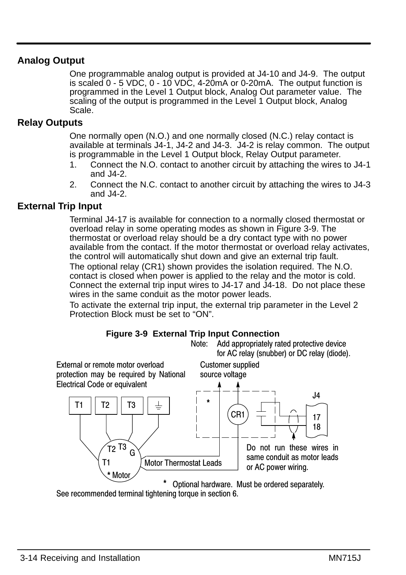# **Analog Output**

One programmable analog output is provided at J4-10 and J4-9. The output is scaled 0 - 5 VDC, 0 - 10 VDC, 4-20mA or 0-20mA. The output function is programmed in the Level 1 Output block, Analog Out parameter value. The scaling of the output is programmed in the Level 1 Output block, Analog Scale.

## **Relay Outputs**

One normally open (N.O.) and one normally closed (N.C.) relay contact is available at terminals J4-1, J4-2 and J4-3. J4-2 is relay common. The output is programmable in the Level 1 Output block, Relay Output parameter.

- 1. Connect the N.O. contact to another circuit by attaching the wires to J4-1 and J4-2.
- 2. Connect the N.C. contact to another circuit by attaching the wires to J4-3 and J4-2.

# **External Trip Input**

Terminal J4-17 is available for connection to a normally closed thermostat or overload relay in some operating modes as shown in Figure 3-9. The thermostat or overload relay should be a dry contact type with no power available from the contact. If the motor thermostat or overload relay activates, the control will automatically shut down and give an external trip fault. The optional relay (CR1) shown provides the isolation required. The N.O. contact is closed when power is applied to the relay and the motor is cold. Connect the external trip input wires to J4-17 and J4-18. Do not place these wires in the same conduit as the motor power leads.

To activate the external trip input, the external trip parameter in the Level 2 Protection Block must be set to "ON".







See recommended terminal tightening torque in section 6.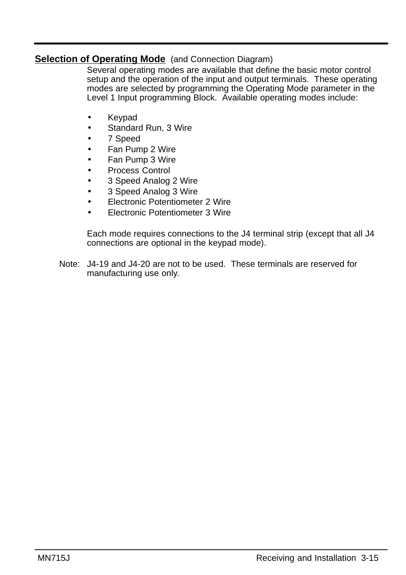# **Selection of Operating Mode** (and Connection Diagram)

Several operating modes are available that define the basic motor control setup and the operation of the input and output terminals. These operating modes are selected by programming the Operating Mode parameter in the Level 1 Input programming Block. Available operating modes include:

- Keypad
- Standard Run, 3 Wire
- 7 Speed
- Fan Pump 2 Wire
- Fan Pump 3 Wire
- Process Control
- 3 Speed Analog 2 Wire
- 3 Speed Analog 3 Wire
- Electronic Potentiometer 2 Wire
- Electronic Potentiometer 3 Wire

Each mode requires connections to the J4 terminal strip (except that all J4 connections are optional in the keypad mode).

Note: J4-19 and J4-20 are not to be used. These terminals are reserved for manufacturing use only.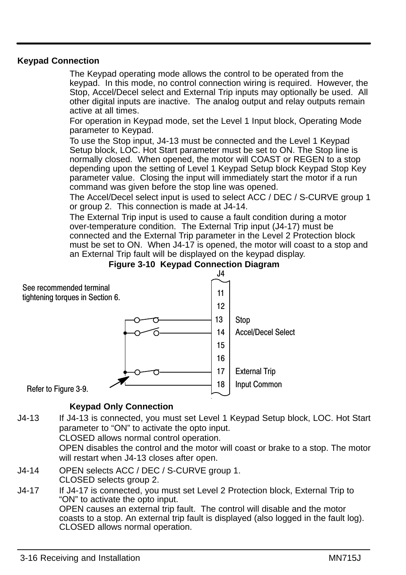#### **Keypad Connection**

The Keypad operating mode allows the control to be operated from the keypad. In this mode, no control connection wiring is required. However, the Stop, Accel/Decel select and External Trip inputs may optionally be used. All other digital inputs are inactive. The analog output and relay outputs remain active at all times.

For operation in Keypad mode, set the Level 1 Input block, Operating Mode parameter to Keypad.

To use the Stop input, J4-13 must be connected and the Level 1 Keypad Setup block, LOC. Hot Start parameter must be set to ON. The Stop line is normally closed. When opened, the motor will COAST or REGEN to a stop depending upon the setting of Level 1 Keypad Setup block Keypad Stop Key parameter value. Closing the input will immediately start the motor if a run command was given before the stop line was opened.

The Accel/Decel select input is used to select ACC / DEC / S-CURVE group 1 or group 2. This connection is made at J4-14.

The External Trip input is used to cause a fault condition during a motor over-temperature condition. The External Trip input (J4-17) must be connected and the External Trip parameter in the Level 2 Protection block must be set to ON. When J4-17 is opened, the motor will coast to a stop and an External Trip fault will be displayed on the keypad display.





#### **Keypad Only Connection**

J4-13 If J4-13 is connected, you must set Level 1 Keypad Setup block, LOC. Hot Start parameter to "ON" to activate the opto input. CLOSED allows normal control operation.

OPEN disables the control and the motor will coast or brake to a stop. The motor will restart when J4-13 closes after open.

- J4-14 OPEN selects ACC / DEC / S-CURVE group 1. CLOSED selects group 2.
- J4-17 If J4-17 is connected, you must set Level 2 Protection block, External Trip to "ON" to activate the opto input. OPEN causes an external trip fault. The control will disable and the motor coasts to a stop. An external trip fault is displayed (also logged in the fault log). CLOSED allows normal operation.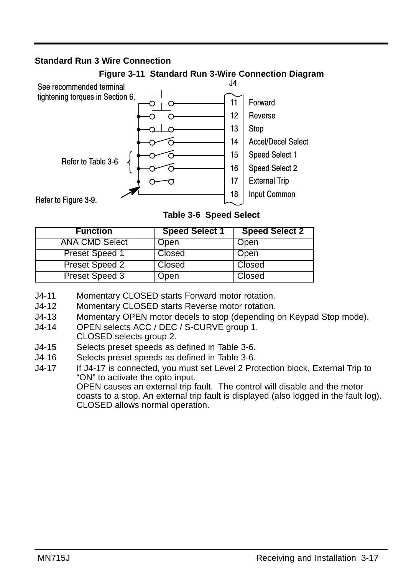#### **Standard Run 3 Wire Connection**



#### **Figure 3-11 Standard Run 3-Wire Connection Diagram**

**Table 3-6 Speed Select**

| <b>Function</b>       | <b>Speed Select 1</b> | <b>Speed Select 2</b> |
|-----------------------|-----------------------|-----------------------|
| <b>ANA CMD Select</b> | Open                  | Open                  |
| Preset Speed 1        | Closed                | Open                  |
| Preset Speed 2        | Closed                | Closed                |
| Preset Speed 3        | Dpen                  | Closed                |

J4-11 Momentary CLOSED starts Forward motor rotation.

- J4-12 Momentary CLOSED starts Reverse motor rotation.
- J4-13 Momentary OPEN motor decels to stop (depending on Keypad Stop mode).
- J4-14 OPEN selects ACC / DEC / S-CURVE group 1. CLOSED selects group 2.
- J4-15 Selects preset speeds as defined in Table 3-6.
- J4-16 Selects preset speeds as defined in Table 3-6.
- J4-17 If J4-17 is connected, you must set Level 2 Protection block, External Trip to "ON" to activate the opto input.

OPEN causes an external trip fault. The control will disable and the motor coasts to a stop. An external trip fault is displayed (also logged in the fault log). CLOSED allows normal operation.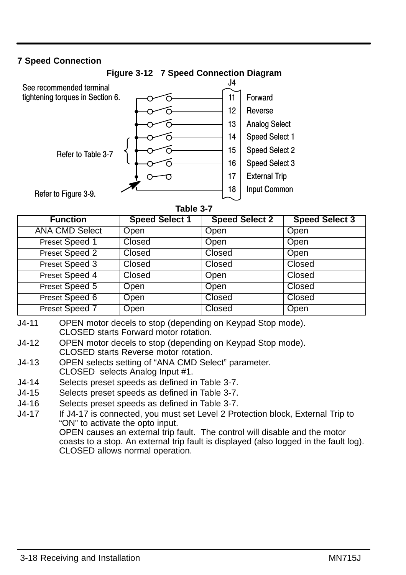## **7 Speed Connection**



| <b>Function</b>       | <b>Speed Select 1</b> | <b>Speed Select 2</b> | <b>Speed Select 3</b> |
|-----------------------|-----------------------|-----------------------|-----------------------|
| <b>ANA CMD Select</b> | Open                  | Open                  | Open                  |
| Preset Speed 1        | Closed                | Open                  | Open                  |
| Preset Speed 2        | Closed                | Closed                | Open                  |
| Preset Speed 3        | Closed                | Closed                | Closed                |
| Preset Speed 4        | Closed                | Open                  | Closed                |
| Preset Speed 5        | Open                  | Open                  | Closed                |
| Preset Speed 6        | Open                  | Closed                | Closed                |
| Preset Speed 7        | Open                  | Closed                | Open                  |

- J4-11 OPEN motor decels to stop (depending on Keypad Stop mode). CLOSED starts Forward motor rotation.
- J4-12 OPEN motor decels to stop (depending on Keypad Stop mode). CLOSED starts Reverse motor rotation.
- J4-13 OPEN selects setting of "ANA CMD Select" parameter. CLOSED selects Analog Input #1.
- J4-14 Selects preset speeds as defined in Table 3-7.
- J4-15 Selects preset speeds as defined in Table 3-7.
- J4-16 Selects preset speeds as defined in Table 3-7.
- J4-17 If J4-17 is connected, you must set Level 2 Protection block, External Trip to "ON" to activate the opto input. OPEN causes an external trip fault. The control will disable and the motor coasts to a stop. An external trip fault is displayed (also logged in the fault log). CLOSED allows normal operation.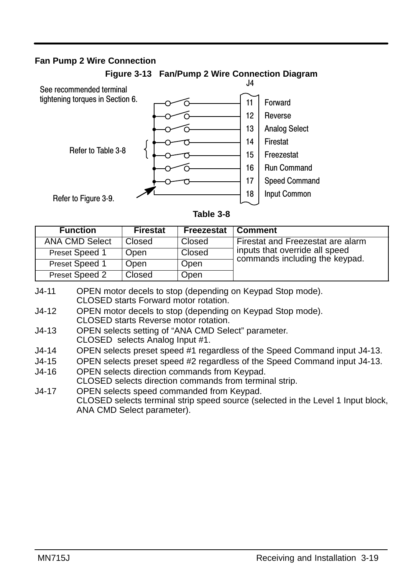#### **Fan Pump 2 Wire Connection**



**Figure 3-13 Fan/Pump 2 Wire Connection Diagram**

| <b>Function</b>       | <b>Firestat</b> | Freezestat | <b>Comment</b>                                                   |
|-----------------------|-----------------|------------|------------------------------------------------------------------|
| <b>ANA CMD Select</b> | Closed          | Closed     | Firestat and Freezestat are alarm                                |
| Preset Speed 1        | Open            | Closed     | inputs that override all speed<br>commands including the keypad. |
| Preset Speed 1        | Open            | Open       |                                                                  |
| Preset Speed 2        | Closed          | Open       |                                                                  |

- J4-11 OPEN motor decels to stop (depending on Keypad Stop mode). CLOSED starts Forward motor rotation.
- J4-12 OPEN motor decels to stop (depending on Keypad Stop mode). CLOSED starts Reverse motor rotation.
- J4-13 OPEN selects setting of "ANA CMD Select" parameter. CLOSED selects Analog Input #1.
- J4-14 OPEN selects preset speed #1 regardless of the Speed Command input J4-13.
- J4-15 OPEN selects preset speed #2 regardless of the Speed Command input J4-13.
- J4-16 OPEN selects direction commands from Keypad. CLOSED selects direction commands from terminal strip. J4-17 OPEN selects speed commanded from Keypad.
- CLOSED selects terminal strip speed source (selected in the Level 1 Input block, ANA CMD Select parameter).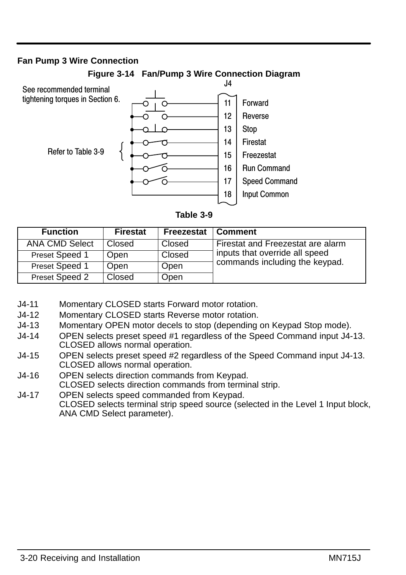#### **Fan Pump 3 Wire Connection**



**Figure 3-14 Fan/Pump 3 Wire Connection Diagram**

| <b>Function</b>       | <b>Firestat</b> | Freezestat | <b>Comment</b>                    |
|-----------------------|-----------------|------------|-----------------------------------|
| <b>ANA CMD Select</b> | Closed          | Closed     | Firestat and Freezestat are alarm |
| Preset Speed 1        | Open            | Closed     | inputs that override all speed    |
| Preset Speed 1        | Open            | Open       | commands including the keypad.    |
| Preset Speed 2        | Closed          | Open       |                                   |

- J4-11 Momentary CLOSED starts Forward motor rotation.
- J4-12 Momentary CLOSED starts Reverse motor rotation.
- J4-13 Momentary OPEN motor decels to stop (depending on Keypad Stop mode).
- J4-14 OPEN selects preset speed #1 regardless of the Speed Command input J4-13. CLOSED allows normal operation.
- J4-15 OPEN selects preset speed #2 regardless of the Speed Command input J4-13. CLOSED allows normal operation.
- J4-16 OPEN selects direction commands from Keypad.
- CLOSED selects direction commands from terminal strip.
- J4-17 OPEN selects speed commanded from Keypad. CLOSED selects terminal strip speed source (selected in the Level 1 Input block, ANA CMD Select parameter).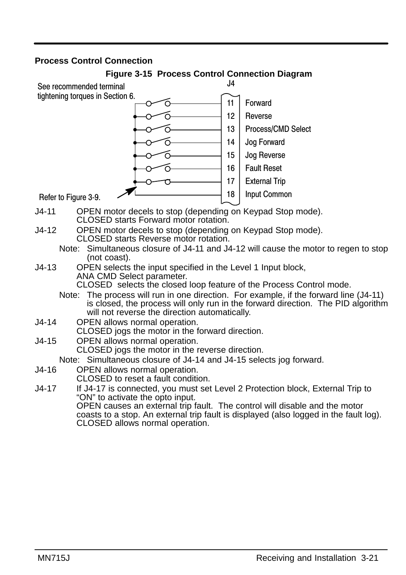#### **Process Control Connection**

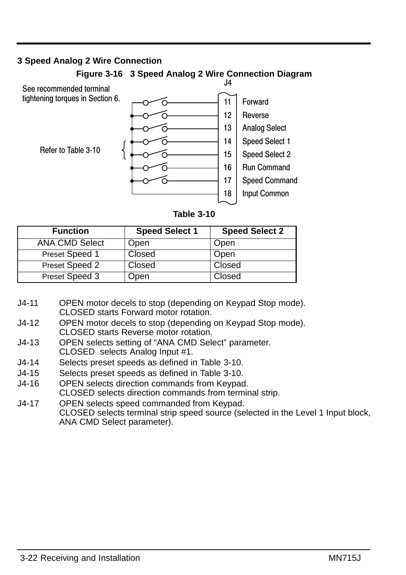## **3 Speed Analog 2 Wire Connection**



Refer to Table 3-10



| <b>Function</b>       | <b>Speed Select 1</b> | <b>Speed Select 2</b> |
|-----------------------|-----------------------|-----------------------|
| <b>ANA CMD Select</b> | Open                  | Open                  |
| Preset Speed 1        | Closed                | Open                  |
| Preset Speed 2        | Closed                | Closed                |
| Preset Speed 3        | Open                  | Closed                |

- J4-11 OPEN motor decels to stop (depending on Keypad Stop mode). CLOSED starts Forward motor rotation.
- J4-12 OPEN motor decels to stop (depending on Keypad Stop mode). CLOSED starts Reverse motor rotation.
- J4-13 OPEN selects setting of "ANA CMD Select" parameter. CLOSED selects Analog Input #1.
- J4-14 Selects preset speeds as defined in Table 3-10.
- J4-15 Selects preset speeds as defined in Table 3-10.
- J4-16 OPEN selects direction commands from Keypad. CLOSED selects direction commands from terminal strip.
- J4-17 OPEN selects speed commanded from Keypad. CLOSED selects terminal strip speed source (selected in the Level 1 Input block, ANA CMD Select parameter).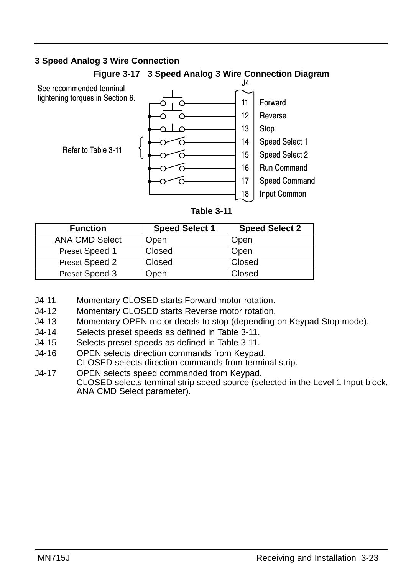#### **3 Speed Analog 3 Wire Connection**



#### **Figure 3-17 3 Speed Analog 3 Wire Connection Diagram**

| <b>Function</b>       | <b>Speed Select 1</b> | <b>Speed Select 2</b> |
|-----------------------|-----------------------|-----------------------|
| <b>ANA CMD Select</b> | Open                  | Open                  |
| Preset Speed 1        | Closed                | Open                  |
| Preset Speed 2        | Closed                | Closed                |
| Preset Speed 3        | Open                  | Closed                |

- J4-11 Momentary CLOSED starts Forward motor rotation.
- J4-12 Momentary CLOSED starts Reverse motor rotation.
- J4-13 Momentary OPEN motor decels to stop (depending on Keypad Stop mode).
- J4-14 Selects preset speeds as defined in Table 3-11.
- J4-15 Selects preset speeds as defined in Table 3-11.
- J4-16 OPEN selects direction commands from Keypad. CLOSED selects direction commands from terminal strip.
- J4-17 OPEN selects speed commanded from Keypad. CLOSED selects terminal strip speed source (selected in the Level 1 Input block, ANA CMD Select parameter).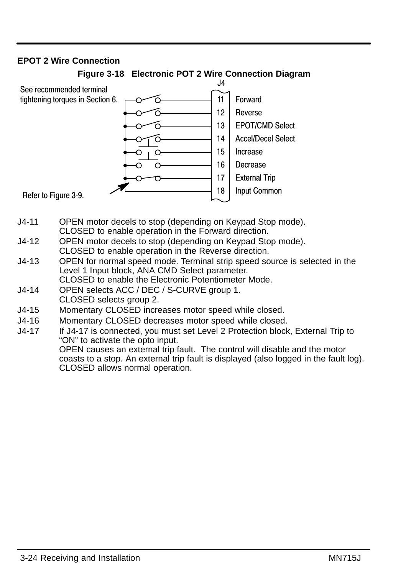#### **EPOT 2 Wire Connection**



#### **Figure 3-18 Electronic POT 2 Wire Connection Diagram**

- J4-11 OPEN motor decels to stop (depending on Keypad Stop mode). CLOSED to enable operation in the Forward direction.
- J4-12 OPEN motor decels to stop (depending on Keypad Stop mode). CLOSED to enable operation in the Reverse direction.
- J4-13 OPEN for normal speed mode. Terminal strip speed source is selected in the Level 1 Input block, ANA CMD Select parameter. CLOSED to enable the Electronic Potentiometer Mode.
- J4-14 OPEN selects ACC / DEC / S-CURVE group 1. CLOSED selects group 2.
- J4-15 Momentary CLOSED increases motor speed while closed.
- J4-16 Momentary CLOSED decreases motor speed while closed.
- J4-17 If J4-17 is connected, you must set Level 2 Protection block, External Trip to "ON" to activate the opto input. OPEN causes an external trip fault. The control will disable and the motor coasts to a stop. An external trip fault is displayed (also logged in the fault log). CLOSED allows normal operation.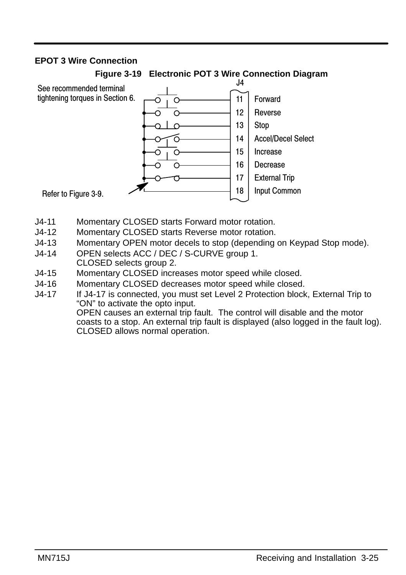## **EPOT 3 Wire Connection**



**Figure 3-19 Electronic POT 3 Wire Connection Diagram**

- J4-11 Momentary CLOSED starts Forward motor rotation.
- J4-12 Momentary CLOSED starts Reverse motor rotation.
- J4-13 Momentary OPEN motor decels to stop (depending on Keypad Stop mode).
- J4-14 OPEN selects ACC / DEC / S-CURVE group 1. CLOSED selects group 2.
- J4-15 Momentary CLOSED increases motor speed while closed.
- J4-16 Momentary CLOSED decreases motor speed while closed.
- J4-17 If J4-17 is connected, you must set Level 2 Protection block, External Trip to "ON" to activate the opto input.

OPEN causes an external trip fault. The control will disable and the motor coasts to a stop. An external trip fault is displayed (also logged in the fault log). CLOSED allows normal operation.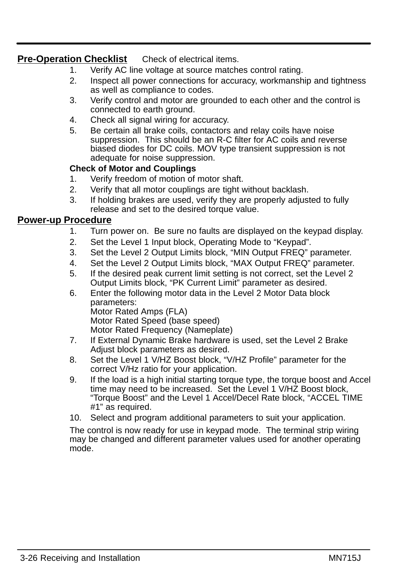# **Pre-Operation Checklist** Check of electrical items.

- 1. Verify AC line voltage at source matches control rating.
- 2. Inspect all power connections for accuracy, workmanship and tightness as well as compliance to codes.
- 3. Verify control and motor are grounded to each other and the control is connected to earth ground.
- 4. Check all signal wiring for accuracy.
- 5. Be certain all brake coils, contactors and relay coils have noise suppression. This should be an R-C filter for AC coils and reverse biased diodes for DC coils. MOV type transient suppression is not adequate for noise suppression.

### **Check of Motor and Couplings**

- 1. Verify freedom of motion of motor shaft.
- 2. Verify that all motor couplings are tight without backlash.
- 3. If holding brakes are used, verify they are properly adjusted to fully release and set to the desired torque value.

# **Power-up Procedure**

- 1. Turn power on. Be sure no faults are displayed on the keypad display.
- 2. Set the Level 1 Input block, Operating Mode to "Keypad".
- 3. Set the Level 2 Output Limits block, "MIN Output FREQ" parameter.
- 4. Set the Level 2 Output Limits block, "MAX Output FREQ" parameter.
- 5. If the desired peak current limit setting is not correct, set the Level 2 Output Limits block, "PK Current Limit" parameter as desired.
- 6. Enter the following motor data in the Level 2 Motor Data block parameters: Motor Rated Amps (FLA) Motor Rated Speed (base speed) Motor Rated Frequency (Nameplate)
- 7. If External Dynamic Brake hardware is used, set the Level 2 Brake Adjust block parameters as desired.
- 8. Set the Level 1 V/HZ Boost block, "V/HZ Profile" parameter for the correct V/Hz ratio for your application.
- 9. If the load is a high initial starting torque type, the torque boost and Accel time may need to be increased. Set the Level 1 V/HZ Boost block, "Torque Boost" and the Level 1 Accel/Decel Rate block, "ACCEL TIME #1" as required.
- 10. Select and program additional parameters to suit your application.

The control is now ready for use in keypad mode. The terminal strip wiring may be changed and different parameter values used for another operating mode.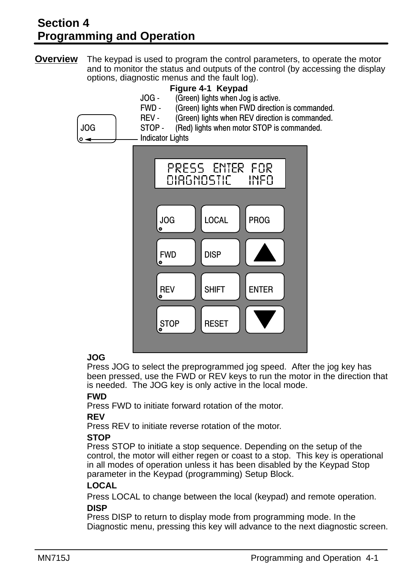# **Section 4 Programming and Operation**

**Overview** The keypad is used to program the control parameters, to operate the motor and to monitor the status and outputs of the control (by accessing the display options, diagnostic menus and the fault log).



# **JOG**

Press JOG to select the preprogrammed jog speed. After the jog key has been pressed, use the FWD or REV keys to run the motor in the direction that is needed. The JOG key is only active in the local mode.

#### **FWD**

Press FWD to initiate forward rotation of the motor.

#### **REV**

Press REV to initiate reverse rotation of the motor.

# **STOP**

Press STOP to initiate a stop sequence. Depending on the setup of the control, the motor will either regen or coast to a stop. This key is operational in all modes of operation unless it has been disabled by the Keypad Stop parameter in the Keypad (programming) Setup Block.

#### **LOCAL**

Press LOCAL to change between the local (keypad) and remote operation. **DISP** 

#### Press DISP to return to display mode from programming mode. In the Diagnostic menu, pressing this key will advance to the next diagnostic screen.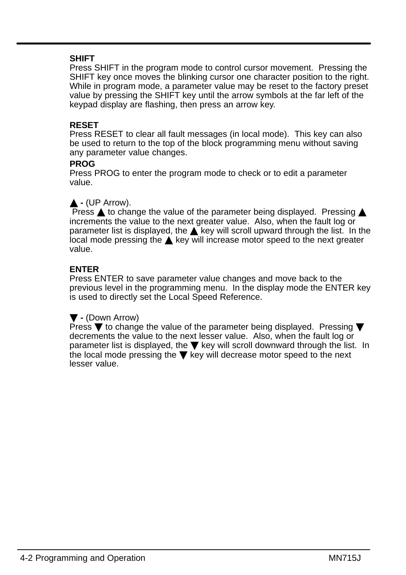#### **SHIFT**

Press SHIFT in the program mode to control cursor movement. Pressing the SHIFT key once moves the blinking cursor one character position to the right. While in program mode, a parameter value may be reset to the factory preset value by pressing the SHIFT key until the arrow symbols at the far left of the keypad display are flashing, then press an arrow key.

#### **RESET**

Press RESET to clear all fault messages (in local mode). This key can also be used to return to the top of the block programming menu without saving any parameter value changes.

#### **PROG**

Press PROG to enter the program mode to check or to edit a parameter value.

### $\triangle$  - (UP Arrow).

Press  $\triangle$  to change the value of the parameter being displayed. Pressing  $\triangle$ increments the value to the next greater value. Also, when the fault log or parameter list is displayed, the  $\triangle$  key will scroll upward through the list. In the local mode pressing the  $\triangle$  key will increase motor speed to the next greater value.

#### **ENTER**

Press ENTER to save parameter value changes and move back to the previous level in the programming menu. In the display mode the ENTER key is used to directly set the Local Speed Reference.

#### **-** (Down Arrow)

Press  $\blacktriangledown$  to change the value of the parameter being displayed. Pressing  $\blacktriangledown$ decrements the value to the next lesser value. Also, when the fault log or parameter list is displayed, the  $\blacktriangledown$  key will scroll downward through the list. In the local mode pressing the  $\blacktriangledown$  key will decrease motor speed to the next lesser value.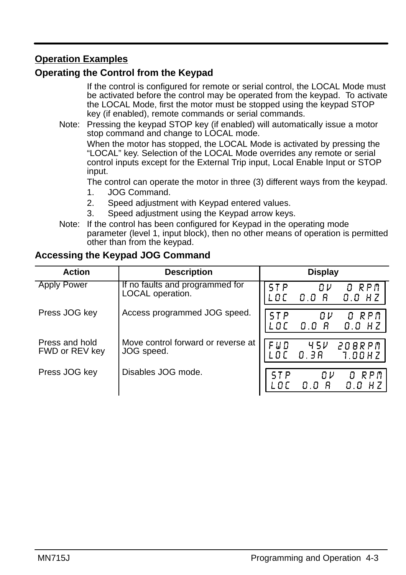# **Operation Examples**

# **Operating the Control from the Keypad**

If the control is configured for remote or serial control, the LOCAL Mode must be activated before the control may be operated from the keypad. To activate the LOCAL Mode, first the motor must be stopped using the keypad STOP key (if enabled), remote commands or serial commands.

Note: Pressing the keypad STOP key (if enabled) will automatically issue a motor stop command and change to LOCAL mode.

When the motor has stopped, the LOCAL Mode is activated by pressing the "LOCAL" key. Selection of the LOCAL Mode overrides any remote or serial control inputs except for the External Trip input, Local Enable Input or STOP input.

The control can operate the motor in three (3) different ways from the keypad.

- 1. JOG Command.
- 2. Speed adjustment with Keypad entered values.
- 3. Speed adjustment using the Keypad arrow keys.
- Note: If the control has been configured for Keypad in the operating mode parameter (level 1, input block), then no other means of operation is permitted other than from the keypad.

# **Accessing the Keypad JOG Command**

| <b>Action</b>                    | <b>Description</b>                                  | <b>Display</b>                                       |
|----------------------------------|-----------------------------------------------------|------------------------------------------------------|
| <b>Apply Power</b>               | If no faults and programmed for<br>LOCAL operation. | STP<br>RPM<br>Oν<br>п<br>8<br>0.0 H Z<br>0. O<br>LOC |
| Press JOG key                    | Access programmed JOG speed.                        | O RPM<br>0 V<br>B.<br>n n<br>0.0<br>H Z              |
| Press and hold<br>FWD or REV key | Move control forward or reverse at<br>JOG speed.    | 0.3R<br>208RPM<br>7.00HZ                             |
| Press JOG key                    | Disables JOG mode.                                  | RPM<br>$0\nu$<br>п<br>0. O                           |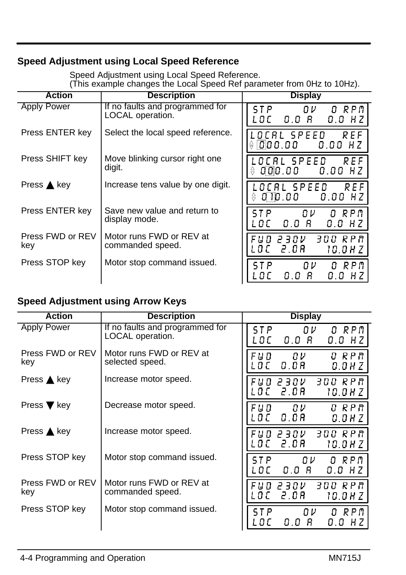# **Speed Adjustment using Local Speed Reference**

Speed Adjustment using Local Speed Reference. (This example changes the Local Speed Ref parameter from 0Hz to 10Hz).

| <b>Action</b>           | <b>Description</b>                                  | <b>Display</b>                                         |
|-------------------------|-----------------------------------------------------|--------------------------------------------------------|
| <b>Apply Power</b>      | If no faults and programmed for<br>LOCAL operation. | ST P<br>ΠV<br>O RPM<br>0.0 B<br>$0.0$ Hz<br>L O C      |
| Press ENTER key         | Select the local speed reference.                   | LOCAL SPEED<br>REF<br>000.00<br>0.00<br>⇔<br>- H Z     |
| Press SHIFT key         | Move blinking cursor right one<br>digit.            | NLBI SPEEN<br>REF<br>000.00<br>$0.00$ HZ<br>승          |
| Press $\triangle$ key   | Increase tens value by one digit.                   | OCAL SPEED<br>RFF<br>0 10 00<br>$0.00$ HZ              |
| Press ENTER key         | Save new value and return to<br>display mode.       | ΠV<br>STP<br>O RPM<br>0.0<br>8<br>0.0 H Z<br>-n r      |
| Press FWD or REV<br>key | Motor runs FWD or REV at<br>commanded speed.        | F U D  2 30 V<br>300 RPM<br>2.OR<br>LBE<br>10.0 H Z    |
| Press STOP key          | Motor stop command issued.                          | ΠV<br>RPM<br>STP<br>n<br>0.0<br>-R<br>0.0 H Z<br>L O C |

# **Speed Adjustment using Arrow Keys**

| <b>Action</b>                  | <b>Description</b>                                  | <b>Display</b>                                        |
|--------------------------------|-----------------------------------------------------|-------------------------------------------------------|
| Apply Power                    | If no faults and programmed for<br>LOCAL operation. | ST P.<br>ΩV<br>O RPM<br>-8<br>L O C<br>0.0<br>0.0 H Z |
| Press FWD or REV<br>key        | Motor runs FWD or REV at<br>selected speed.         | ח פא ס<br>FUD<br>Oν<br>0.OR<br>. D.C.<br>0.0 H Z      |
| Press $\triangle$ key          | Increase motor speed.                               | 300 RPM<br>230V<br>F U D<br>2.OR<br>LOC<br>10.0 H Z   |
| Press $\blacktriangledown$ key | Decrease motor speed.                               | ח פא ס<br>FUD<br>Oν<br>0.OR<br>. O C<br>0.0 H Z       |
| Press $\triangle$ key          | Increase motor speed.                               | FUD 230V<br>300 RPM<br>LOCI<br>-2.0A<br>10.0 H Z      |
| Press STOP key                 | Motor stop command issued.                          | ΠV<br>ST P<br>O RPM<br>0.0<br>-8<br>0.0 H Z<br>LOC    |
| Press FWD or REV<br>key        | Motor runs FWD or REV at<br>commanded speed.        | 300 RPM<br>F U D 2 3 O V<br>2.OR<br>LOC<br>10.0HZ     |
| Press STOP key                 | Motor stop command issued.                          | RPM<br>ST P<br>ΩV<br>0<br>0.0 R<br>L O C<br>0.0 H Z   |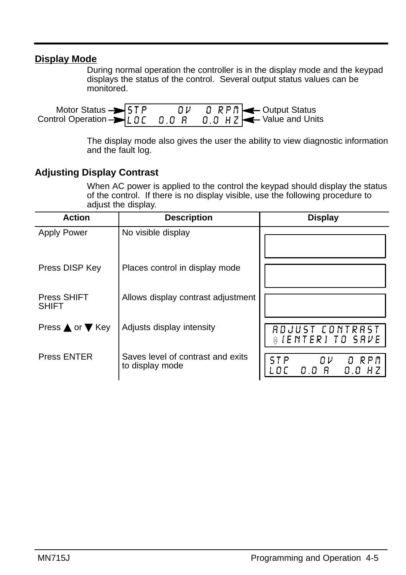# **Display Mode**

During normal operation the controller is in the display mode and the keypad displays the status of the control. Several output status values can be monitored.

| Motor Status $\rightarrow$ 5T P<br>Control Operation > LOC 0.0 R 0.0 HZ < Value and Units |  | $0 \nu$ 0 RPM $\rightarrow$ Output Status |
|-------------------------------------------------------------------------------------------|--|-------------------------------------------|
|                                                                                           |  |                                           |

The display mode also gives the user the ability to view diagnostic information and the fault log.

# **Adjusting Display Contrast**

When AC power is applied to the control the keypad should display the status of the control. If there is no display visible, use the following procedure to adjust the display.

| <b>Action</b>               | <b>Description</b>                                   | <b>Display</b>                            |
|-----------------------------|------------------------------------------------------|-------------------------------------------|
| <b>Apply Power</b>          | No visible display                                   |                                           |
| Press DISP Key              | Places control in display mode                       |                                           |
| Press SHIFT<br><b>SHIFT</b> | Allows display contrast adjustment                   |                                           |
| Press ▲ or ▼ Key            | Adjusts display intensity                            | RDJUST CONTRAST<br><b>ALENTERITO SAVE</b> |
| <b>Press ENTER</b>          | Saves level of contrast and exits<br>to display mode | O RPM<br>Oν<br>STP<br>0.0 H Z             |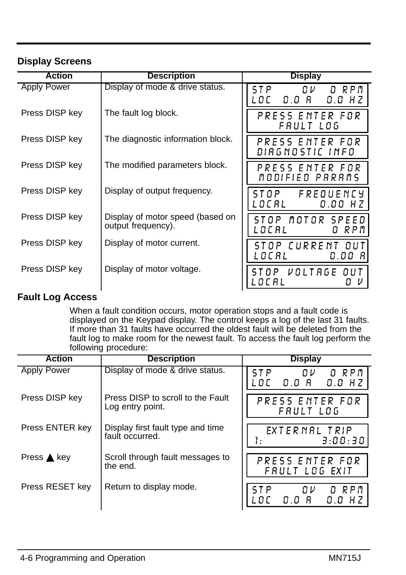# **Display Screens**

| <b>Action</b>      | <b>Description</b>                                     | <b>Display</b>                                 |
|--------------------|--------------------------------------------------------|------------------------------------------------|
| <b>Apply Power</b> | Display of mode & drive status.                        | ST P<br>0 V I<br>O RPM<br>LOC 0.0 A<br>0.0 H Z |
| Press DISP key     | The fault log block.                                   | PRESS ENTER FOR<br>FRULT LOG                   |
| Press DISP key     | The diagnostic information block.                      | PRESS ENTER FOR<br>DIRGNOSTIC INFO             |
| Press DISP key     | The modified parameters block.                         | PRESS ENTER FOR<br>MODIFIED PARAMS             |
| Press DISP key     | Display of output frequency.                           | STOP FREQUENCY<br>L O C R L<br>$0.00$ HZ       |
| Press DISP key     | Display of motor speed (based on<br>output frequency). | STOP MOTOR SPEED<br>LOCAL<br>RPM<br>0          |
| Press DISP key     | Display of motor current.                              | STOP CURRENT OUT<br>L O C A L<br>0.00 R        |
| Press DISP key     | Display of motor voltage.                              | STOP VOLTRGE OUT<br>LOCAL                      |

# **Fault Log Access**

When a fault condition occurs, motor operation stops and a fault code is displayed on the Keypad display. The control keeps a log of the last 31 faults. If more than 31 faults have occurred the oldest fault will be deleted from the fault log to make room for the newest fault. To access the fault log perform the following procedure:

| <b>Action</b>         | <b>Description</b>                                    | <b>Display</b>                                      |
|-----------------------|-------------------------------------------------------|-----------------------------------------------------|
| <b>Apply Power</b>    | Display of mode & drive status.                       | O RPM<br>STP<br>Oν<br>$0.0$ $B$<br>$0.0$ HZ<br>-n r |
| Press DISP key        | Press DISP to scroll to the Fault<br>Log entry point. | PRESS ENTER FOR<br>FRULT LOG                        |
| Press ENTER key       | Display first fault type and time<br>fault occurred.  | EXTERNAL TRIP<br>3:00:30<br>Į.                      |
| Press $\triangle$ key | Scroll through fault messages to<br>the end.          | PRESS ENTER FOR<br>FRULT LOG EXIT                   |
| Press RESET key       | Return to display mode.                               | ST P<br>O RPM<br>- 0 V<br>0.0 R<br>$0.0$ HZ<br>-n r |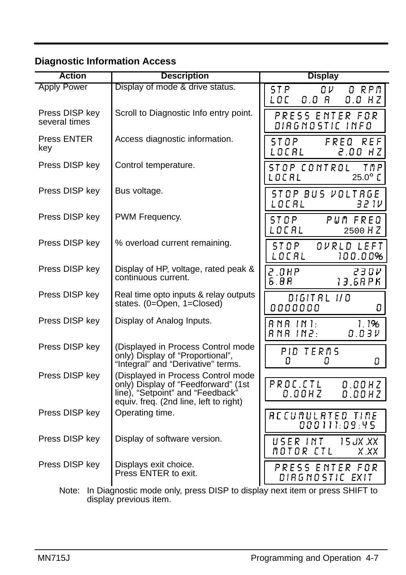# **Diagnostic Information Access**

| <b>Action</b>                   | <b>Description</b>                                                                                                                                      | <b>Display</b>                                            |
|---------------------------------|---------------------------------------------------------------------------------------------------------------------------------------------------------|-----------------------------------------------------------|
| <b>Apply Power</b>              | Display of mode & drive status.                                                                                                                         | OV.<br>STP<br>O RPM<br>LOC<br>0.0 R<br>$0.0$ HZ           |
| Press DISP key<br>several times | Scroll to Diagnostic Info entry point.                                                                                                                  | PRESS ENTER FOR<br>DIRGNOSTIC INFO                        |
| Press ENTER<br>key              | Access diagnostic information.                                                                                                                          | FREQ REF<br>ST O P<br>LOCAL<br><b>2.00 HZ</b>             |
| Press DISP key                  | Control temperature.                                                                                                                                    | STOP CONTROL<br>TMP.<br>$25.0^\circ$ C<br>LOCAL           |
| Press DISP key                  | Bus voltage.                                                                                                                                            | STOP BUS VOLTRGE<br>LOCAL<br>32 IV                        |
| Press DISP key                  | PWM Frequency.                                                                                                                                          | ST O P<br>PUM FREQ<br>LOCAL<br>2500 HZ                    |
| Press DISP key                  | % overload current remaining.                                                                                                                           | STOP<br>OVRLD LEFT<br>LOCAL<br>100.00%                    |
| Press DISP key                  | Display of HP, voltage, rated peak &<br>continuous current.                                                                                             | 2.0HP<br>23 O V<br>6.8R<br>$13.6$ RPK                     |
| Press DISP key                  | Real time opto inputs & relay outputs<br>states. (0=Open, 1=Closed)                                                                                     | DIGIT AL 1/0<br>0000000<br>0                              |
| Press DISP key                  | Display of Analog Inputs.                                                                                                                               | 1.1%<br>$R$ $N$ $R$ $1$ $N$ $1$ :<br>R N R IN 2:<br>0.03V |
| Press DISP key                  | (Displayed in Process Control mode<br>only) Display of "Proportional",<br>"Integral" and "Derivative" terms.                                            | PID TERMS<br>п.<br>0<br>0                                 |
| Press DISP key                  | (Displayed in Process Control mode<br>only) Display of "Feedforward" (1st<br>line), "Setpoint" and "Feedback"<br>equiv. freq. (2nd line, left to right) | PROC.CTL<br>0.00HZ<br>$0.00$ HZ<br>0.00HZ                 |
| Press DISP key                  | Operating time.                                                                                                                                         | ACCUMULATED TIME<br>000111:09:45                          |
| Press DISP key                  | Display of software version.                                                                                                                            | USER INT<br>15 JX .XX<br>MOTOR CTL<br>X XX                |
| Press DISP key                  | Displays exit choice.<br>Press ENTER to exit.                                                                                                           | PRESS ENTER FOR<br>DIRGNOSTIC EXIT                        |
| $M = 1 - 1 - 1$                 | والمواصل والمراجع والمراجع ومراجع لألاف                                                                                                                 | 0.1177.                                                   |

Note: In Diagnostic mode only, press DISP to display next item or press SHIFT to display previous item.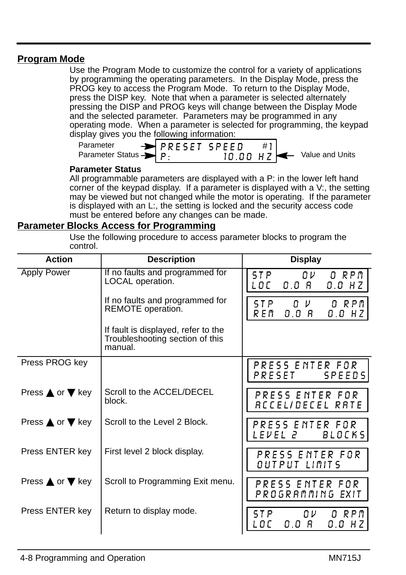### **Program Mode**

Use the Program Mode to customize the control for a variety of applications by programming the operating parameters. In the Display Mode, press the PROG key to access the Program Mode. To return to the Display Mode, press the DISP key. Note that when a parameter is selected alternately pressing the DISP and PROG keys will change between the Display Mode and the selected parameter. Parameters may be programmed in any operating mode. When a parameter is selected for programming, the keypad display gives you the following information:

| .                                 |                            |  |                                        |
|-----------------------------------|----------------------------|--|----------------------------------------|
| Parameter                         | $\rightarrow$ PRESET SPEED |  |                                        |
| Parameter Status $\rightarrow$ p. |                            |  | 10.00 H Z $\leftarrow$ Value and Units |

#### **Parameter Status**

All programmable parameters are displayed with a P: in the lower left hand corner of the keypad display. If a parameter is displayed with a V:, the setting may be viewed but not changed while the motor is operating. If the parameter is displayed with an L:, the setting is locked and the security access code must be entered before any changes can be made.

#### **Parameter Blocks Access for Programming**

Use the following procedure to access parameter blocks to program the control.

| <b>Action</b>                     | <b>Description</b>                                                                | <b>Display</b>                                         |
|-----------------------------------|-----------------------------------------------------------------------------------|--------------------------------------------------------|
| <b>Apply Power</b>                | If no faults and programmed for<br>LOCAL operation.                               | O RPM<br>ST P<br>O V<br>LOC<br>0.0 R<br>0.0 H Z        |
|                                   | If no faults and programmed for<br>REMOTE operation.                              | ST P<br>O RPM<br>0 V -<br>0.0 R<br>R E M<br>$0.0$ HZ   |
|                                   | If fault is displayed, refer to the<br>Troubleshooting section of this<br>manual. |                                                        |
| Press PROG key                    |                                                                                   | PRESS ENTER FOR<br>PRESET SPEEDS                       |
| Press $\triangle$ or $\nabla$ key | Scroll to the ACCEL/DECEL<br>block.                                               | PRESS ENTER FOR<br>RCCEL/DECEL RATE                    |
| Press $\triangle$ or $\nabla$ key | Scroll to the Level 2 Block.                                                      | PRESS ENTER FOR<br><i>LEVEL 2</i> BLOCKS               |
| Press ENTER key                   | First level 2 block display.                                                      | PRESS ENTER FOR<br>OUTPUT LIMITS                       |
| Press $\triangle$ or $\nabla$ key | Scroll to Programming Exit menu.                                                  | PRESS ENTER FOR<br>PROGRAMMING EXIT                    |
| Press ENTER key                   | Return to display mode.                                                           | STP<br>0 V .<br>O RPM<br>0.0<br>В.<br>L O C<br>0.0 H Z |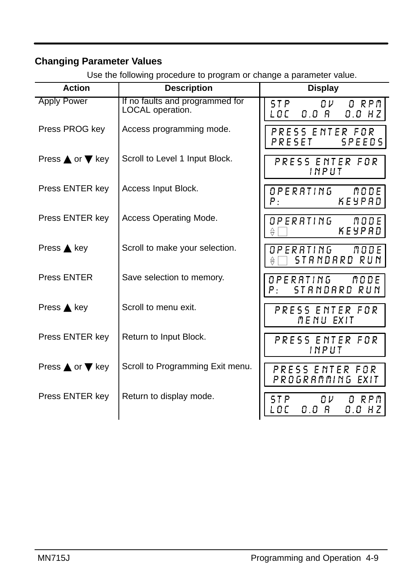# **Changing Parameter Values**

| <b>Action</b>                     | <b>Description</b>                                  | <b>Display</b>                                              |
|-----------------------------------|-----------------------------------------------------|-------------------------------------------------------------|
| <b>Apply Power</b>                | If no faults and programmed for<br>LOCAL operation. | STP<br>0V<br>O RPM<br>LOCI<br>0.0 R<br>0.0 H Z              |
| Press PROG key                    | Access programming mode.                            | PRESS ENTER FOR<br>PRESET SPEEDS                            |
| Press $\triangle$ or $\nabla$ key | Scroll to Level 1 Input Block.                      | PRESS ENTER FOR<br>INPUT                                    |
| Press ENTER key                   | Access Input Block.                                 | OPERATING MODE<br>KEYPAD<br>Р.                              |
| Press ENTER key                   | Access Operating Mode.                              | O P E R R T I N G<br>71 O D E I<br>KEYPRD                   |
| Press $\triangle$ key             | Scroll to make your selection.                      | OPERATING<br>71 O D E I<br>STANDARD RUN<br>€                |
| Press ENTER                       | Save selection to memory.                           | O P E R A T I N G<br>NODE.<br>STRNDRRD RUN<br>P.            |
| Press $\triangle$ key             | Scroll to menu exit.                                | PRESS ENTER FOR<br>MENU EXIT                                |
| Press ENTER key                   | Return to Input Block.                              | PRESS ENTER FOR<br>INPUT                                    |
| Press $\triangle$ or $\nabla$ key | Scroll to Programming Exit menu.                    | PRESS ENTER FOR<br>PROGRAMMING EXIT                         |
| Press ENTER key                   | Return to display mode.                             | ST P<br>$\Omega$ $\nu$<br>O RPM<br>LOC<br>0.0 A<br>$0.0$ HZ |

Use the following procedure to program or change a parameter value.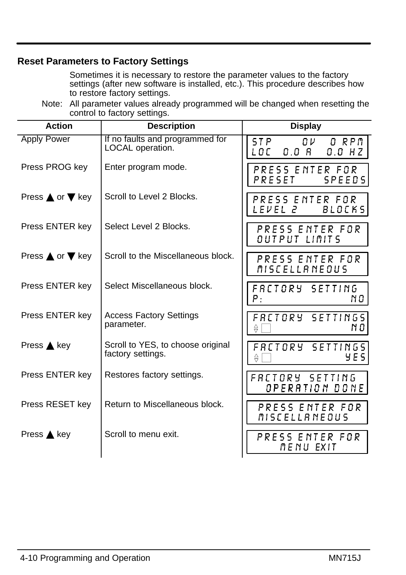# **Reset Parameters to Factory Settings**

Sometimes it is necessary to restore the parameter values to the factory settings (after new software is installed, etc.). This procedure describes how to restore factory settings.

Note: All parameter values already programmed will be changed when resetting the control to factory settings.

| <b>Action</b>                     | <b>Description</b>                                     | <b>Display</b>                                                  |
|-----------------------------------|--------------------------------------------------------|-----------------------------------------------------------------|
| <b>Apply Power</b>                | If no faults and programmed for<br>LOCAL operation.    | ST P<br>O RPM<br>$\Omega$ $\nu$<br>0.0 A<br>LOCI<br>0.0 HZ      |
| Press PROG key                    | Enter program mode.                                    | PRESS ENTER FOR<br>PRESET<br>SPEEDS                             |
| Press $\triangle$ or $\nabla$ key | Scroll to Level 2 Blocks.                              | PRESS ENTER FOR<br><i>LEVEL 2</i><br>BLOCKS                     |
| Press ENTER key                   | Select Level 2 Blocks.                                 | PRESS ENTER FOR<br>OUTPUT LIMITS                                |
| Press $\triangle$ or $\nabla$ key | Scroll to the Miscellaneous block.                     | PRESS ENTER FOR<br>MISCELLANEOUS                                |
| Press ENTER key                   | Select Miscellaneous block.                            | FRETORY SETTING<br>Ρ.<br>N O                                    |
| Press ENTER key                   | <b>Access Factory Settings</b><br>parameter.           | FRETORY SETTINGS<br>N 0.<br>$\frac{\triangle}{\triangledown}$   |
| Press $\triangle$ key             | Scroll to YES, to choose original<br>factory settings. | FRETORY SETTINGS<br>Y E S.<br>$\frac{\triangle}{\triangledown}$ |
| Press ENTER key                   | Restores factory settings.                             | FRETORY SETTING<br>OPERATION DONE                               |
| Press RESET key                   | Return to Miscellaneous block.                         | PRESS ENTER FOR<br>MISCELLANEOUS                                |
| Press $\triangle$ key             | Scroll to menu exit.                                   | PRESS ENTER FOR<br>MENU EXIT                                    |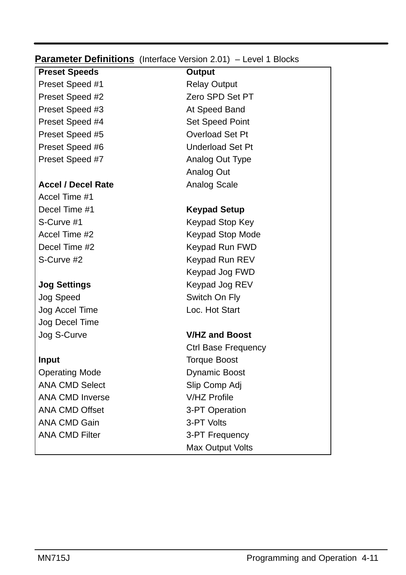### **Parameter Definitions** (Interface Version 2.01) - Level 1 Blocks

**Preset Speeds Output** Preset Speed #1 Relay Output Preset Speed #2 Zero SPD Set PT Preset Speed #3 At Speed Band Preset Speed #4 Set Speed Point Preset Speed #5 Overload Set Pt Preset Speed #6 Underload Set Pt Preset Speed #7 Analog Out Type

#### **Accel / Decel Rate** Analog Scale

Accel Time #1 Decel Time #1 **Keypad Setup**

Jog Speed Switch On Fly Jog Accel Time Loc. Hot Start Jog Decel Time

**Operating Mode Dynamic Boost** ANA CMD Select Slip Comp Adj ANA CMD Inverse V/HZ Profile ANA CMD Offset 3-PT Operation ANA CMD Gain 3-PT Volts ANA CMD Filter 3-PT Frequency

Analog Out

S-Curve #1 Keypad Stop Key Accel Time #2 Keypad Stop Mode Decel Time #2 Keypad Run FWD S-Curve #2 Keypad Run REV Keypad Jog FWD **Jog Settings** Keypad Jog REV

# Jog S-Curve **V/HZ and Boost**

Ctrl Base Frequency **Input** Torque Boost Max Output Volts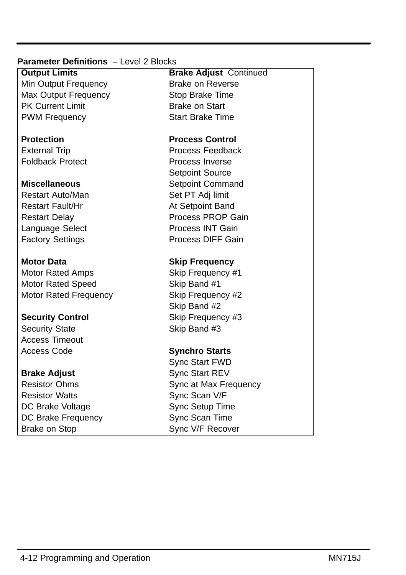### **Parameter Definitions** – Level 2 Blocks

Min Output Frequency Brake on Reverse Max Output Frequency Stop Brake Time PK Current Limit Brake on Start PWM Frequency **Start Brake Time** 

Foldback Protect **Process** Inverse

Restart Auto/Man Set PT Adj limit Restart Fault/Hr At Setpoint Band

Motor Rated Amps Skip Frequency #1 Motor Rated Speed Skip Band #1 Motor Rated Frequency Skip Frequency #2

Security State Skip Band #3 Access Timeout Access Code **Synchro Starts**

Resistor Watts Sync Scan V/F DC Brake Voltage Sync Setup Time DC Brake Frequency Sync Scan Time Brake on Stop Sync V/F Recover

**Output Limits Brake Adjust** Continued

### **Protection Process Control**

External Trip **Process Feedback** Setpoint Source **Miscellaneous** Setpoint Command Restart Delay **Process PROP Gain** Language Select **Process INT Gain** Factory Settings **Process DIFF Gain** 

# **Motor Data Skip Frequency**

Skip Band #2 **Security Control** Skip Frequency #3

Sync Start FWD **Brake Adjust** Sync Start REV Resistor Ohms Sync at Max Frequency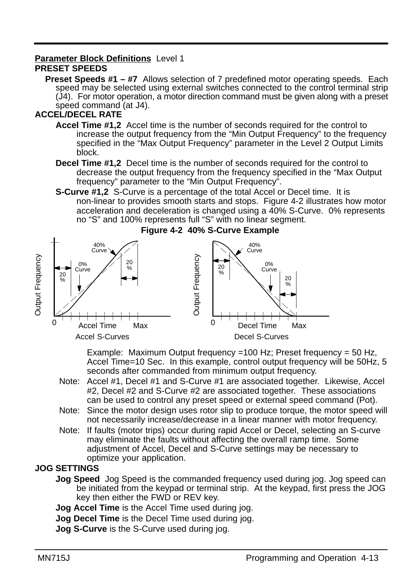# **Parameter Block Definitions** Level 1

### **PRESET SPEEDS**

**Preset Speeds #1 – #7** Allows selection of 7 predefined motor operating speeds. Each speed may be selected using external switches connected to the control terminal strip (J4). For motor operation, a motor direction command must be given along with a preset speed command (at J4).

# **ACCEL/DECEL RATE**

- **Accel Time #1,2** Accel time is the number of seconds required for the control to increase the output frequency from the "Min Output Frequency" to the frequency specified in the "Max Output Frequency" parameter in the Level 2 Output Limits block.
- **Decel Time #1,2** Decel time is the number of seconds required for the control to decrease the output frequency from the frequency specified in the "Max Output frequency" parameter to the "Min Output Frequency".
- **S-Curve #1,2** S-Curve is a percentage of the total Accel or Decel time. It is non-linear to provides smooth starts and stops. Figure 4-2 illustrates how motor acceleration and deceleration is changed using a 40% S-Curve. 0% represents no "S" and 100% represents full "S" with no linear segment.



Example: Maximum Output frequency =100 Hz; Preset frequency =  $50$  Hz, Accel Time=10 Sec. In this example, control output frequency will be 50Hz, 5 seconds after commanded from minimum output frequency.

- Note: Accel #1, Decel #1 and S-Curve #1 are associated together. Likewise, Accel #2, Decel #2 and S-Curve #2 are associated together. These associations can be used to control any preset speed or external speed command (Pot).
- Note: Since the motor design uses rotor slip to produce torque, the motor speed will not necessarily increase/decrease in a linear manner with motor frequency.
- Note: If faults (motor trips) occur during rapid Accel or Decel, selecting an S-curve may eliminate the faults without affecting the overall ramp time. Some adjustment of Accel, Decel and S-Curve settings may be necessary to optimize your application.

#### **JOG SETTINGS**

- **Jog Speed** Jog Speed is the commanded frequency used during jog. Jog speed can be initiated from the keypad or terminal strip. At the keypad, first press the JOG key then either the FWD or REV key.
- **Jog Accel Time** is the Accel Time used during jog.
- **Jog Decel Time** is the Decel Time used during jog.

**Jog S-Curve** is the S-Curve used during jog.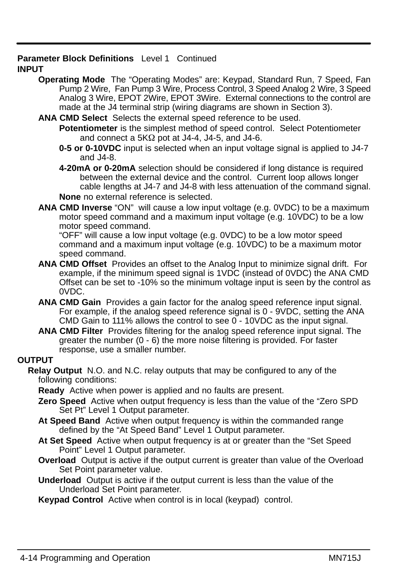#### **Parameter Block Definitions** Level 1 Continued **INPUT**

- **Operating Mode** The "Operating Modes" are: Keypad, Standard Run, 7 Speed, Fan Pump 2 Wire, Fan Pump 3 Wire, Process Control, 3 Speed Analog 2 Wire, 3 Speed Analog 3 Wire, EPOT 2Wire, EPOT 3Wire. External connections to the control are made at the J4 terminal strip (wiring diagrams are shown in Section 3).
- **ANA CMD Select** Selects the external speed reference to be used.
	- **Potentiometer** is the simplest method of speed control. Select Potentiometer and connect a  $5K\Omega$  pot at J4-4, J4-5, and J4-6.
	- **0-5 or 0-10VDC** input is selected when an input voltage signal is applied to J4-7 and J4-8.
	- **4-20mA or 0-20mA** selection should be considered if long distance is required between the external device and the control. Current loop allows longer cable lengths at J4-7 and J4-8 with less attenuation of the command signal. **None** no external reference is selected.
- **ANA CMD Inverse** "ON" will cause a low input voltage (e.g. 0VDC) to be a maximum motor speed command and a maximum input voltage (e.g. 10VDC) to be a low motor speed command.

"OFF" will cause a low input voltage (e.g. 0VDC) to be a low motor speed command and a maximum input voltage (e.g. 10VDC) to be a maximum motor speed command.

- **ANA CMD Offset** Provides an offset to the Analog Input to minimize signal drift. For example, if the minimum speed signal is 1VDC (instead of 0VDC) the ANA CMD Offset can be set to -10% so the minimum voltage input is seen by the control as 0VDC.
- **ANA CMD Gain** Provides a gain factor for the analog speed reference input signal. For example, if the analog speed reference signal is 0 - 9VDC, setting the ANA CMD Gain to 111% allows the control to see 0 - 10VDC as the input signal.
- **ANA CMD Filter** Provides filtering for the analog speed reference input signal. The greater the number (0 - 6) the more noise filtering is provided. For faster response, use a smaller number.

#### **OUTPUT**

**Relay Output** N.O. and N.C. relay outputs that may be configured to any of the following conditions:

**Ready** Active when power is applied and no faults are present.

- **Zero Speed** Active when output frequency is less than the value of the "Zero SPD Set Pt" Level 1 Output parameter.
- **At Speed Band** Active when output frequency is within the commanded range defined by the "At Speed Band" Level 1 Output parameter.
- **At Set Speed** Active when output frequency is at or greater than the "Set Speed Point" Level 1 Output parameter.
- **Overload** Output is active if the output current is greater than value of the Overload Set Point parameter value.
- **Underload** Output is active if the output current is less than the value of the Underload Set Point parameter.

**Keypad Control** Active when control is in local (keypad) control.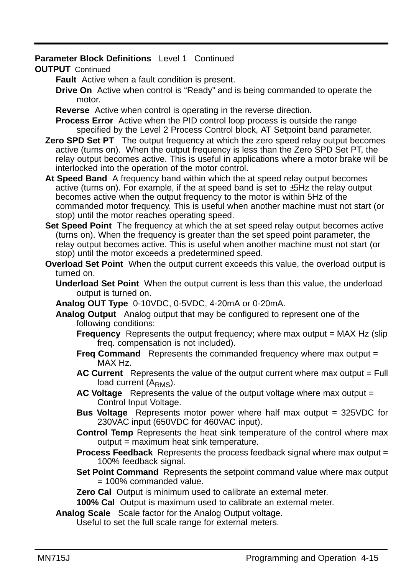#### **Parameter Block Definitions** Level 1 Continued

#### **OUTPUT** Continued

**Fault** Active when a fault condition is present.

**Drive On** Active when control is "Ready" and is being commanded to operate the motor.

**Reverse** Active when control is operating in the reverse direction.

**Process Error** Active when the PID control loop process is outside the range specified by the Level 2 Process Control block, AT Setpoint band parameter.

**Zero SPD Set PT** The output frequency at which the zero speed relay output becomes active (turns on). When the output frequency is less than the Zero SPD Set PT, the relay output becomes active. This is useful in applications where a motor brake will be interlocked into the operation of the motor control.

**At Speed Band** A frequency band within which the at speed relay output becomes active (turns on). For example, if the at speed band is set to  $\pm$ 5Hz the relay output becomes active when the output frequency to the motor is within 5Hz of the commanded motor frequency. This is useful when another machine must not start (or stop) until the motor reaches operating speed.

- **Set Speed Point** The frequency at which the at set speed relay output becomes active (turns on). When the frequency is greater than the set speed point parameter, the relay output becomes active. This is useful when another machine must not start (or stop) until the motor exceeds a predetermined speed.
- **Overload Set Point** When the output current exceeds this value, the overload output is turned on.
	- **Underload Set Point** When the output current is less than this value, the underload output is turned on.
	- **Analog OUT Type** 0-10VDC, 0-5VDC, 4-20mA or 0-20mA.
	- **Analog Output** Analog output that may be configured to represent one of the following conditions:
		- **Frequency** Represents the output frequency; where max output = MAX Hz (slip) freq. compensation is not included).
		- **Freq Command** Represents the commanded frequency where max output = MAX Hz.
		- AC Current Represents the value of the output current where max output = Full load current (A<sub>RMS</sub>).
		- **AC Voltage** Represents the value of the output voltage where max output = Control Input Voltage.
		- **Bus Voltage** Represents motor power where half max output = 325VDC for 230VAC input (650VDC for 460VAC input).
		- **Control Temp** Represents the heat sink temperature of the control where max output = maximum heat sink temperature.
		- **Process Feedback** Represents the process feedback signal where max output = 100% feedback signal.
		- **Set Point Command** Represents the setpoint command value where max output = 100% commanded value.
		- **Zero Cal** Output is minimum used to calibrate an external meter.

**100% Cal** Output is maximum used to calibrate an external meter.

**Analog Scale** Scale factor for the Analog Output voltage.

Useful to set the full scale range for external meters.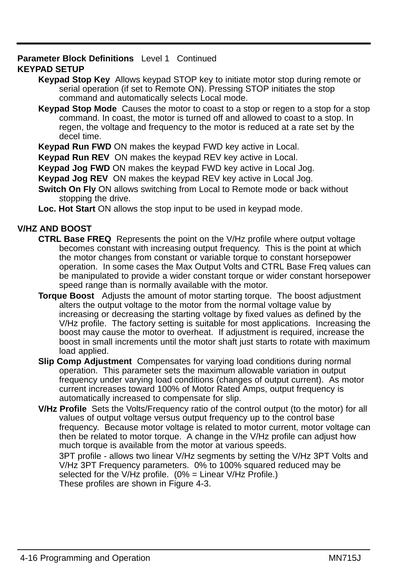#### **Parameter Block Definitions** Level 1 Continued **KEYPAD SETUP**

- **Keypad Stop Key** Allows keypad STOP key to initiate motor stop during remote or serial operation (if set to Remote ON). Pressing STOP initiates the stop command and automatically selects Local mode.
- **Keypad Stop Mode** Causes the motor to coast to a stop or regen to a stop for a stop command. In coast, the motor is turned off and allowed to coast to a stop. In regen, the voltage and frequency to the motor is reduced at a rate set by the decel time.

**Keypad Run FWD** ON makes the keypad FWD key active in Local.

**Keypad Run REV** ON makes the keypad REV key active in Local.

**Keypad Jog FWD** ON makes the keypad FWD key active in Local Jog.

**Keypad Jog REV** ON makes the keypad REV key active in Local Jog.

**Switch On Fly** ON allows switching from Local to Remote mode or back without stopping the drive.

**Loc. Hot Start** ON allows the stop input to be used in keypad mode.

# **V/HZ AND BOOST**

- **CTRL Base FREQ** Represents the point on the V/Hz profile where output voltage becomes constant with increasing output frequency. This is the point at which the motor changes from constant or variable torque to constant horsepower operation. In some cases the Max Output Volts and CTRL Base Freq values can be manipulated to provide a wider constant torque or wider constant horsepower speed range than is normally available with the motor.
- **Torque Boost** Adjusts the amount of motor starting torque. The boost adjustment alters the output voltage to the motor from the normal voltage value by increasing or decreasing the starting voltage by fixed values as defined by the V/Hz profile. The factory setting is suitable for most applications. Increasing the boost may cause the motor to overheat. If adjustment is required, increase the boost in small increments until the motor shaft just starts to rotate with maximum load applied.
- **Slip Comp Adjustment** Compensates for varying load conditions during normal operation. This parameter sets the maximum allowable variation in output frequency under varying load conditions (changes of output current). As motor current increases toward 100% of Motor Rated Amps, output frequency is automatically increased to compensate for slip.
- **V/Hz Profile** Sets the Volts/Frequency ratio of the control output (to the motor) for all values of output voltage versus output frequency up to the control base frequency. Because motor voltage is related to motor current, motor voltage can then be related to motor torque. A change in the V/Hz profile can adjust how much torque is available from the motor at various speeds.

3PT profile - allows two linear V/Hz segments by setting the V/Hz 3PT Volts and V/Hz 3PT Frequency parameters. 0% to 100% squared reduced may be selected for the V/Hz profile.  $(0\%$  = Linear V/Hz Profile.) These profiles are shown in Figure 4-3.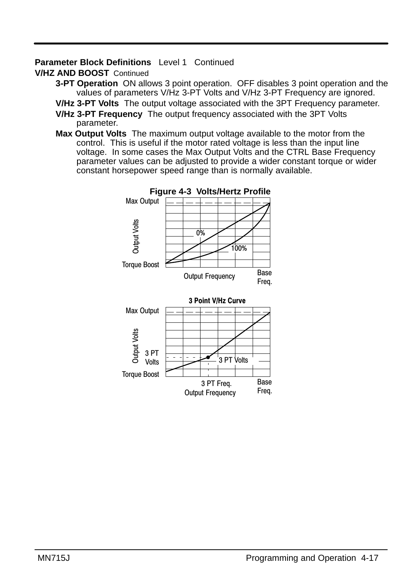# **Parameter Block Definitions** Level 1 Continued

## **V/HZ AND BOOST** Continued

**3-PT Operation** ON allows 3 point operation. OFF disables 3 point operation and the values of parameters V/Hz 3-PT Volts and V/Hz 3-PT Frequency are ignored.

**V/Hz 3-PT Volts** The output voltage associated with the 3PT Frequency parameter.

- **V/Hz 3-PT Frequency** The output frequency associated with the 3PT Volts parameter.
- **Max Output Volts** The maximum output voltage available to the motor from the control. This is useful if the motor rated voltage is less than the input line voltage. In some cases the Max Output Volts and the CTRL Base Frequency parameter values can be adjusted to provide a wider constant torque or wider constant horsepower speed range than is normally available.

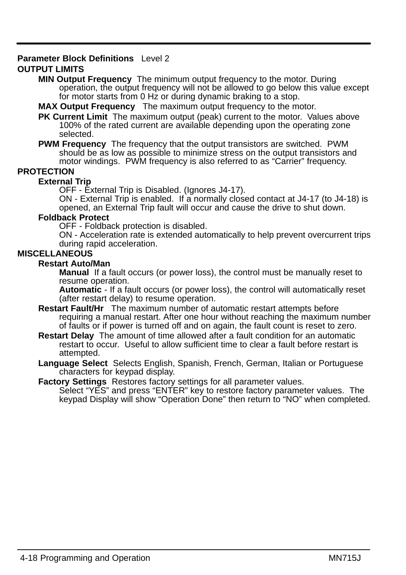#### **Parameter Block Definitions** Level 2

#### **OUTPUT LIMITS**

**MIN Output Frequency** The minimum output frequency to the motor. During operation, the output frequency will not be allowed to go below this value except for motor starts from 0 Hz or during dynamic braking to a stop.

**MAX Output Frequency** The maximum output frequency to the motor.

**PK Current Limit** The maximum output (peak) current to the motor. Values above 100% of the rated current are available depending upon the operating zone selected.

**PWM Frequency** The frequency that the output transistors are switched. PWM should be as low as possible to minimize stress on the output transistors and motor windings. PWM frequency is also referred to as "Carrier" frequency.

#### **PROTECTION**

#### **External Trip**

OFF - External Trip is Disabled. (Ignores J4-17).

ON - External Trip is enabled. If a normally closed contact at J4-17 (to J4-18) is opened, an External Trip fault will occur and cause the drive to shut down.

#### **Foldback Protect**

OFF - Foldback protection is disabled.

ON - Acceleration rate is extended automatically to help prevent overcurrent trips during rapid acceleration.

#### **MISCELLANEOUS**

#### **Restart Auto/Man**

**Manual** If a fault occurs (or power loss), the control must be manually reset to resume operation.

**Automatic** - If a fault occurs (or power loss), the control will automatically reset (after restart delay) to resume operation.

- **Restart Fault/Hr** The maximum number of automatic restart attempts before requiring a manual restart. After one hour without reaching the maximum number of faults or if power is turned off and on again, the fault count is reset to zero.
- **Restart Delay** The amount of time allowed after a fault condition for an automatic restart to occur. Useful to allow sufficient time to clear a fault before restart is attempted.
- **Language Select** Selects English, Spanish, French, German, Italian or Portuguese characters for keypad display.

**Factory Settings** Restores factory settings for all parameter values.

Select "YES" and press "ENTER" key to restore factory parameter values. The keypad Display will show "Operation Done" then return to "NO" when completed.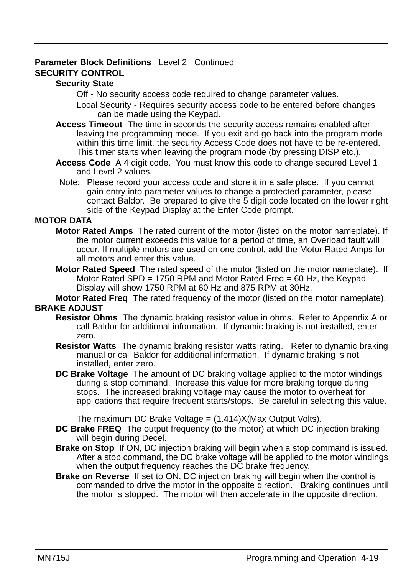#### **Parameter Block Definitions** Level 2 Continued **SECURITY CONTROL**

#### **Security State**

Off - No security access code required to change parameter values.

Local Security - Requires security access code to be entered before changes can be made using the Keypad.

- **Access Timeout** The time in seconds the security access remains enabled after leaving the programming mode. If you exit and go back into the program mode within this time limit, the security Access Code does not have to be re-entered. This timer starts when leaving the program mode (by pressing DISP etc.).
- **Access Code** A 4 digit code. You must know this code to change secured Level 1 and Level 2 values.
- Note: Please record your access code and store it in a safe place. If you cannot gain entry into parameter values to change a protected parameter, please contact Baldor. Be prepared to give the 5 digit code located on the lower right side of the Keypad Display at the Enter Code prompt.

#### **MOTOR DATA**

- **Motor Rated Amps** The rated current of the motor (listed on the motor nameplate). If the motor current exceeds this value for a period of time, an Overload fault will occur. If multiple motors are used on one control, add the Motor Rated Amps for all motors and enter this value.
- **Motor Rated Speed** The rated speed of the motor (listed on the motor nameplate). If Motor Rated SPD = 1750 RPM and Motor Rated Freq = 60 Hz, the Keypad Display will show 1750 RPM at 60 Hz and 875 RPM at 30Hz.

**Motor Rated Freq** The rated frequency of the motor (listed on the motor nameplate). **BRAKE ADJUST**

- **Resistor Ohms** The dynamic braking resistor value in ohms. Refer to Appendix A or call Baldor for additional information. If dynamic braking is not installed, enter zero.
- **Resistor Watts** The dynamic braking resistor watts rating. Refer to dynamic braking manual or call Baldor for additional information. If dynamic braking is not installed, enter zero.
- **DC Brake Voltage** The amount of DC braking voltage applied to the motor windings during a stop command. Increase this value for more braking torque during stops. The increased braking voltage may cause the motor to overheat for applications that require frequent starts/stops. Be careful in selecting this value.

The maximum DC Brake Voltage =  $(1.414)X$ (Max Output Volts).

- **DC Brake FREQ** The output frequency (to the motor) at which DC injection braking will begin during Decel.
- **Brake on Stop** If ON, DC injection braking will begin when a stop command is issued. After a stop command, the DC brake voltage will be applied to the motor windings when the output frequency reaches the DC brake frequency.
- **Brake on Reverse** If set to ON, DC injection braking will begin when the control is commanded to drive the motor in the opposite direction. Braking continues until the motor is stopped. The motor will then accelerate in the opposite direction.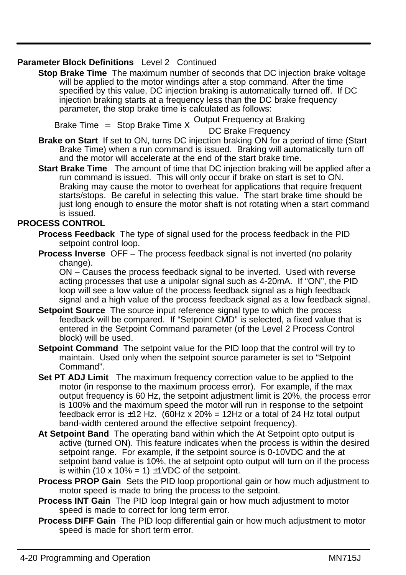### **Parameter Block Definitions** Level 2 Continued

**Stop Brake Time** The maximum number of seconds that DC injection brake voltage will be applied to the motor windings after a stop command. After the time specified by this value, DC injection braking is automatically turned off. If DC injection braking starts at a frequency less than the DC brake frequency parameter, the stop brake time is calculated as follows:

Brake Time = Stop Brake Time X Output Frequency at Braking<br>DC Brake Frequency

- **Brake on Start** If set to ON, turns DC injection braking ON for a period of time (Start Brake Time) when a run command is issued. Braking will automatically turn off and the motor will accelerate at the end of the start brake time.
- **Start Brake Time** The amount of time that DC injection braking will be applied after a run command is issued. This will only occur if brake on start is set to ON. Braking may cause the motor to overheat for applications that require frequent starts/stops. Be careful in selecting this value. The start brake time should be just long enough to ensure the motor shaft is not rotating when a start command is issued.

#### **PROCESS CONTROL**

- **Process Feedback** The type of signal used for the process feedback in the PID setpoint control loop.
- **Process Inverse** OFF The process feedback signal is not inverted (no polarity change).

ON – Causes the process feedback signal to be inverted. Used with reverse acting processes that use a unipolar signal such as 4-20mA. If "ON", the PID loop will see a low value of the process feedback signal as a high feedback signal and a high value of the process feedback signal as a low feedback signal.

- **Setpoint Source** The source input reference signal type to which the process feedback will be compared. If "Setpoint CMD" is selected, a fixed value that is entered in the Setpoint Command parameter (of the Level 2 Process Control block) will be used.
- **Setpoint Command** The setpoint value for the PID loop that the control will try to maintain. Used only when the setpoint source parameter is set to "Setpoint Command".
- **Set PT ADJ Limit** The maximum frequency correction value to be applied to the motor (in response to the maximum process error). For example, if the max output frequency is 60 Hz, the setpoint adjustment limit is 20%, the process error is 100% and the maximum speed the motor will run in response to the setpoint feedback error is  $\pm$ 12 Hz. (60Hz x 20% = 12Hz or a total of 24 Hz total output band-width centered around the effective setpoint frequency).
- **At Setpoint Band** The operating band within which the At Setpoint opto output is active (turned ON). This feature indicates when the process is within the desired setpoint range. For example, if the setpoint source is 0-10VDC and the at setpoint band value is 10%, the at setpoint opto output will turn on if the process is within (10 x 10% = 1)  $\pm$ 1VDC of the setpoint.
- **Process PROP Gain** Sets the PID loop proportional gain or how much adjustment to motor speed is made to bring the process to the setpoint.
- **Process INT Gain** The PID loop Integral gain or how much adjustment to motor speed is made to correct for long term error.
- **Process DIFF Gain** The PID loop differential gain or how much adjustment to motor speed is made for short term error.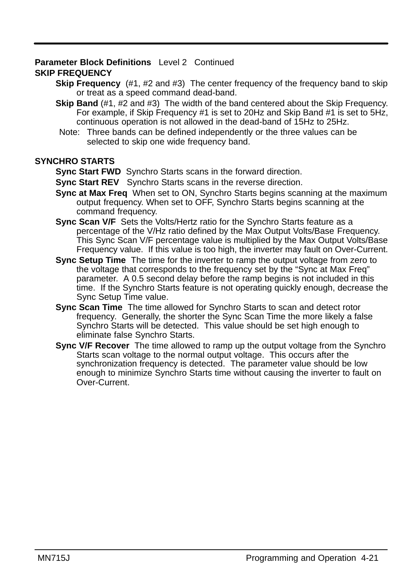# **Parameter Block Definitions** Level 2 Continued

# **SKIP FREQUENCY**

- **Skip Frequency** (#1, #2 and #3) The center frequency of the frequency band to skip or treat as a speed command dead-band.
- **Skip Band** (#1, #2 and #3) The width of the band centered about the Skip Frequency. For example, if Skip Frequency #1 is set to 20Hz and Skip Band #1 is set to 5Hz, continuous operation is not allowed in the dead-band of 15Hz to 25Hz.
- Note: Three bands can be defined independently or the three values can be selected to skip one wide frequency band.

### **SYNCHRO STARTS**

**Sync Start FWD** Synchro Starts scans in the forward direction.

- **Sync Start REV** Synchro Starts scans in the reverse direction.
- **Sync at Max Freq** When set to ON, Synchro Starts begins scanning at the maximum output frequency. When set to OFF, Synchro Starts begins scanning at the command frequency.
- **Sync Scan V/F** Sets the Volts/Hertz ratio for the Synchro Starts feature as a percentage of the V/Hz ratio defined by the Max Output Volts/Base Frequency. This Sync Scan V/F percentage value is multiplied by the Max Output Volts/Base Frequency value. If this value is too high, the inverter may fault on Over-Current.
- **Sync Setup Time** The time for the inverter to ramp the output voltage from zero to the voltage that corresponds to the frequency set by the "Sync at Max Freq" parameter. A 0.5 second delay before the ramp begins is not included in this time. If the Synchro Starts feature is not operating quickly enough, decrease the Sync Setup Time value.
- **Sync Scan Time** The time allowed for Synchro Starts to scan and detect rotor frequency. Generally, the shorter the Sync Scan Time the more likely a false Synchro Starts will be detected. This value should be set high enough to eliminate false Synchro Starts.
- **Sync V/F Recover** The time allowed to ramp up the output voltage from the Synchro Starts scan voltage to the normal output voltage. This occurs after the synchronization frequency is detected. The parameter value should be low enough to minimize Synchro Starts time without causing the inverter to fault on Over-Current.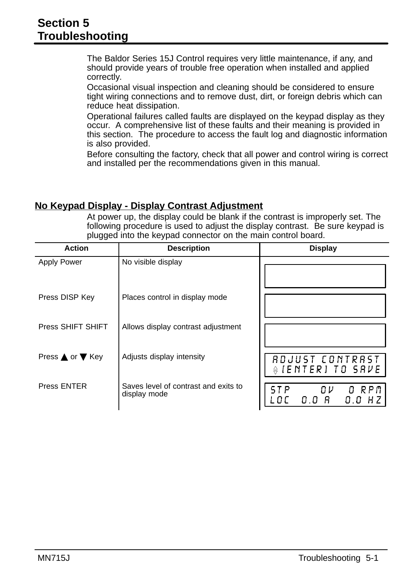The Baldor Series 15J Control requires very little maintenance, if any, and should provide years of trouble free operation when installed and applied correctly.

Occasional visual inspection and cleaning should be considered to ensure tight wiring connections and to remove dust, dirt, or foreign debris which can reduce heat dissipation.

Operational failures called faults are displayed on the keypad display as they occur. A comprehensive list of these faults and their meaning is provided in this section. The procedure to access the fault log and diagnostic information is also provided.

Before consulting the factory, check that all power and control wiring is correct and installed per the recommendations given in this manual.

# **No Keypad Display - Display Contrast Adjustment**

At power up, the display could be blank if the contrast is improperly set. The following procedure is used to adjust the display contrast. Be sure keypad is plugged into the keypad connector on the main control board.

| <b>Action</b>      | <b>Description</b>                                   | <b>Display</b>                                   |
|--------------------|------------------------------------------------------|--------------------------------------------------|
| <b>Apply Power</b> | No visible display                                   |                                                  |
| Press DISP Key     | Places control in display mode                       |                                                  |
| Press SHIFT SHIFT  | Allows display contrast adjustment                   |                                                  |
| Press ▲ or ▼ Key   | Adjusts display intensity                            | RDJUST CONTRAST<br>$\frac{1}{2}$ [ENTER] TO SAVE |
| Press ENTER        | Saves level of contrast and exits to<br>display mode | O RPM<br>0 V<br>0.0 R<br>0.0                     |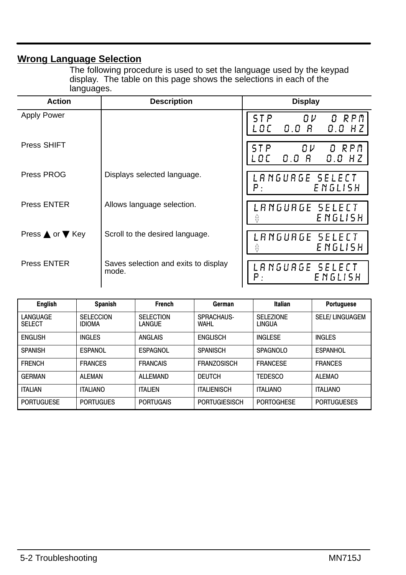# **Wrong Language Selection**

The following procedure is used to set the language used by the keypad display. The table on this page shows the selections in each of the languages.

| <b>Action</b>      | <b>Description</b>                            | <b>Display</b>                                       |
|--------------------|-----------------------------------------------|------------------------------------------------------|
| <b>Apply Power</b> |                                               | O RPM<br>ΩV<br>0.0 R<br>$0.0$ HZ<br>L O C            |
| Press SHIFT        |                                               | O RPM<br>$0\nu$<br>5 T P<br>0.0 R<br>$0.0$ HZ<br>.oc |
| Press PROG         | Displays selected language.                   | LANGUAGE SELECT<br>ENGLISH<br>Ρ.                     |
| <b>Press ENTER</b> | Allows language selection.                    | LANGUAGE SELECT<br>E NGLISH<br>⇔                     |
| Press ▲ or ▼ Key   | Scroll to the desired language.               | LANGUAGE SELECT<br>E NGLISH                          |
| <b>Press ENTER</b> | Saves selection and exits to display<br>mode. | LANGUAGE SELECT<br>ENGLISH<br>Ρ.                     |

| <b>English</b>            | <b>Spanish</b>                    | <b>French</b>              | German               | Italian                    | Portuguese            |
|---------------------------|-----------------------------------|----------------------------|----------------------|----------------------------|-----------------------|
| LANGUAGE<br><b>SELECT</b> | <b>SELECCION</b><br><b>IDIOMA</b> | <b>SELECTION</b><br>LANGUE | SPRACHAUS-<br>WAHL   | <b>SELEZIONE</b><br>LINGUA | <b>SELE/LINGUAGEM</b> |
| <b>ENGLISH</b>            | <b>INGLES</b>                     | ANGLAIS                    | <b>ENGLISCH</b>      | <b>INGLESE</b>             | <b>INGLES</b>         |
| <b>SPANISH</b>            | ESPANOL                           | ESPAGNOL                   | <b>SPANISCH</b>      | <b>SPAGNOLO</b>            | <b>ESPANHOL</b>       |
| <b>FRENCH</b>             | <b>FRANCES</b>                    | <b>FRANCAIS</b>            | <b>FRANZOSISCH</b>   | <b>FRANCESE</b>            | <b>FRANCES</b>        |
| <b>GERMAN</b>             | ALEMAN                            | ALL FMAND                  | <b>DEUTCH</b>        | <b>TEDESCO</b>             | <b>ALEMAO</b>         |
| <b>ITALIAN</b>            | <b>ITALIANO</b>                   | <b>ITALIEN</b>             | <b>ITALIENISCH</b>   | <b>ITALIANO</b>            | <b>ITALIANO</b>       |
| <b>PORTUGUESE</b>         | <b>PORTUGUES</b>                  | <b>PORTUGAIS</b>           | <b>PORTUGIESISCH</b> | <b>PORTOGHESE</b>          | <b>PORTUGUESES</b>    |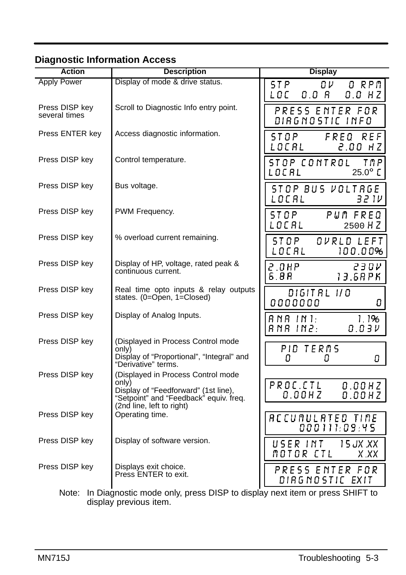| <b>Action</b>                   | <b>Description</b>                                                                                                                                         | <b>Display</b>                                           |
|---------------------------------|------------------------------------------------------------------------------------------------------------------------------------------------------------|----------------------------------------------------------|
| <b>Apply Power</b>              | Display of mode & drive status.                                                                                                                            | <b>STP</b><br>0 V .<br>O RPM<br>LOC<br>0.0 R<br>$0.0$ HZ |
| Press DISP key<br>several times | Scroll to Diagnostic Info entry point.                                                                                                                     | PRESS ENTER FOR<br>DIAGNOSTIC INFO                       |
| Press ENTER key                 | Access diagnostic information.                                                                                                                             | 5 T O P<br>FREQ<br>REF<br>LOCAL<br>2.00 HZ               |
| Press DISP key                  | Control temperature.                                                                                                                                       | STOP CONTROL<br>TMP<br>$25.0^\circ$ C<br>LOCAL           |
| Press DISP key                  | Bus voltage.                                                                                                                                               | STOP BUS VOLTRGE<br>LOCAL<br>32 I V                      |
| Press DISP key                  | PWM Frequency.                                                                                                                                             | ST OP<br>PUM FREQ<br>LOCAL<br>2500 HZ                    |
| Press DISP key                  | % overload current remaining.                                                                                                                              | STOP<br>OVRLD LEFT<br>LOCAL<br>100.00%                   |
| Press DISP key                  | Display of HP, voltage, rated peak &<br>continuous current.                                                                                                | 2.0HP<br>23 O V<br>6.8R<br>13.6RPK                       |
| Press DISP key                  | Real time opto inputs & relay outputs<br>states. (0=Open, 1=Closed)                                                                                        | DIGIT AL 1/0<br>0000000<br>0                             |
| Press DISP key                  | Display of Analog Inputs.                                                                                                                                  | $RNA$ $IN1$ :<br>1.1%<br>8 N A 1 N 2 :<br>0.03V          |
| Press DISP key                  | (Displayed in Process Control mode<br>onlv)<br>Display of "Proportional", "Integral" and<br>"Derivative" terms.                                            | PID TERMS<br>0<br>8<br>8                                 |
| Press DISP key                  | (Displayed in Process Control mode<br>onlv)<br>Display of "Feedforward" (1st line),<br>"Setpoint" and "Feedback" equiv. freq.<br>(2nd line, left to right) | PROC.CL<br>0.00HZ<br>$0.00$ HZ<br>$0.00$ HZ              |
| Press DISP key                  | Operating time.                                                                                                                                            | ACCUMULATED TIME<br>000111:09:45                         |
| Press DISP key                  | Display of software version.                                                                                                                               | USER INT<br>15 JX .XX<br>MOTOR CTL<br>X XX               |
| Press DISP key                  | Displays exit choice.<br>Press ENTER to exit.                                                                                                              | PRESS ENTER FOR<br>DIRGNOSTIC EXIT                       |
|                                 | Note: In Diagnostic mode only prose DISD to display novt itom or prose SHIET to                                                                            |                                                          |

Note: In Diagnostic mode only, press DISP to display next item or press SHIFT to display previous item.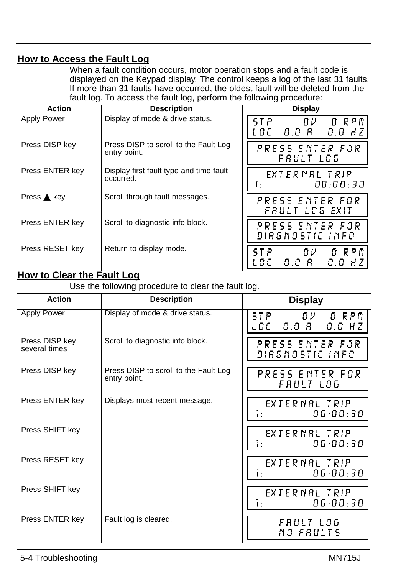# **How to Access the Fault Log**

When a fault condition occurs, motor operation stops and a fault code is displayed on the Keypad display. The control keeps a log of the last 31 faults. If more than 31 faults have occurred, the oldest fault will be deleted from the fault log. To access the fault log, perform the following procedure:

| <b>Action</b>         | <b>Description</b>                                    | <b>Display</b>                                       |
|-----------------------|-------------------------------------------------------|------------------------------------------------------|
| <b>Apply Power</b>    | Display of mode & drive status.                       | O RPM<br>5 T P<br>OV.<br>L O C-<br>0.0 R<br>$0.0$ HZ |
| Press DISP key        | Press DISP to scroll to the Fault Log<br>entry point. | PRESS ENTER FOR<br>FRULT LOG                         |
| Press ENTER key       | Display first fault type and time fault<br>occurred.  | EXTERNAL TRIP<br>00:00:30<br>Ŀ                       |
| Press $\triangle$ key | Scroll through fault messages.                        | PRESS ENTER FOR<br>FRULT LOG EXIT                    |
| Press ENTER key       | Scroll to diagnostic info block.                      | PRESS ENTER FOR<br>DIRGNOSTIC INFO                   |
| Press RESET key       | Return to display mode.                               | ΠV<br>0 RPM<br>5 T P<br>- 8<br>0.O<br>ז ח<br>0.0 H Z |

#### $\overline{\phantom{a}}$ **How to Clear the Fault Log**

Use the following procedure to clear the fault log.

| Action                          | <b>Description</b>                                    | <b>Display</b>                                      |
|---------------------------------|-------------------------------------------------------|-----------------------------------------------------|
| <b>Apply Power</b>              | Display of mode & drive status.                       | ST P<br>O RPM<br>$0\nu$<br>0.0 R<br>$0.0$ HZ<br>LOC |
| Press DISP key<br>several times | Scroll to diagnostic info block.                      | PRESS ENTER FOR<br>DIRGNOSTIC INFO                  |
| Press DISP key                  | Press DISP to scroll to the Fault Log<br>entry point. | PRESS ENTER FOR<br>FRULT LOG                        |
| Press ENTER key                 | Displays most recent message.                         | EXTERNAL TRIP<br>Ι.<br>00:00:30                     |
| Press SHIFT key                 |                                                       | EXTERNAL TRIP<br>00:00:30<br>1.                     |
| Press RESET key                 |                                                       | EXTERNAL TRIP<br>00:00:30<br>1.                     |
| Press SHIFT key                 |                                                       | EXTERNAL TRIP<br>Τ.<br>00:00:30                     |
| Press ENTER key                 | Fault log is cleared.                                 | FRULT LOG<br>NO FRULTS                              |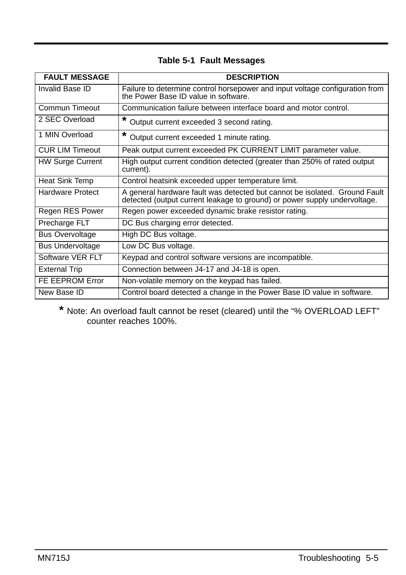| <b>FAULT MESSAGE</b>    | <b>DESCRIPTION</b>                                                                                                                                      |
|-------------------------|---------------------------------------------------------------------------------------------------------------------------------------------------------|
| Invalid Base ID         | Failure to determine control horsepower and input voltage configuration from<br>the Power Base ID value in software.                                    |
| Commun Timeout          | Communication failure between interface board and motor control.                                                                                        |
| 2 SEC Overload          | Output current exceeded 3 second rating.                                                                                                                |
| 1 MIN Overload          | Output current exceeded 1 minute rating.                                                                                                                |
| <b>CUR LIM Timeout</b>  | Peak output current exceeded PK CURRENT LIMIT parameter value.                                                                                          |
| <b>HW Surge Current</b> | High output current condition detected (greater than 250% of rated output<br>current).                                                                  |
| Heat Sink Temp          | Control heatsink exceeded upper temperature limit.                                                                                                      |
| Hardware Protect        | A general hardware fault was detected but cannot be isolated. Ground Fault<br>detected (output current leakage to ground) or power supply undervoltage. |
| Regen RES Power         | Regen power exceeded dynamic brake resistor rating.                                                                                                     |
| Precharge FLT           | DC Bus charging error detected.                                                                                                                         |
| <b>Bus Overvoltage</b>  | High DC Bus voltage.                                                                                                                                    |
| <b>Bus Undervoltage</b> | Low DC Bus voltage.                                                                                                                                     |
| Software VER FLT        | Keypad and control software versions are incompatible.                                                                                                  |
| <b>External Trip</b>    | Connection between J4-17 and J4-18 is open.                                                                                                             |
| FE EEPROM Error         | Non-volatile memory on the keypad has failed.                                                                                                           |
| New Base ID             | Control board detected a change in the Power Base ID value in software.                                                                                 |

# **Table 5-1 Fault Messages**

**\*** Note: An overload fault cannot be reset (cleared) until the "% OVERLOAD LEFT" counter reaches 100%.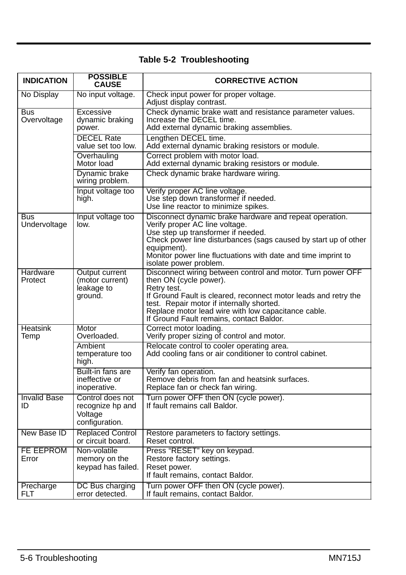# **Table 5-2 Troubleshooting**

| <b>INDICATION</b>         | <b>POSSIBLE</b><br><b>CAUSE</b>                                   | <b>CORRECTIVE ACTION</b>                                                                                                                                                                                                                                                                                                |
|---------------------------|-------------------------------------------------------------------|-------------------------------------------------------------------------------------------------------------------------------------------------------------------------------------------------------------------------------------------------------------------------------------------------------------------------|
| No Display                | No input voltage.                                                 | Check input power for proper voltage.<br>Adjust display contrast.                                                                                                                                                                                                                                                       |
| Bus<br>Overvoltage        | Excessive<br>dynamic braking<br>power.                            | Check dynamic brake watt and resistance parameter values.<br>Increase the DECEL time.<br>Add external dynamic braking assemblies.                                                                                                                                                                                       |
|                           | <b>DECEL Rate</b><br>value set too low.                           | Lengthen DECEL time.<br>Add external dynamic braking resistors or module.                                                                                                                                                                                                                                               |
|                           | Overhauling<br>Motor load                                         | Correct problem with motor load.<br>Add external dynamic braking resistors or module.                                                                                                                                                                                                                                   |
|                           | Dynamic brake<br>wiring problem.                                  | Check dynamic brake hardware wiring.                                                                                                                                                                                                                                                                                    |
|                           | Input voltage too<br>high.                                        | Verify proper AC line voltage.<br>Use step down transformer if needed.<br>Use line reactor to minimize spikes.                                                                                                                                                                                                          |
| Bus<br>Undervoltage       | Input voltage too<br>low.                                         | Disconnect dynamic brake hardware and repeat operation.<br>Verify proper AC line voltage.<br>Use step up transformer if needed.<br>Check power line disturbances (sags caused by start up of other<br>eauipment).<br>Monitor power line fluctuations with date and time imprint to<br>isolate power problem.            |
| Hardware<br>Protect       | Output current<br>(motor current)<br>leakage to<br>ground.        | Disconnect wiring between control and motor. Turn power OFF<br>then ON (cycle power).<br>Retry test.<br>If Ground Fault is cleared, reconnect motor leads and retry the<br>test. Repair motor if internally shorted.<br>Replace motor lead wire with low capacitance cable.<br>If Ground Fault remains, contact Baldor. |
| <b>Heatsink</b><br>Temp   | Motor<br>Overloaded.                                              | Correct motor loading.<br>Verify proper sizing of control and motor.                                                                                                                                                                                                                                                    |
|                           | Ambient<br>temperature too<br>high.                               | Relocate control to cooler operating area.<br>Add cooling fans or air conditioner to control cabinet.                                                                                                                                                                                                                   |
|                           | Built-in fans are<br>ineffective or<br>inoperative.               | Verify fan operation.<br>Remove debris from fan and heatsink surfaces.<br>Replace fan or check fan wiring.                                                                                                                                                                                                              |
| <b>Invalid Base</b><br>ID | Control does not<br>recognize hp and<br>Voltage<br>configuration. | Turn power OFF then ON (cycle power).<br>If fault remains call Baldor.                                                                                                                                                                                                                                                  |
| New Base ID               | <b>Replaced Control</b><br>or circuit board.                      | Restore parameters to factory settings.<br>Reset control.                                                                                                                                                                                                                                                               |
| FE EEPROM<br>Error        | Non-volatile<br>memory on the<br>keypad has failed.               | Press "RESET" key on keypad.<br>Restore factory settings.<br>Reset power.<br>If fault remains, contact Baldor.                                                                                                                                                                                                          |
| Precharge<br>FLT          | DC Bus charging<br>error detected.                                | Turn power OFF then ON (cycle power).<br>If fault remains, contact Baldor.                                                                                                                                                                                                                                              |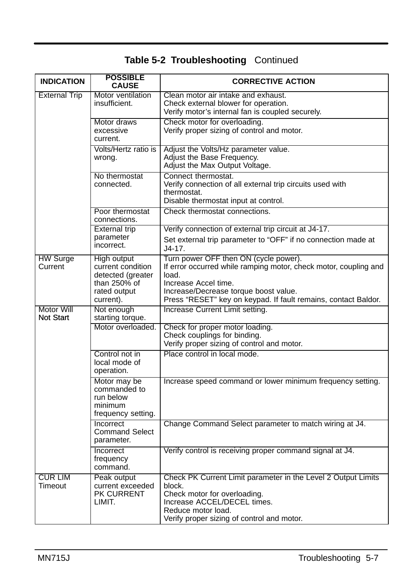| <b>INDICATION</b>              | <b>POSSIBLE</b><br><b>CAUSE</b>                                                                    | <b>CORRECTIVE ACTION</b>                                                                                                                                                                                                                              |
|--------------------------------|----------------------------------------------------------------------------------------------------|-------------------------------------------------------------------------------------------------------------------------------------------------------------------------------------------------------------------------------------------------------|
| <b>External Trip</b>           | Motor ventilation<br>insufficient.                                                                 | Clean motor air intake and exhaust.<br>Check external blower for operation.<br>Verify motor's internal fan is coupled securely.                                                                                                                       |
|                                | Motor draws<br>excessive<br>current.                                                               | Check motor for overloading.<br>Verify proper sizing of control and motor.                                                                                                                                                                            |
|                                | Volts/Hertz ratio is<br>wrong.                                                                     | Adjust the Volts/Hz parameter value.<br>Adjust the Base Frequency.<br>Adjust the Max Output Voltage.                                                                                                                                                  |
|                                | No thermostat<br>connected.                                                                        | Connect thermostat.<br>Verify connection of all external trip circuits used with<br>thermostat.<br>Disable thermostat input at control.                                                                                                               |
|                                | Poor thermostat<br>connections.                                                                    | Check thermostat connections.                                                                                                                                                                                                                         |
|                                | <b>External trip</b><br>parameter<br>incorrect.                                                    | Verify connection of external trip circuit at J4-17.<br>Set external trip parameter to "OFF" if no connection made at<br>J4-17.                                                                                                                       |
| <b>HW Surge</b><br>Current     | High output<br>current condition<br>detected (greater<br>than 250% of<br>rated output<br>current). | Turn power OFF then ON (cycle power).<br>If error occurred while ramping motor, check motor, coupling and<br>load.<br>Increase Accel time.<br>Increase/Decrease torque boost value.<br>Press "RESET" key on keypad. If fault remains, contact Baldor. |
| Motor Will<br><b>Not Start</b> | Not enough<br>starting torque.                                                                     | Increase Current Limit setting.                                                                                                                                                                                                                       |
|                                | Motor overloaded.                                                                                  | Check for proper motor loading.<br>Check couplings for binding.<br>Verify proper sizing of control and motor.                                                                                                                                         |
|                                | Control not in<br>local mode of<br>operation.                                                      | Place control in local mode.                                                                                                                                                                                                                          |
|                                | Motor may be<br>commanded to<br>run below<br>minimum<br>frequency setting.                         | Increase speed command or lower minimum frequency setting.                                                                                                                                                                                            |
|                                | Incorrect<br><b>Command Select</b><br>parameter.                                                   | Change Command Select parameter to match wiring at J4.                                                                                                                                                                                                |
|                                | Incorrect<br>frequency<br>command.                                                                 | Verify control is receiving proper command signal at J4.                                                                                                                                                                                              |
| CUR LIM<br>Timeout             | Peak output<br>current exceeded<br>PK CURRENT<br>LIMIT.                                            | Check PK Current Limit parameter in the Level 2 Output Limits<br>block.<br>Check motor for overloading.<br>Increase ACCEL/DECEL times.<br>Reduce motor load.<br>Verify proper sizing of control and motor.                                            |

**Table 5-2 Troubleshooting** Continued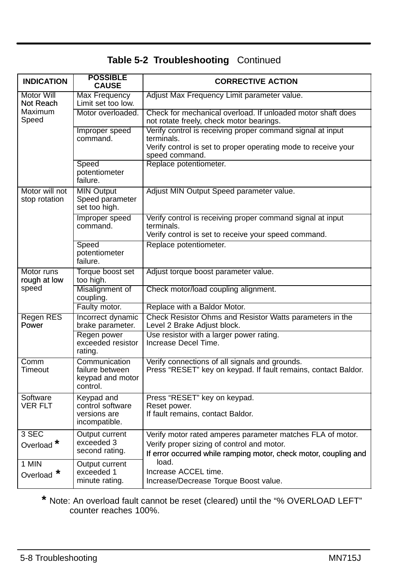|  | Table 5-2 Troubleshooting Continued |  |
|--|-------------------------------------|--|
|--|-------------------------------------|--|

| <b>INDICATION</b>                | <b>POSSIBLE</b><br><b>CAUSE</b>                                  | <b>CORRECTIVE ACTION</b>                                                                                                                                                     |
|----------------------------------|------------------------------------------------------------------|------------------------------------------------------------------------------------------------------------------------------------------------------------------------------|
| Motor Will<br>Not Reach          | <b>Max Frequency</b><br>Limit set too low.                       | Adjust Max Frequency Limit parameter value.                                                                                                                                  |
| <b>Maximum</b><br>Speed          | Motor overloaded.                                                | Check for mechanical overload. If unloaded motor shaft does<br>not rotate freely, check motor bearings.                                                                      |
|                                  | Improper speed<br>command.                                       | Verify control is receiving proper command signal at input<br>terminals.<br>Verify control is set to proper operating mode to receive your<br>speed command.                 |
|                                  | Speed<br>potentiometer<br>failure.                               | Replace potentiometer.                                                                                                                                                       |
| Motor will not<br>stop rotation  | <b>MIN Output</b><br>Speed parameter<br>set too high.            | Adjust MIN Output Speed parameter value.                                                                                                                                     |
|                                  | Improper speed<br>command.                                       | Verify control is receiving proper command signal at input<br>terminals.<br>Verify control is set to receive your speed command.                                             |
|                                  | Speed<br>potentiometer<br>failure.                               | Replace potentiometer.                                                                                                                                                       |
| Motor runs<br>rough at low       | Torque boost set<br>too high.                                    | Adjust torque boost parameter value.                                                                                                                                         |
| speed                            | Misalignment of<br>coupling.                                     | Check motor/load coupling alignment.                                                                                                                                         |
|                                  | Faulty motor.                                                    | Replace with a Baldor Motor.                                                                                                                                                 |
| <b>Regen RES</b><br>Power        | Incorrect dynamic<br>brake parameter.                            | Check Resistor Ohms and Resistor Watts parameters in the<br>Level 2 Brake Adjust block.                                                                                      |
|                                  | Regen power<br>exceeded resistor<br>rating.                      | Use resistor with a larger power rating.<br>Increase Decel Time.                                                                                                             |
| Comm<br>Timeout                  | Communication<br>failure between<br>keypad and motor<br>control. | Verify connections of all signals and grounds.<br>Press "RESET" key on keypad. If fault remains, contact Baldor.                                                             |
| Software<br>VER FLT              | Keypad and<br>control software<br>versions are<br>incompatible.  | Press "RESET" key on keypad.<br>Reset power.<br>If fault remains, contact Baldor.                                                                                            |
| $3$ SEC<br>Overload <sup>*</sup> | Output current<br>exceeded 3<br>second rating.                   | Verify motor rated amperes parameter matches FLA of motor.<br>Verify proper sizing of control and motor.<br>If error occurred while ramping motor, check motor, coupling and |
| 1 MIN<br>Overload <sup>*</sup>   | Output current<br>exceeded 1<br>minute rating.                   | load.<br>Increase ACCEL time.<br>Increase/Decrease Torque Boost value.                                                                                                       |

**\*** Note: An overload fault cannot be reset (cleared) until the "% OVERLOAD LEFT" counter reaches 100%.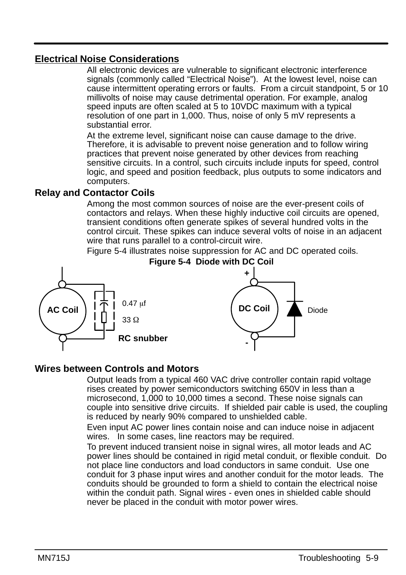# **Electrical Noise Considerations**

All electronic devices are vulnerable to significant electronic interference signals (commonly called "Electrical Noise"). At the lowest level, noise can cause intermittent operating errors or faults. From a circuit standpoint, 5 or 10 millivolts of noise may cause detrimental operation. For example, analog speed inputs are often scaled at 5 to 10VDC maximum with a typical resolution of one part in 1,000. Thus, noise of only 5 mV represents a substantial error.

At the extreme level, significant noise can cause damage to the drive. Therefore, it is advisable to prevent noise generation and to follow wiring practices that prevent noise generated by other devices from reaching sensitive circuits. In a control, such circuits include inputs for speed, control logic, and speed and position feedback, plus outputs to some indicators and computers.

# **Relay and Contactor Coils**

Among the most common sources of noise are the ever-present coils of contactors and relays. When these highly inductive coil circuits are opened, transient conditions often generate spikes of several hundred volts in the control circuit. These spikes can induce several volts of noise in an adjacent wire that runs parallel to a control-circuit wire.

Figure 5-4 illustrates noise suppression for AC and DC operated coils.



#### **Wires between Controls and Motors**

Output leads from a typical 460 VAC drive controller contain rapid voltage rises created by power semiconductors switching 650V in less than a microsecond, 1,000 to 10,000 times a second. These noise signals can couple into sensitive drive circuits. If shielded pair cable is used, the coupling is reduced by nearly 90% compared to unshielded cable.

Even input AC power lines contain noise and can induce noise in adjacent wires. In some cases, line reactors may be required.

To prevent induced transient noise in signal wires, all motor leads and AC power lines should be contained in rigid metal conduit, or flexible conduit. Do not place line conductors and load conductors in same conduit. Use one conduit for 3 phase input wires and another conduit for the motor leads. The conduits should be grounded to form a shield to contain the electrical noise within the conduit path. Signal wires - even ones in shielded cable should never be placed in the conduit with motor power wires.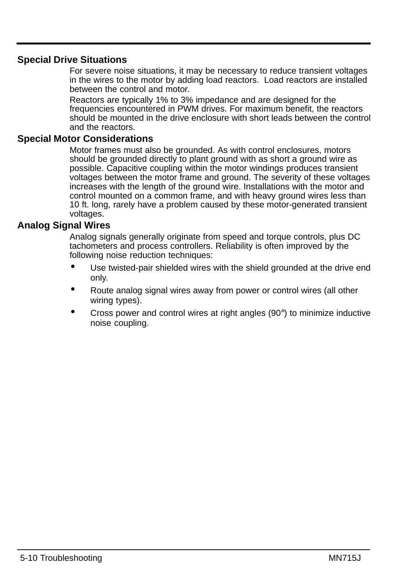# **Special Drive Situations**

For severe noise situations, it may be necessary to reduce transient voltages in the wires to the motor by adding load reactors. Load reactors are installed between the control and motor.

Reactors are typically 1% to 3% impedance and are designed for the frequencies encountered in PWM drives. For maximum benefit, the reactors should be mounted in the drive enclosure with short leads between the control and the reactors.

#### **Special Motor Considerations**

Motor frames must also be grounded. As with control enclosures, motors should be grounded directly to plant ground with as short a ground wire as possible. Capacitive coupling within the motor windings produces transient voltages between the motor frame and ground. The severity of these voltages increases with the length of the ground wire. Installations with the motor and control mounted on a common frame, and with heavy ground wires less than 10 ft. long, rarely have a problem caused by these motor-generated transient voltages.

# **Analog Signal Wires**

Analog signals generally originate from speed and torque controls, plus DC tachometers and process controllers. Reliability is often improved by the following noise reduction techniques:

- Use twisted-pair shielded wires with the shield grounded at the drive end only.
- Route analog signal wires away from power or control wires (all other wiring types).
- Cross power and control wires at right angles (90°) to minimize inductive noise coupling.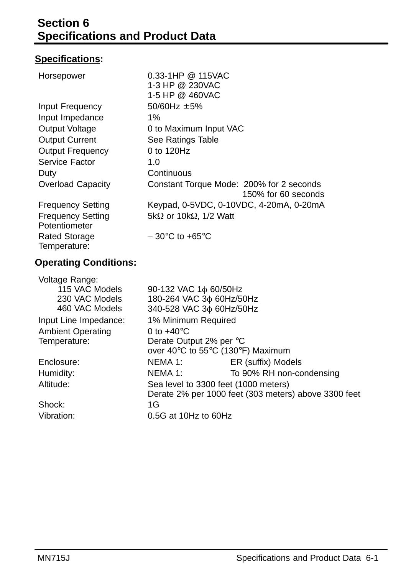# **Specifications:**

| Horsepower                                | $0.33 - 1HP @ 115VAC$<br>1-3 HP @ 230VAC<br>1-5 HP @ 460VAC     |
|-------------------------------------------|-----------------------------------------------------------------|
| Input Frequency                           | $50/60$ Hz $\pm$ 5%                                             |
| Input Impedance                           | 1%                                                              |
| Output Voltage                            | 0 to Maximum Input VAC                                          |
| <b>Output Current</b>                     | See Ratings Table                                               |
| <b>Output Frequency</b>                   | 0 to 120Hz                                                      |
| Service Factor                            | 1.0                                                             |
| Duty                                      | Continuous                                                      |
| Overload Capacity                         | Constant Torque Mode: 200% for 2 seconds<br>150% for 60 seconds |
| <b>Frequency Setting</b>                  | Keypad, 0-5VDC, 0-10VDC, 4-20mA, 0-20mA                         |
| <b>Frequency Setting</b><br>Potentiometer | 5k $\Omega$ or 10k $\Omega$ , 1/2 Watt                          |
| <b>Rated Storage</b><br>Temperature:      | $-30^{\circ}$ C to +65 $^{\circ}$ C                             |

# **Operating Conditions:**

| Voltage Range:           |                                      |                                                      |
|--------------------------|--------------------------------------|------------------------------------------------------|
| 115 VAC Models           | 90-132 VAC 1 $\phi$ 60/50Hz          |                                                      |
| 230 VAC Models           | 180-264 VAC 3¢ 60Hz/50Hz             |                                                      |
| 460 VAC Models           | 340-528 VAC 3¢ 60Hz/50Hz             |                                                      |
| Input Line Impedance:    | 1% Minimum Required                  |                                                      |
| <b>Ambient Operating</b> | 0 to $+40^{\circ}$ C                 |                                                      |
| Temperature:             | Derate Output 2% per °C              |                                                      |
|                          | over 40°C to 55°C (130°F) Maximum    |                                                      |
| Enclosure:               | NEMA 1:                              | ER (suffix) Models                                   |
| Humidity:                | NEMA 1:                              | To 90% RH non-condensing                             |
| Altitude:                | Sea level to 3300 feet (1000 meters) |                                                      |
|                          |                                      | Derate 2% per 1000 feet (303 meters) above 3300 feet |
| Shock:                   | 1G                                   |                                                      |
| Vibration:               | $0.5G$ at 10Hz to 60Hz               |                                                      |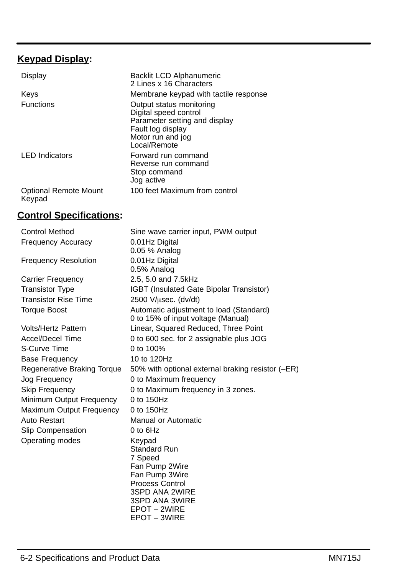# **Keypad Display:**

| Display                                | Backlit LCD Alphanumeric<br>2 Lines x 16 Characters                                                                                          |
|----------------------------------------|----------------------------------------------------------------------------------------------------------------------------------------------|
| Keys                                   | Membrane keypad with tactile response                                                                                                        |
| <b>Functions</b>                       | Output status monitoring<br>Digital speed control<br>Parameter setting and display<br>Fault log display<br>Motor run and jog<br>Local/Remote |
| <b>LED</b> Indicators                  | Forward run command<br>Reverse run command<br>Stop command<br>Jog active                                                                     |
| <b>Optional Remote Mount</b><br>Keypad | 100 feet Maximum from control                                                                                                                |

# **Control Specifications:**

| <b>Control Method</b>       | Sine wave carrier input, PWM output                                           |
|-----------------------------|-------------------------------------------------------------------------------|
| <b>Frequency Accuracy</b>   | 0.01Hz Digital                                                                |
|                             | 0.05 % Analog                                                                 |
| <b>Frequency Resolution</b> | 0.01Hz Digital                                                                |
|                             | 0.5% Analog                                                                   |
| Carrier Frequency           | 2.5, 5.0 and 7.5kHz                                                           |
| <b>Transistor Type</b>      | IGBT (Insulated Gate Bipolar Transistor)                                      |
| <b>Transistor Rise Time</b> | 2500 V/usec. (dv/dt)                                                          |
| <b>Torque Boost</b>         | Automatic adjustment to load (Standard)<br>0 to 15% of input voltage (Manual) |
| <b>Volts/Hertz Pattern</b>  | Linear, Squared Reduced, Three Point                                          |
| <b>Accel/Decel Time</b>     | 0 to 600 sec. for 2 assignable plus JOG                                       |
| S-Curve Time                | 0 to 100%                                                                     |
| <b>Base Frequency</b>       | 10 to 120Hz                                                                   |
| Regenerative Braking Torque | 50% with optional external braking resistor (-ER)                             |
| Jog Frequency               | 0 to Maximum frequency                                                        |
| <b>Skip Frequency</b>       | 0 to Maximum frequency in 3 zones.                                            |
| Minimum Output Frequency    | 0 to 150Hz                                                                    |
| Maximum Output Frequency    | 0 to 150Hz                                                                    |
| Auto Restart                | Manual or Automatic                                                           |
| Slip Compensation           | $0$ to $6Hz$                                                                  |
| Operating modes             | Keypad                                                                        |
|                             | <b>Standard Run</b>                                                           |
|                             | 7 Speed                                                                       |
|                             | Fan Pump 2Wire                                                                |
|                             | Fan Pump 3Wire<br><b>Process Control</b>                                      |
|                             | 3SPD ANA 2WIRE                                                                |
|                             | 3SPD ANA 3WIRE                                                                |
|                             | EPOT - 2WIRE                                                                  |
|                             | EPOT - 3WIRE                                                                  |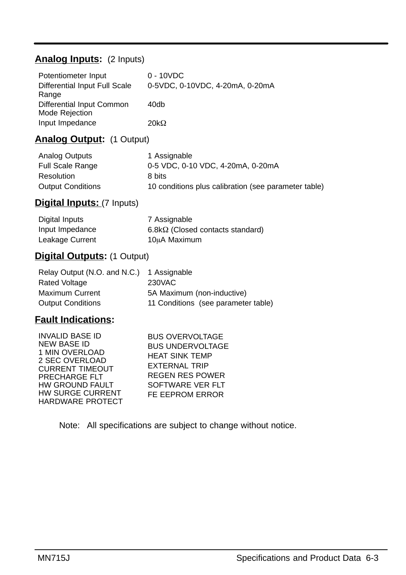# **Analog Inputs:** (2 Inputs)

| Potentiometer Input           | $0 - 10 VDC$                    |
|-------------------------------|---------------------------------|
| Differential Input Full Scale | 0-5VDC, 0-10VDC, 4-20mA, 0-20mA |
| Range                         |                                 |
| Differential Input Common     | 40db                            |
| Mode Rejection                |                                 |
| Input Impedance               | 20k $\Omega$                    |

# **Analog Output:** (1 Output)

| Analog Outputs           | 1 Assignable                                         |
|--------------------------|------------------------------------------------------|
| <b>Full Scale Range</b>  | 0-5 VDC, 0-10 VDC, 4-20mA, 0-20mA                    |
| Resolution               | 8 bits                                               |
| <b>Output Conditions</b> | 10 conditions plus calibration (see parameter table) |

# **Digital Inputs:** (7 Inputs)

| Digital Inputs  | 7 Assignable                            |
|-----------------|-----------------------------------------|
| Input Impedance | $6.8k\Omega$ (Closed contacts standard) |
| Leakage Current | 10uA Maximum                            |

### **Digital Outputs:** (1 Output)

| Relay Output (N.O. and N.C.) | 1 Assignable                        |
|------------------------------|-------------------------------------|
| Rated Voltage                | 230VAC                              |
| <b>Maximum Current</b>       | 5A Maximum (non-inductive)          |
| <b>Output Conditions</b>     | 11 Conditions (see parameter table) |

# **Fault Indications:**

INVALID BASE ID NEW BASE ID 1 MIN OVERLOAD 2 SEC OVERLOAD CURRENT TIMEOUT PRECHARGE FLT HW GROUND FAULT HW SURGE CURRENT HARDWARE PROTECT

BUS OVERVOLTAGE BUS UNDERVOLTAGE HEAT SINK TEMP EXTERNAL TRIP REGEN RES POWER SOFTWARE VER FLT FE EEPROM ERROR

Note: All specifications are subject to change without notice.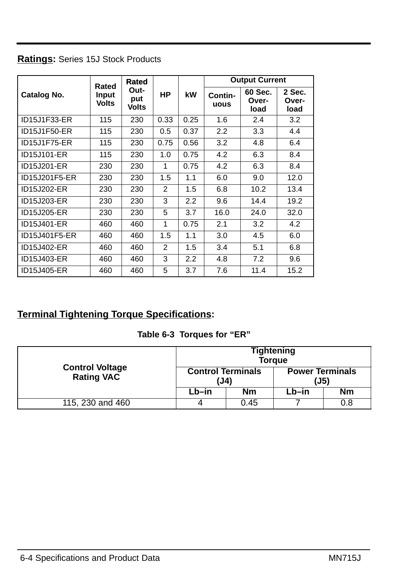| Ratings: Series 15J Stock Products |  |
|------------------------------------|--|
|------------------------------------|--|

|               | Rated                 | Rated                       |                |      |                 | <b>Output Current</b>    |                         |
|---------------|-----------------------|-----------------------------|----------------|------|-----------------|--------------------------|-------------------------|
| Catalog No.   | Input<br><b>Volts</b> | Out-<br>put<br><b>Volts</b> | НP             | kW   | Contin-<br>uous | 60 Sec.<br>Over-<br>load | 2 Sec.<br>Over-<br>load |
| ID15J1F33-ER  | 115                   | 230                         | 0.33           | 0.25 | 1.6             | 2.4                      | 3.2                     |
| ID15J1F50-ER  | 115                   | 230                         | 0.5            | 0.37 | 2.2             | 3.3                      | 4.4                     |
| ID15J1F75-ER  | 115                   | 230                         | 0.75           | 0.56 | 3.2             | 4.8                      | 6.4                     |
| ID15J101-ER   | 115                   | 230                         | 1.0            | 0.75 | 4.2             | 6.3                      | 8.4                     |
| ID15J201-ER   | 230                   | 230                         | 1              | 0.75 | 4.2             | 6.3                      | 8.4                     |
| ID15J201F5-ER | 230                   | 230                         | 1.5            | 1.1  | 6.0             | 9.0                      | 12.0                    |
| ID15J202-ER   | 230                   | 230                         | 2              | 1.5  | 6.8             | 10.2                     | 13.4                    |
| ID15J203-ER   | 230                   | 230                         | 3              | 2.2  | 9.6             | 14.4                     | 19.2                    |
| ID15J205-ER   | 230                   | 230                         | 5              | 3.7  | 16.0            | 24.0                     | 32.0                    |
| ID15J401-ER   | 460                   | 460                         | 1              | 0.75 | 2.1             | 3.2                      | 4.2                     |
| ID15J401F5-ER | 460                   | 460                         | 1.5            | 1.1  | 3.0             | 4.5                      | 6.0                     |
| ID15J402-ER   | 460                   | 460                         | $\overline{2}$ | 1.5  | 3.4             | 5.1                      | 6.8                     |
| ID15J403-ER   | 460                   | 460                         | 3              | 2.2  | 4.8             | 7.2                      | 9.6                     |
| ID15J405-ER   | 460                   | 460                         | 5              | 3.7  | 7.6             | 11.4                     | 15.2                    |

# **Terminal Tightening Torque Specifications:**

## **Table 6-3 Torques for "ER"**

|                                             | Tightening<br><b>Torque</b>      |      |                                |     |
|---------------------------------------------|----------------------------------|------|--------------------------------|-----|
| <b>Control Voltage</b><br><b>Rating VAC</b> | <b>Control Terminals</b><br>(J4) |      | <b>Power Terminals</b><br>(J5) |     |
|                                             | Lb–in                            | Nm   | Lb–in                          | Nm  |
| 115, 230 and 460                            | 4                                | 0.45 |                                | 0.8 |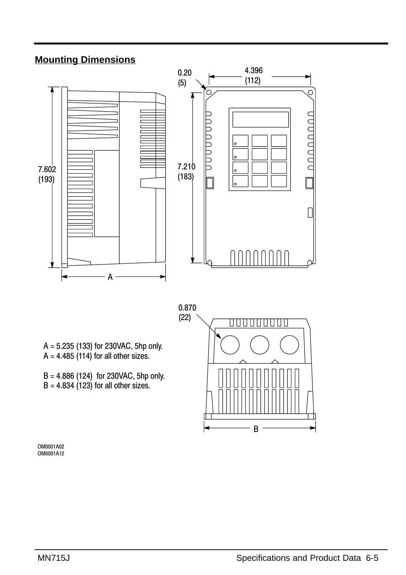# **Mounting Dimensions**



A = 5.235 (133) for 230VAC, 5hp only.  $A = 4.485$  (114) for all other sizes.

B = 4.886 (124) for 230VAC, 5hp only.  $B = 4.834$  (123) for all other sizes.



OM0001A02 OM0001A12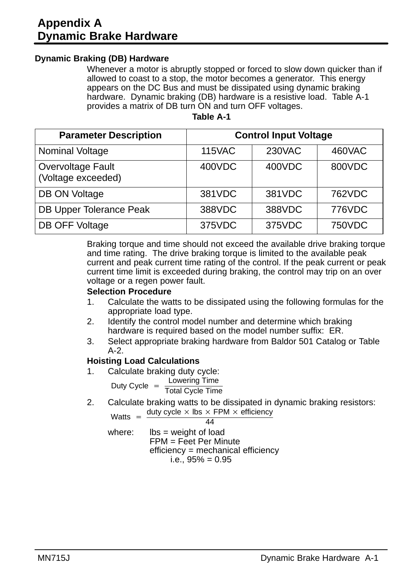# **Appendix A Dynamic Brake Hardware**

#### **Dynamic Braking (DB) Hardware**

Whenever a motor is abruptly stopped or forced to slow down quicker than if allowed to coast to a stop, the motor becomes a generator. This energy appears on the DC Bus and must be dissipated using dynamic braking hardware. Dynamic braking (DB) hardware is a resistive load. Table A-1 provides a matrix of DB turn ON and turn OFF voltages.

| Table A-1 |  |
|-----------|--|
|-----------|--|

| <b>Parameter Description</b>            | <b>Control Input Voltage</b> |        |        |  |  |
|-----------------------------------------|------------------------------|--------|--------|--|--|
| Nominal Voltage                         | <b>115VAC</b>                | 230VAC | 460VAC |  |  |
| Overvoltage Fault<br>(Voltage exceeded) | 400VDC                       | 400VDC | 800VDC |  |  |
| DB ON Voltage                           | 381VDC                       | 381VDC | 762VDC |  |  |
| DB Upper Tolerance Peak                 | 388VDC                       | 388VDC | 776VDC |  |  |
| DB OFF Voltage                          | 375VDC                       | 375VDC | 750VDC |  |  |

Braking torque and time should not exceed the available drive braking torque and time rating. The drive braking torque is limited to the available peak current and peak current time rating of the control. If the peak current or peak current time limit is exceeded during braking, the control may trip on an over voltage or a regen power fault.

#### **Selection Procedure**

- 1. Calculate the watts to be dissipated using the following formulas for the appropriate load type.
- 2. Identify the control model number and determine which braking hardware is required based on the model number suffix: ER.
- 3. Select appropriate braking hardware from Baldor 501 Catalog or Table  $A-2$

#### **Hoisting Load Calculations**

1. Calculate braking duty cycle:<br>Lowering Time

Duty Cycle  $=$   $\frac{\text{Lowering Time}}{\text{Total Cycle Time}}$ 

2. Calculate braking watts to be dissipated in dynamic braking resistors: Watts =  $\frac{\text{duty cycle} \times \text{lbs} \times \text{FPM} \times \text{efficiency}}{44}$ 

$$
\overline{44}
$$

where:  $\text{lbs} = \text{weight}$  of load FPM = Feet Per Minute efficiency = mechanical efficiency i.e.,  $95% = 0.95$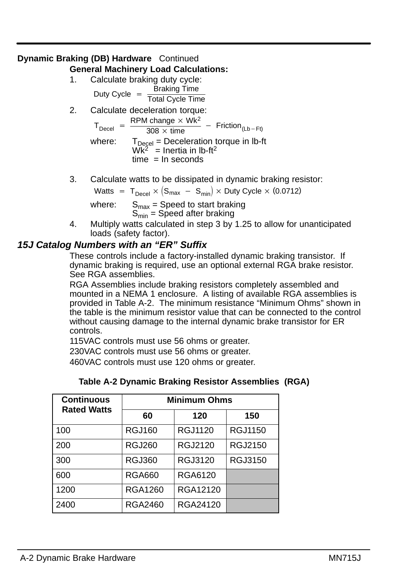# **Dynamic Braking (DB) Hardware** Continued

- **General Machinery Load Calculations:**
	- 1. Calculate braking duty cycle:<br>Braking Time Duty Cycle  $=$   $\frac{\text{Braking Time}}{\text{Total Cycle Time}}$
	- 2. Calculate deceleration torque:  $T_{\text{Decel}} = \frac{\text{RPM change} \times \text{Wk}^2}{308 \times \text{time}} - \text{Friction}_{(\text{Lb-Ft})}$

$$
= \frac{1}{308 \times \text{time}}
$$

- where:  $T_{\text{Decel}}$  = Deceleration torque in lb-ft  $\overline{Wk^2}$  = Inertia in lb-ft<sup>2</sup>  $time = ln$  seconds
- 3. Calculate watts to be dissipated in dynamic braking resistor:

Watts  $=$  T<sub>Decel</sub>  $\times$   $\left({\rm S}_{\rm max}~-~{\rm S}_{\rm min}\right)\times$  Duty Cycle  $\times$  (0.0712)

where:  $S_{max}$  = Speed to start braking  $S_{\text{min}}$  = Speed after braking

4. Multiply watts calculated in step 3 by 1.25 to allow for unanticipated loads (safety factor).

### **15J Catalog Numbers with an "ER" Suffix**

These controls include a factory-installed dynamic braking transistor. If dynamic braking is required, use an optional external RGA brake resistor. See RGA assemblies.

RGA Assemblies include braking resistors completely assembled and mounted in a NEMA 1 enclosure. A listing of available RGA assemblies is provided in Table A-2. The minimum resistance "Minimum Ohms" shown in the table is the minimum resistor value that can be connected to the control without causing damage to the internal dynamic brake transistor for ER controls.

115VAC controls must use 56 ohms or greater.

230VAC controls must use 56 ohms or greater.

460VAC controls must use 120 ohms or greater.

| Table A-2 Dynamic Braking Resistor Assemblies (RGA) |  |  |  |
|-----------------------------------------------------|--|--|--|
|-----------------------------------------------------|--|--|--|

| <b>Continuous</b><br><b>Rated Watts</b> | <b>Minimum Ohms</b> |          |                |  |  |
|-----------------------------------------|---------------------|----------|----------------|--|--|
|                                         | 60                  | 120      | 150            |  |  |
| 100                                     | RGJ160              | RGJ1120  | RGJ1150        |  |  |
| 200                                     | RGJ260              | RGJ2120  | RGJ2150        |  |  |
| 300                                     | RGJ360              | RGJ3120  | <b>RGJ3150</b> |  |  |
| 600                                     | RGA660              | RGA6120  |                |  |  |
| 1200                                    | <b>RGA1260</b>      | RGA12120 |                |  |  |
| 2400                                    | RGA2460             | RGA24120 |                |  |  |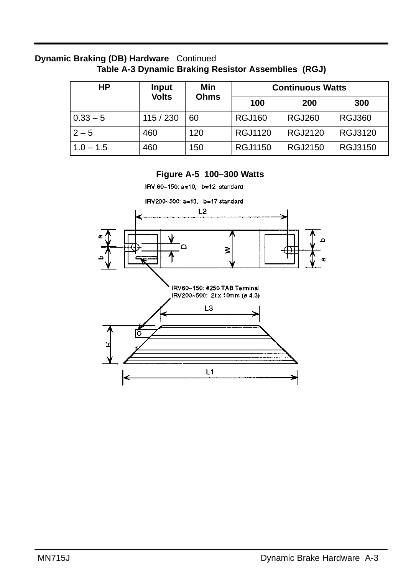#### **Dynamic Braking (DB) Hardware** Continued **Table A-3 Dynamic Braking Resistor Assemblies (RGJ)**

| НP          | <b>Input</b> | Min         |                | <b>Continuous Watts</b> |               |
|-------------|--------------|-------------|----------------|-------------------------|---------------|
|             | <b>Volts</b> | <b>Ohms</b> | 100            | 200                     | 300           |
| $0.33 - 5$  | 115 / 230    | 60          | <b>RGJ160</b>  | <b>RGJ260</b>           | <b>RGJ360</b> |
| $2 - 5$     | 460          | 120         | RGJ1120        | RGJ2120                 | RGJ3120       |
| $1.0 - 1.5$ | 460          | 150         | <b>RGJ1150</b> | RGJ2150                 | RGJ3150       |

#### **Figure A-5 100–300 Watts**

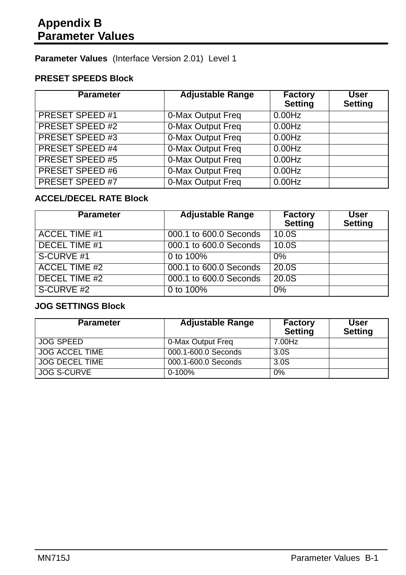**Parameter Values** (Interface Version 2.01) Level 1

### **PRESET SPEEDS Block**

| <b>Parameter</b>       | <b>Adjustable Range</b> | <b>Factory</b><br><b>Setting</b> | User<br><b>Setting</b> |
|------------------------|-------------------------|----------------------------------|------------------------|
| PRESET SPEED #1        | 0-Max Output Freq       | 0.00Hz                           |                        |
| PRESET SPEED #2        | 0-Max Output Freq       | 0.00Hz                           |                        |
| <b>PRESET SPEED #3</b> | 0-Max Output Freq       | 0.00Hz                           |                        |
| <b>PRESET SPEED #4</b> | 0-Max Output Freq       | 0.00Hz                           |                        |
| PRESET SPEED #5        | 0-Max Output Freq       | 0.00Hz                           |                        |
| PRESET SPEED #6        | 0-Max Output Freq       | 0.00Hz                           |                        |
| <b>PRESET SPEED #7</b> | 0-Max Output Freq       | $0.00$ Hz                        |                        |

### **ACCEL/DECEL RATE Block**

| <b>Parameter</b>     | <b>Adjustable Range</b> | <b>Factory</b><br><b>Setting</b> | User<br><b>Setting</b> |
|----------------------|-------------------------|----------------------------------|------------------------|
| <b>ACCEL TIME #1</b> | 000.1 to 600.0 Seconds  | 10.0S                            |                        |
| DECEL TIME #1        | 000.1 to 600.0 Seconds  | 10.0S                            |                        |
| S-CURVE #1           | 0 to 100%               | $0\%$                            |                        |
| <b>ACCEL TIME #2</b> | 000.1 to 600.0 Seconds  | 20.0S                            |                        |
| DECEL TIME #2        | 000.1 to 600.0 Seconds  | 20.0S                            |                        |
| S-CURVE #2           | 0 to 100%               | $0\%$                            |                        |

#### **JOG SETTINGS Block**

| <b>Parameter</b>      | <b>Adjustable Range</b> | <b>Factory</b><br><b>Setting</b> | User<br><b>Setting</b> |
|-----------------------|-------------------------|----------------------------------|------------------------|
| JOG SPEED             | 0-Max Output Freg       | 7.00Hz                           |                        |
| <b>JOG ACCEL TIME</b> | 000.1-600.0 Seconds     | 3.0S                             |                        |
| <b>JOG DECEL TIME</b> | 000.1-600.0 Seconds     | 3.0S                             |                        |
| <b>JOG S-CURVE</b>    | $0 - 100%$              | 0%                               |                        |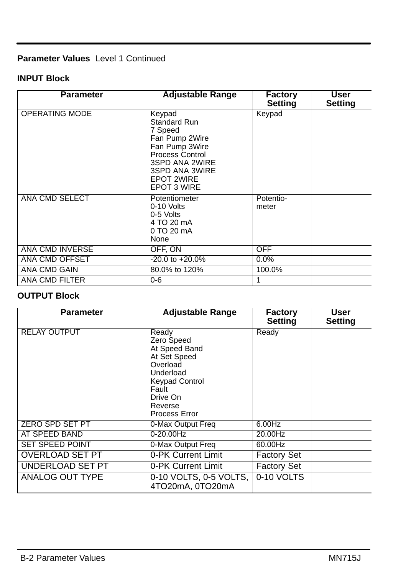## **Parameter Values** Level 1 Continued

#### **INPUT Block**

| <b>Parameter</b>      | <b>Adjustable Range</b>                                                                                                                                                 | <b>Factory</b><br><b>Setting</b> | User<br><b>Setting</b> |
|-----------------------|-------------------------------------------------------------------------------------------------------------------------------------------------------------------------|----------------------------------|------------------------|
| <b>OPERATING MODE</b> | Keypad<br>Standard Run<br>7 Speed<br>Fan Pump 2Wire<br>Fan Pump 3Wire<br>Process Control<br>3SPD ANA 2WIRE<br>3SPD ANA 3WIRE<br><b>EPOT 2WIRE</b><br><b>EPOT 3 WIRE</b> | Keypad                           |                        |
| ANA CMD SELECT        | Potentiometer<br>0-10 Volts<br>0-5 Volts<br>4 TO 20 mA<br>0 TO 20 mA<br>None                                                                                            | Potentio-<br>meter               |                        |
| ANA CMD INVERSE       | OFF. ON                                                                                                                                                                 | OFF.                             |                        |
| ANA CMD OFFSET        | $-20.0 \text{ to } +20.0\%$                                                                                                                                             | 0.0%                             |                        |
| ANA CMD GAIN          | 80.0% to 120%                                                                                                                                                           | 100.0%                           |                        |
| ANA CMD FILTER        | $0 - 6$                                                                                                                                                                 | 1                                |                        |

### **OUTPUT Block**

| <b>Parameter</b>       | <b>Adjustable Range</b>                                                                                                                                 | <b>Factory</b><br><b>Setting</b> | User<br><b>Setting</b> |
|------------------------|---------------------------------------------------------------------------------------------------------------------------------------------------------|----------------------------------|------------------------|
| <b>RELAY OUTPUT</b>    | Ready<br>Zero Speed<br>At Speed Band<br>At Set Speed<br>Overload<br>Underload<br><b>Keypad Control</b><br>Fault<br>Drive On<br>Reverse<br>Process Error | Ready                            |                        |
| ZERO SPD SET PT        | 0-Max Output Freq                                                                                                                                       | 6.00Hz                           |                        |
| AT SPEED BAND          | $0 - 20.00$ Hz                                                                                                                                          | 20.00Hz                          |                        |
| SET SPEED POINT        | 0-Max Output Freq                                                                                                                                       | 60.00Hz                          |                        |
| <b>OVERLOAD SET PT</b> | 0-PK Current Limit                                                                                                                                      | <b>Factory Set</b>               |                        |
| UNDERLOAD SET PT       | 0-PK Current Limit                                                                                                                                      | <b>Factory Set</b>               |                        |
| ANALOG OUT TYPE        | 0-10 VOLTS, 0-5 VOLTS,<br>4TO20mA, 0TO20mA                                                                                                              | 0-10 VOLTS                       |                        |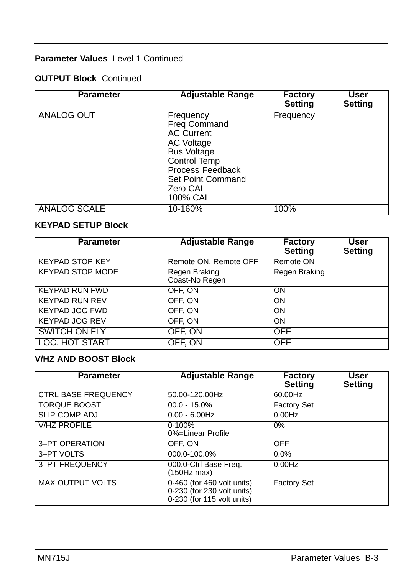### **Parameter Values** Level 1 Continued

### **OUTPUT Block** Continued

| <b>Parameter</b>    | <b>Adjustable Range</b>                                                                                                                                                    | <b>Factory</b><br><b>Setting</b> | User<br><b>Setting</b> |
|---------------------|----------------------------------------------------------------------------------------------------------------------------------------------------------------------------|----------------------------------|------------------------|
| ANALOG OUT          | Frequency<br><b>Freg Command</b><br><b>AC Current</b><br>AC Voltage<br><b>Bus Voltage</b><br>Control Temp<br>Process Feedback<br>Set Point Command<br>Zero CAL<br>100% CAL | Frequency                        |                        |
| <b>ANALOG SCALE</b> | 10-160%                                                                                                                                                                    | 100%                             |                        |

### **KEYPAD SETUP Block**

| <b>Parameter</b>        | <b>Adjustable Range</b>         | Factory<br><b>Setting</b> | User<br><b>Setting</b> |
|-------------------------|---------------------------------|---------------------------|------------------------|
| <b>KEYPAD STOP KEY</b>  | Remote ON, Remote OFF           | Remote ON                 |                        |
| <b>KEYPAD STOP MODE</b> | Regen Braking<br>Coast-No Regen | Regen Braking             |                        |
| <b>KEYPAD RUN FWD</b>   | OFF. ON                         | ON                        |                        |
| <b>KEYPAD RUN REV</b>   | OFF. ON                         | ON                        |                        |
| <b>KEYPAD JOG FWD</b>   | OFF. ON                         | ON                        |                        |
| <b>KEYPAD JOG REV</b>   | OFF. ON                         | ON                        |                        |
| SWITCH ON FLY           | OFF, ON                         | OFF                       |                        |
| LOC. HOT START          | OFF, ON                         | <b>OFF</b>                |                        |

#### **V/HZ AND BOOST Block**

| <b>Parameter</b>           | <b>Adjustable Range</b>                                                                  | <b>Factory</b><br><b>Setting</b> | User<br><b>Setting</b> |
|----------------------------|------------------------------------------------------------------------------------------|----------------------------------|------------------------|
| <b>CTRL BASE FREQUENCY</b> | 50.00-120.00Hz                                                                           | 60.00Hz                          |                        |
| <b>TORQUE BOOST</b>        | $00.0 - 15.0\%$                                                                          | <b>Factory Set</b>               |                        |
| <b>SLIP COMP ADJ</b>       | $0.00 - 6.00$ Hz                                                                         | $0.00$ Hz                        |                        |
| <b>V/HZ PROFILE</b>        | $0 - 100\%$<br>0%=Linear Profile                                                         | 0%                               |                        |
| 3-PT OPERATION             | OFF. ON                                                                                  | OFF                              |                        |
| 3-PT VOLTS                 | 000.0-100.0%                                                                             | $0.0\%$                          |                        |
| 3-PT FREQUENCY             | 000.0-Ctrl Base Freq.<br>(150Hz max)                                                     | 0.00Hz                           |                        |
| <b>MAX OUTPUT VOLTS</b>    | 0-460 (for 460 volt units)<br>$0-230$ (for 230 volt units)<br>0-230 (for 115 volt units) | <b>Factory Set</b>               |                        |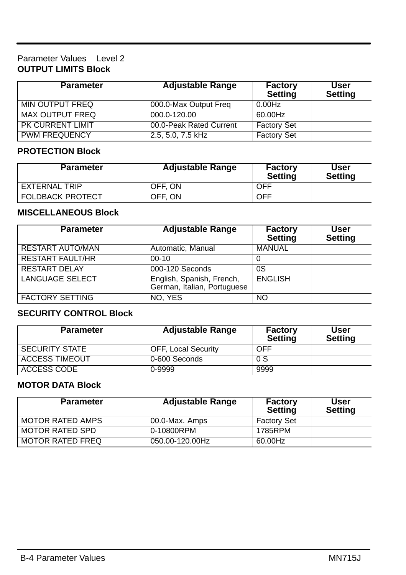#### Parameter Values Level 2 **OUTPUT LIMITS Block**

| <b>Parameter</b>     | <b>Adjustable Range</b> | <b>Factory</b><br><b>Setting</b> | User<br><b>Setting</b> |
|----------------------|-------------------------|----------------------------------|------------------------|
| MIN OUTPUT FREQ      | 000.0-Max Output Freq   | 0.00Hz                           |                        |
| MAX OUTPUT FREQ      | 000.0-120.00            | 60.00Hz                          |                        |
| PK CURRENT LIMIT     | 00.0-Peak Rated Current | <b>Factory Set</b>               |                        |
| <b>PWM FREQUENCY</b> | 2.5, 5.0, 7.5 kHz       | <b>Factory Set</b>               |                        |

#### **PROTECTION Block**

| <b>Parameter</b>        | <b>Adjustable Range</b> | <b>Factory</b><br><b>Setting</b> | User<br><b>Setting</b> |
|-------------------------|-------------------------|----------------------------------|------------------------|
| EXTERNAL TRIP           | OFF. ON                 | OFF                              |                        |
| <b>FOLDBACK PROTECT</b> | OFF. ON                 | <b>OFF</b>                       |                        |

#### **MISCELLANEOUS Block**

| <b>Parameter</b>        | <b>Adjustable Range</b>                                  | Factory<br><b>Setting</b> | User<br><b>Setting</b> |
|-------------------------|----------------------------------------------------------|---------------------------|------------------------|
| <b>RESTART AUTO/MAN</b> | Automatic, Manual                                        | <b>MANUAL</b>             |                        |
| <b>RESTART FAULT/HR</b> | $00 - 10$                                                |                           |                        |
| <b>RESTART DELAY</b>    | 000-120 Seconds                                          | 0S                        |                        |
| <b>LANGUAGE SELECT</b>  | English, Spanish, French,<br>German, Italian, Portuguese | <b>ENGLISH</b>            |                        |
| <b>FACTORY SETTING</b>  | NO. YES                                                  | NO                        |                        |

#### **SECURITY CONTROL Block**

| <b>Parameter</b>      | <b>Adjustable Range</b>    | <b>Factory</b><br><b>Setting</b> | User<br><b>Setting</b> |
|-----------------------|----------------------------|----------------------------------|------------------------|
| <b>SECURITY STATE</b> | <b>OFF, Local Security</b> | OFF                              |                        |
| ACCESS TIMEOUT        | 0-600 Seconds              | 0S                               |                        |
| ACCESS CODE           | 0-9999                     | 9999                             |                        |

#### **MOTOR DATA Block**

| <b>Parameter</b>        | <b>Adjustable Range</b> | Factory<br><b>Setting</b> | User<br><b>Setting</b> |
|-------------------------|-------------------------|---------------------------|------------------------|
| <b>MOTOR RATED AMPS</b> | 00.0-Max. Amps          | <b>Factory Set</b>        |                        |
| MOTOR RATED SPD         | 0-10800RPM              | 1785RPM                   |                        |
| <b>MOTOR RATED FREQ</b> | 050.00-120.00Hz         | 60.00Hz                   |                        |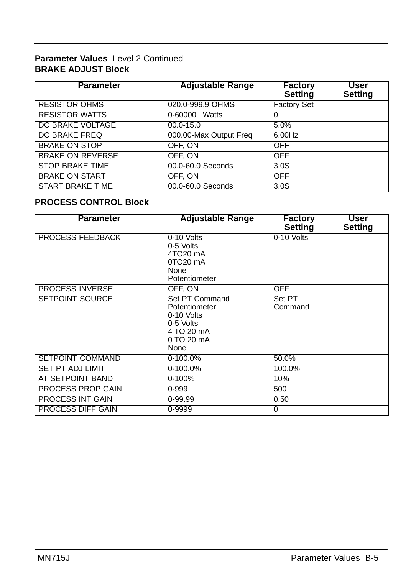#### **Parameter Values** Level 2 Continued **BRAKE ADJUST Block**

| <b>Parameter</b>        | <b>Adjustable Range</b> | <b>Factory</b><br><b>Setting</b> | User<br><b>Setting</b> |
|-------------------------|-------------------------|----------------------------------|------------------------|
| <b>RESISTOR OHMS</b>    | 020.0-999.9 OHMS        | <b>Factory Set</b>               |                        |
| <b>RESISTOR WATTS</b>   | 0-60000 Watts           | 0                                |                        |
| DC BRAKE VOLTAGE        | $00.0 - 15.0$           | 5.0%                             |                        |
| DC BRAKE FREQ           | 000.00-Max Output Freq  | 6.00Hz                           |                        |
| <b>BRAKE ON STOP</b>    | OFF. ON                 | <b>OFF</b>                       |                        |
| <b>BRAKE ON REVERSE</b> | OFF. ON                 | <b>OFF</b>                       |                        |
| <b>STOP BRAKE TIME</b>  | 00.0-60.0 Seconds       | 3.0S                             |                        |
| <b>BRAKE ON START</b>   | OFF. ON                 | <b>OFF</b>                       |                        |
| <b>START BRAKE TIME</b> | 00.0-60.0 Seconds       | 3.0S                             |                        |

### **PROCESS CONTROL Block**

| <b>Parameter</b>        | <b>Adjustable Range</b>                                                                        | Factory<br><b>Setting</b> | User<br><b>Setting</b> |
|-------------------------|------------------------------------------------------------------------------------------------|---------------------------|------------------------|
| <b>PROCESS FEEDBACK</b> | 0-10 Volts<br>0-5 Volts<br>4TO20 mA<br>0TO <sub>20</sub> mA<br>None<br>Potentiometer           | 0-10 Volts                |                        |
| <b>PROCESS INVERSE</b>  | OFF. ON                                                                                        | <b>OFF</b>                |                        |
| SETPOINT SOURCE         | Set PT Command<br>Potentiometer<br>0-10 Volts<br>0-5 Volts<br>4 TO 20 mA<br>0 TO 20 mA<br>None | Set PT<br>Command         |                        |
| <b>SETPOINT COMMAND</b> | $0-100.0%$                                                                                     | 50.0%                     |                        |
| <b>SET PT ADJ LIMIT</b> | $0-100.0%$                                                                                     | 100.0%                    |                        |
| AT SETPOINT BAND        | $0 - 100%$                                                                                     | 10%                       |                        |
| PROCESS PROP GAIN       | $0 - 999$                                                                                      | 500                       |                        |
| PROCESS INT GAIN        | 0-99.99                                                                                        | 0.50                      |                        |
| PROCESS DIFF GAIN       | 0-9999                                                                                         | $\Omega$                  |                        |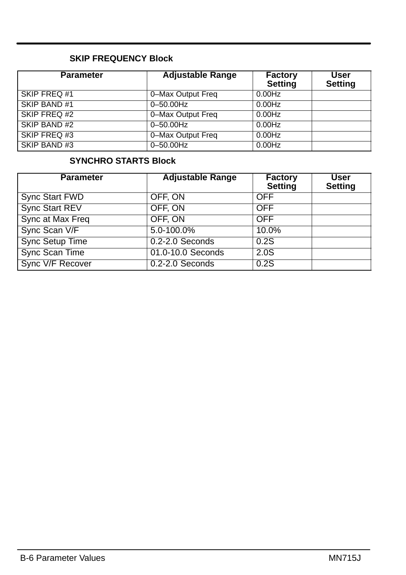### **SKIP FREQUENCY Block**

| <b>Parameter</b> | <b>Adjustable Range</b> | <b>Factory</b><br><b>Setting</b> | User<br><b>Setting</b> |
|------------------|-------------------------|----------------------------------|------------------------|
| SKIP FREQ #1     | 0-Max Output Freq       | 0.00Hz                           |                        |
| SKIP BAND #1     | $0 - 50.00$ Hz          | 0.00Hz                           |                        |
| SKIP FREQ #2     | 0-Max Output Freq       | 0.00Hz                           |                        |
| SKIP BAND#2      | $0 - 50.00$ Hz          | 0.00Hz                           |                        |
| SKIP FREQ #3     | 0-Max Output Freq       | 0.00Hz                           |                        |
| SKIP BAND#3      | 0-50.00Hz               | $0.00$ Hz                        |                        |

### **SYNCHRO STARTS Block**

| <b>Parameter</b>       | <b>Adjustable Range</b> | <b>Factory</b><br>Setting | User<br><b>Setting</b> |
|------------------------|-------------------------|---------------------------|------------------------|
| Sync Start FWD         | OFF. ON                 | <b>OFF</b>                |                        |
| Sync Start REV         | OFF, ON                 | OFF                       |                        |
| Sync at Max Freq       | OFF, ON                 | OFF                       |                        |
| Sync Scan V/F          | 5.0-100.0%              | 10.0%                     |                        |
| <b>Sync Setup Time</b> | $0.2 - 2.0$ Seconds     | 0.2S                      |                        |
| Sync Scan Time         | 01.0-10.0 Seconds       | 2.0S                      |                        |
| Sync V/F Recover       | $0.2 - 2.0$ Seconds     | 0.2S                      |                        |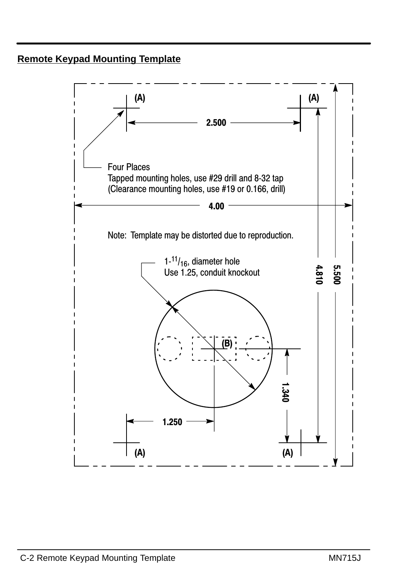# **Remote Keypad Mounting Template**